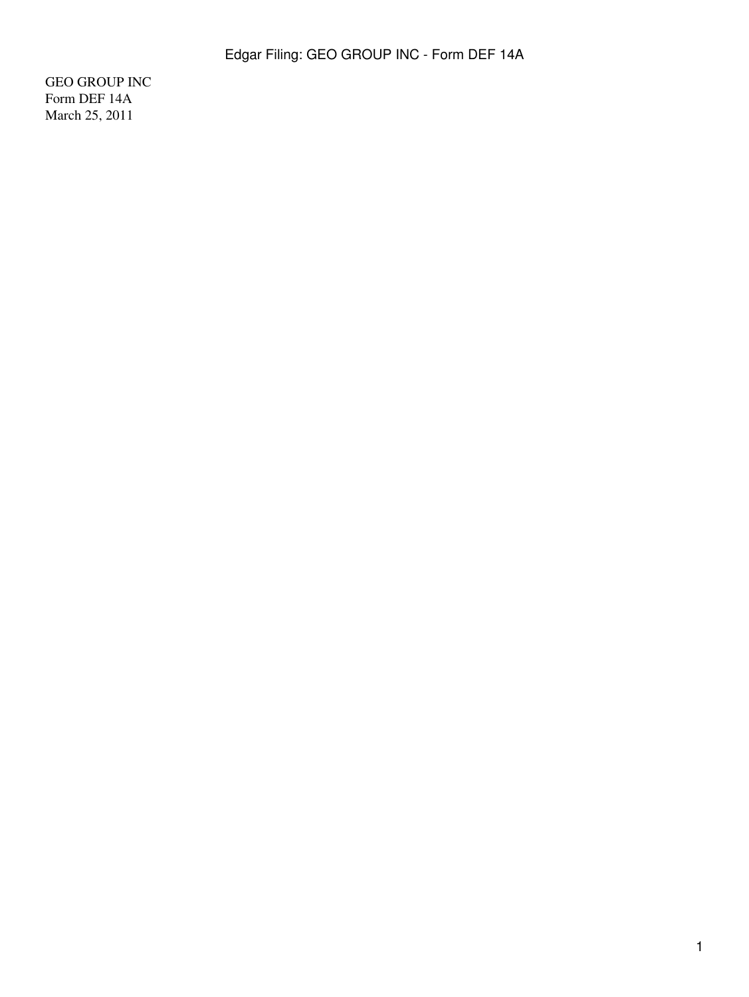GEO GROUP INC Form DEF 14A March 25, 2011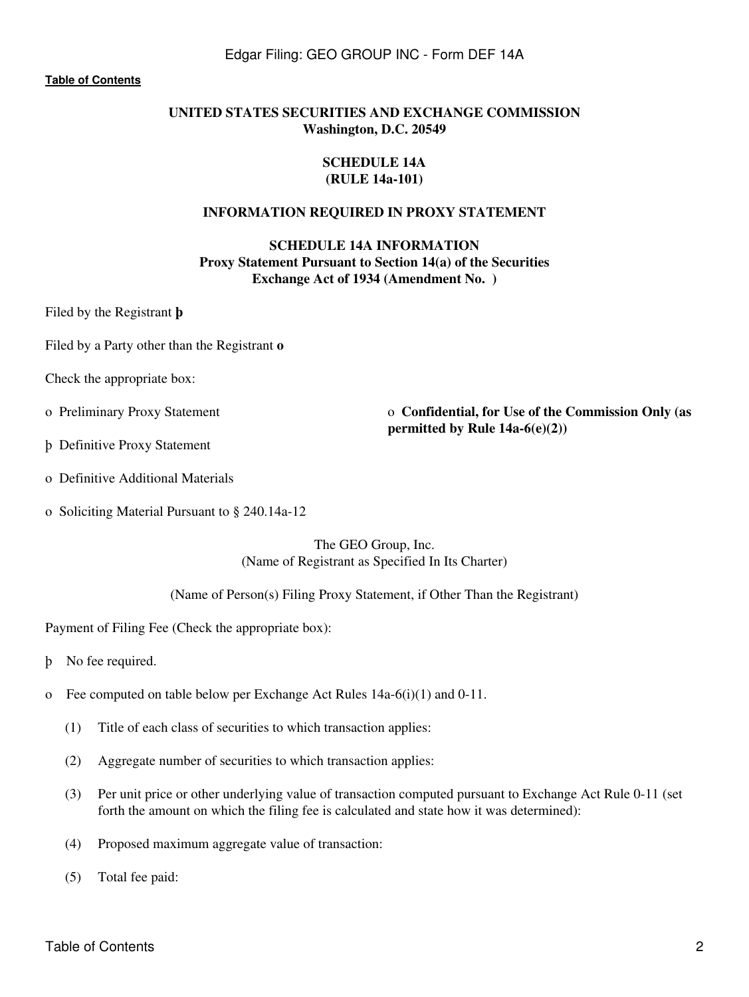#### **[Table of Contents](#page-4-0)**

# **UNITED STATES SECURITIES AND EXCHANGE COMMISSION Washington, D.C. 20549**

#### **SCHEDULE 14A (RULE 14a-101)**

### **INFORMATION REQUIRED IN PROXY STATEMENT**

**SCHEDULE 14A INFORMATION Proxy Statement Pursuant to Section 14(a) of the Securities Exchange Act of 1934 (Amendment No. )**

Filed by the Registrant **þ**

Filed by a Party other than the Registrant **o**

Check the appropriate box:

o Preliminary Proxy Statement o **Confidential, for Use of the Commission Only (as permitted by Rule 14a-6(e)(2))**

- þ Definitive Proxy Statement
- o Definitive Additional Materials
- o Soliciting Material Pursuant to § 240.14a-12

The GEO Group, Inc. (Name of Registrant as Specified In Its Charter)

(Name of Person(s) Filing Proxy Statement, if Other Than the Registrant)

Payment of Filing Fee (Check the appropriate box):

þ No fee required.

- o Fee computed on table below per Exchange Act Rules  $14a-6(i)(1)$  and  $0-11$ .
	- (1) Title of each class of securities to which transaction applies:
	- (2) Aggregate number of securities to which transaction applies:
	- (3) Per unit price or other underlying value of transaction computed pursuant to Exchange Act Rule 0-11 (set forth the amount on which the filing fee is calculated and state how it was determined):
	- (4) Proposed maximum aggregate value of transaction:
	- (5) Total fee paid: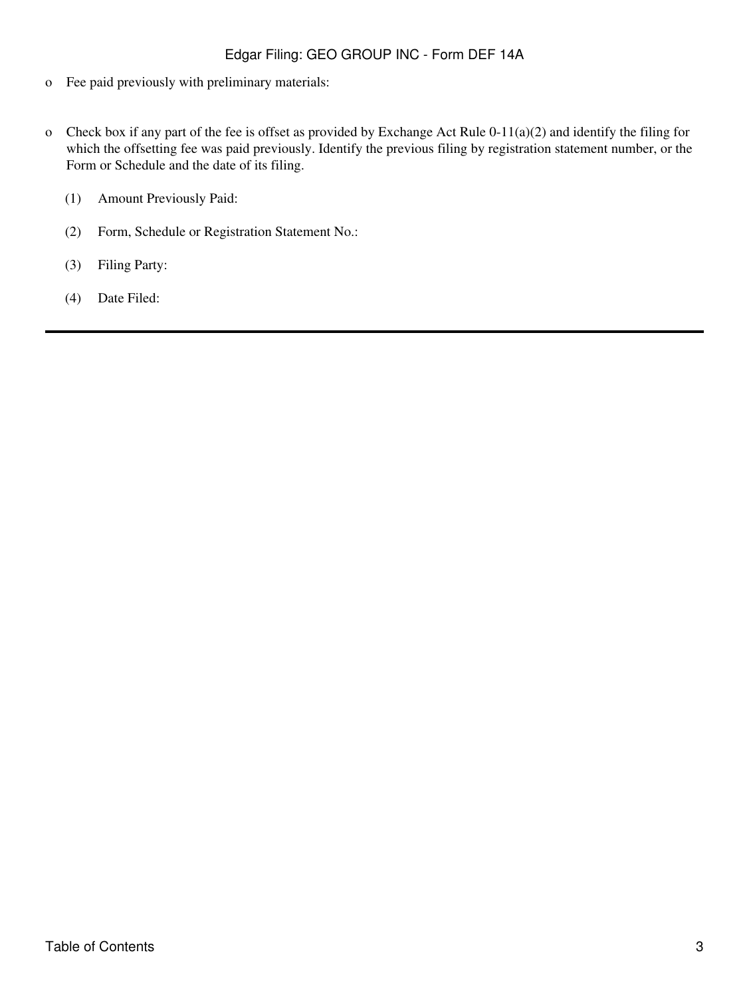- o Fee paid previously with preliminary materials:
- o Check box if any part of the fee is offset as provided by Exchange Act Rule 0-11(a)(2) and identify the filing for which the offsetting fee was paid previously. Identify the previous filing by registration statement number, or the Form or Schedule and the date of its filing.
	- (1) Amount Previously Paid:
	- (2) Form, Schedule or Registration Statement No.:
	- (3) Filing Party:
	- (4) Date Filed: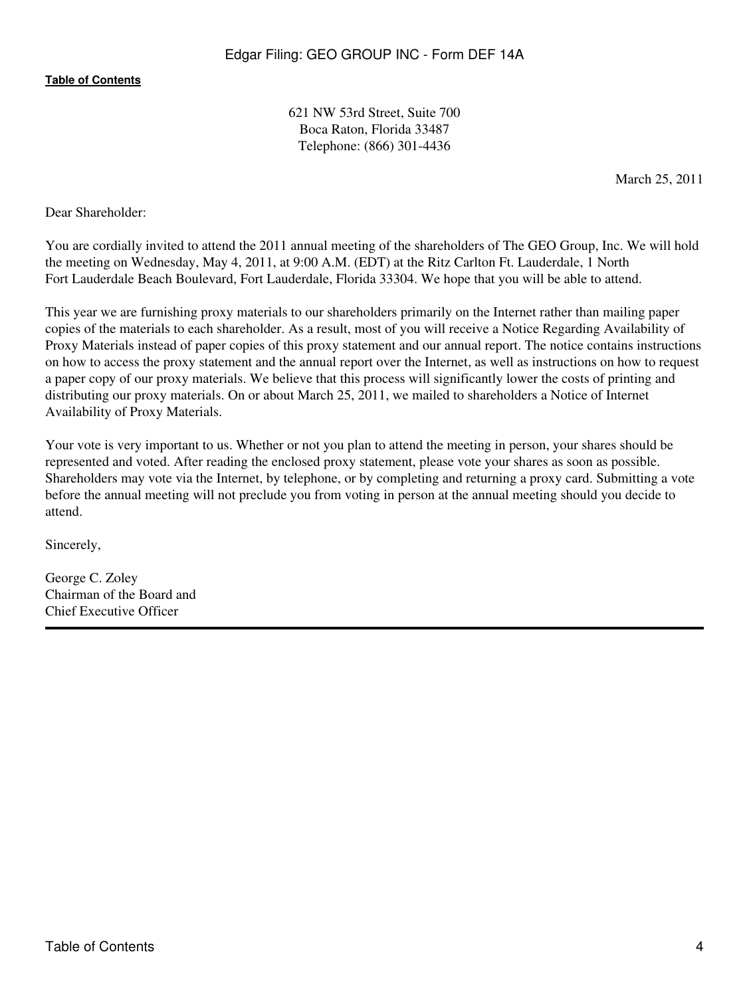621 NW 53rd Street, Suite 700 Boca Raton, Florida 33487 Telephone: (866) 301-4436

March 25, 2011

Dear Shareholder:

You are cordially invited to attend the 2011 annual meeting of the shareholders of The GEO Group, Inc. We will hold the meeting on Wednesday, May 4, 2011, at 9:00 A.M. (EDT) at the Ritz Carlton Ft. Lauderdale, 1 North Fort Lauderdale Beach Boulevard, Fort Lauderdale, Florida 33304. We hope that you will be able to attend.

This year we are furnishing proxy materials to our shareholders primarily on the Internet rather than mailing paper copies of the materials to each shareholder. As a result, most of you will receive a Notice Regarding Availability of Proxy Materials instead of paper copies of this proxy statement and our annual report. The notice contains instructions on how to access the proxy statement and the annual report over the Internet, as well as instructions on how to request a paper copy of our proxy materials. We believe that this process will significantly lower the costs of printing and distributing our proxy materials. On or about March 25, 2011, we mailed to shareholders a Notice of Internet Availability of Proxy Materials.

Your vote is very important to us. Whether or not you plan to attend the meeting in person, your shares should be represented and voted. After reading the enclosed proxy statement, please vote your shares as soon as possible. Shareholders may vote via the Internet, by telephone, or by completing and returning a proxy card. Submitting a vote before the annual meeting will not preclude you from voting in person at the annual meeting should you decide to attend.

Sincerely,

George C. Zoley Chairman of the Board and Chief Executive Officer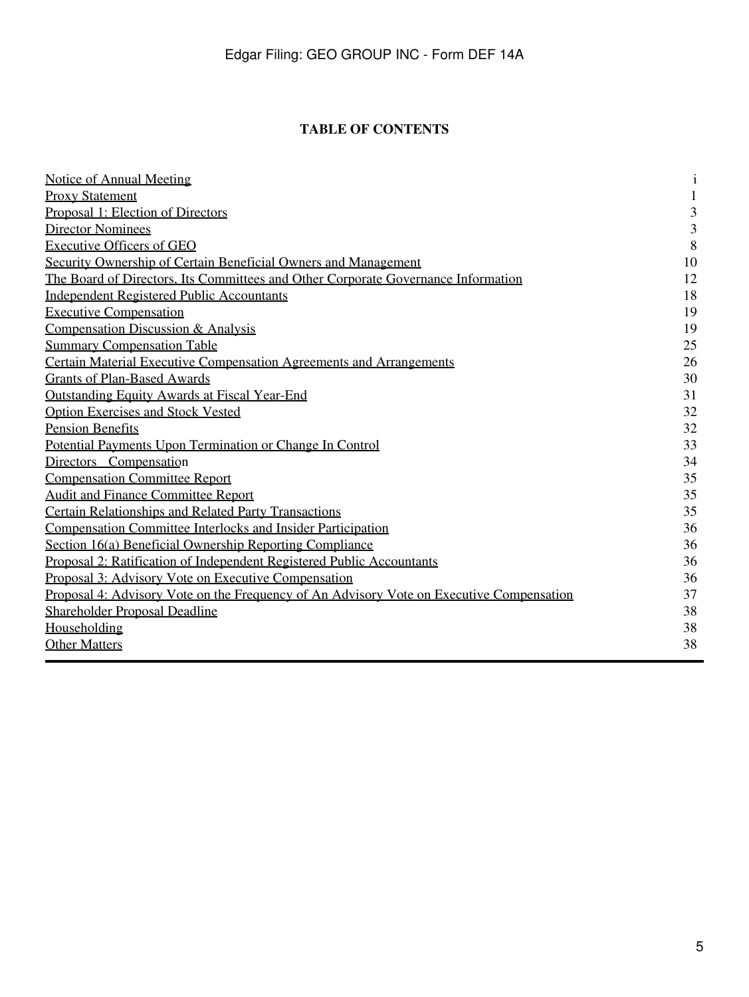# **TABLE OF CONTENTS**

<span id="page-4-0"></span>

| <b>Notice of Annual Meeting</b>                                                          | $\mathbf{i}$            |
|------------------------------------------------------------------------------------------|-------------------------|
| <b>Proxy Statement</b>                                                                   | $\mathbf{1}$            |
| Proposal 1: Election of Directors                                                        | 3                       |
| <b>Director Nominees</b>                                                                 | $\overline{\mathbf{3}}$ |
| <b>Executive Officers of GEO</b>                                                         | 8                       |
| Security Ownership of Certain Beneficial Owners and Management                           | 10                      |
| The Board of Directors, Its Committees and Other Corporate Governance Information        | 12                      |
| <b>Independent Registered Public Accountants</b>                                         | 18                      |
| <b>Executive Compensation</b>                                                            | 19                      |
| Compensation Discussion & Analysis                                                       | 19                      |
| <b>Summary Compensation Table</b>                                                        | 25                      |
| <b>Certain Material Executive Compensation Agreements and Arrangements</b>               | 26                      |
| <b>Grants of Plan-Based Awards</b>                                                       | 30                      |
| <b>Outstanding Equity Awards at Fiscal Year-End</b>                                      | 31                      |
| <b>Option Exercises and Stock Vested</b>                                                 | 32                      |
| <b>Pension Benefits</b>                                                                  | 32                      |
| Potential Payments Upon Termination or Change In Control                                 | 33                      |
| Directors Compensation                                                                   | 34                      |
| <b>Compensation Committee Report</b>                                                     | 35                      |
| <b>Audit and Finance Committee Report</b>                                                | 35                      |
| <b>Certain Relationships and Related Party Transactions</b>                              | 35                      |
| Compensation Committee Interlocks and Insider Participation                              | 36                      |
| Section 16(a) Beneficial Ownership Reporting Compliance                                  | 36                      |
| Proposal 2: Ratification of Independent Registered Public Accountants                    | 36                      |
| Proposal 3: Advisory Vote on Executive Compensation                                      | 36                      |
| Proposal 4: Advisory Vote on the Frequency of An Advisory Vote on Executive Compensation | 37                      |
| <b>Shareholder Proposal Deadline</b>                                                     | 38                      |
| Householding                                                                             | 38                      |
| <b>Other Matters</b>                                                                     | 38                      |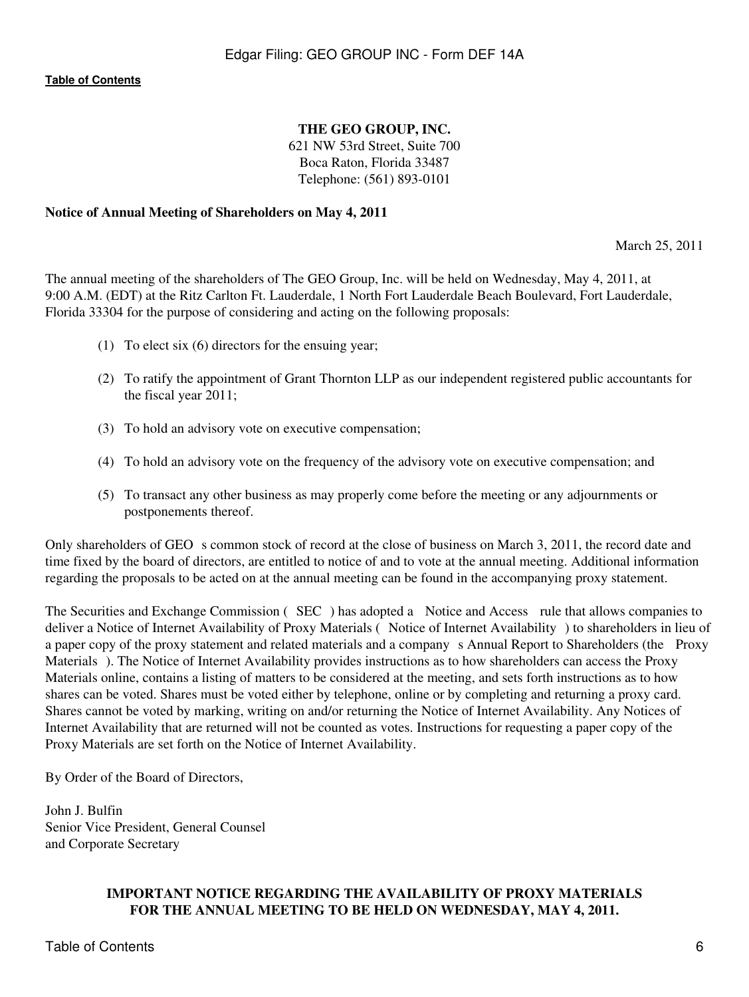# **THE GEO GROUP, INC.**

621 NW 53rd Street, Suite 700 Boca Raton, Florida 33487 Telephone: (561) 893-0101

## <span id="page-5-0"></span>**Notice of Annual Meeting of Shareholders on May 4, 2011**

March 25, 2011

The annual meeting of the shareholders of The GEO Group, Inc. will be held on Wednesday, May 4, 2011, at 9:00 A.M. (EDT) at the Ritz Carlton Ft. Lauderdale, 1 North Fort Lauderdale Beach Boulevard, Fort Lauderdale, Florida 33304 for the purpose of considering and acting on the following proposals:

- (1) To elect six (6) directors for the ensuing year;
- (2) To ratify the appointment of Grant Thornton LLP as our independent registered public accountants for the fiscal year 2011;
- (3) To hold an advisory vote on executive compensation;
- (4) To hold an advisory vote on the frequency of the advisory vote on executive compensation; and
- (5) To transact any other business as may properly come before the meeting or any adjournments or postponements thereof.

Only shareholders of GEO s common stock of record at the close of business on March 3, 2011, the record date and time fixed by the board of directors, are entitled to notice of and to vote at the annual meeting. Additional information regarding the proposals to be acted on at the annual meeting can be found in the accompanying proxy statement.

The Securities and Exchange Commission (SEC) has adopted a Notice and Access rule that allows companies to deliver a Notice of Internet Availability of Proxy Materials (Notice of Internet Availability) to shareholders in lieu of a paper copy of the proxy statement and related materials and a company s Annual Report to Shareholders (the Proxy Materials). The Notice of Internet Availability provides instructions as to how shareholders can access the Proxy Materials online, contains a listing of matters to be considered at the meeting, and sets forth instructions as to how shares can be voted. Shares must be voted either by telephone, online or by completing and returning a proxy card. Shares cannot be voted by marking, writing on and/or returning the Notice of Internet Availability. Any Notices of Internet Availability that are returned will not be counted as votes. Instructions for requesting a paper copy of the Proxy Materials are set forth on the Notice of Internet Availability.

By Order of the Board of Directors,

John J. Bulfin Senior Vice President, General Counsel and Corporate Secretary

# **IMPORTANT NOTICE REGARDING THE AVAILABILITY OF PROXY MATERIALS FOR THE ANNUAL MEETING TO BE HELD ON WEDNESDAY, MAY 4, 2011.**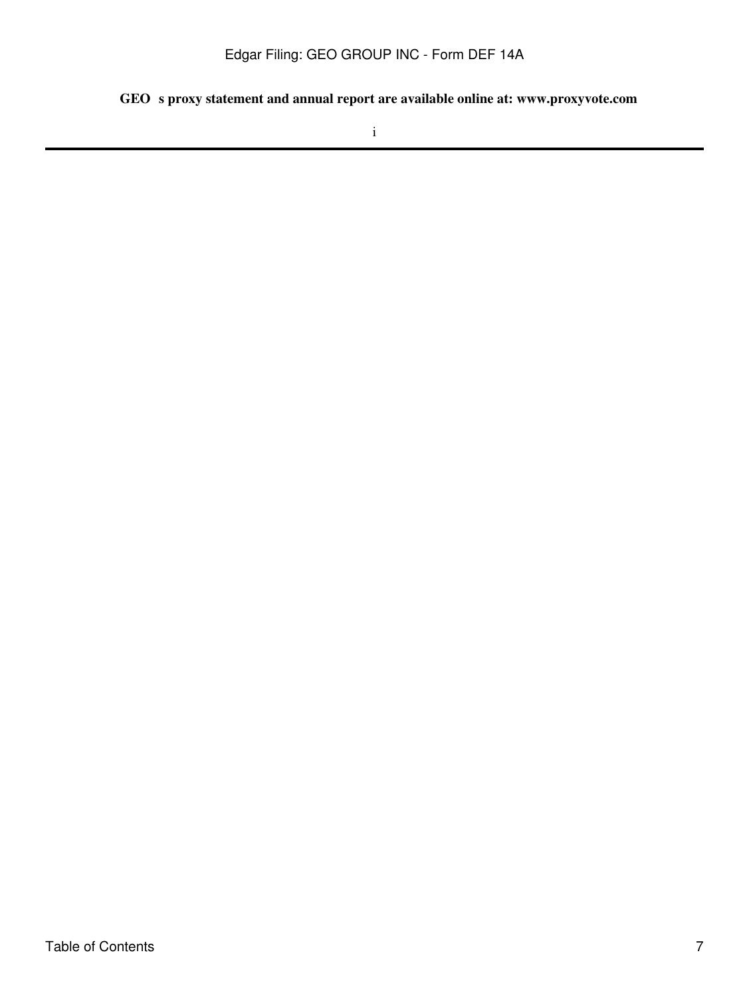GEO s proxy statement and annual report are available online at: www.proxyvote.com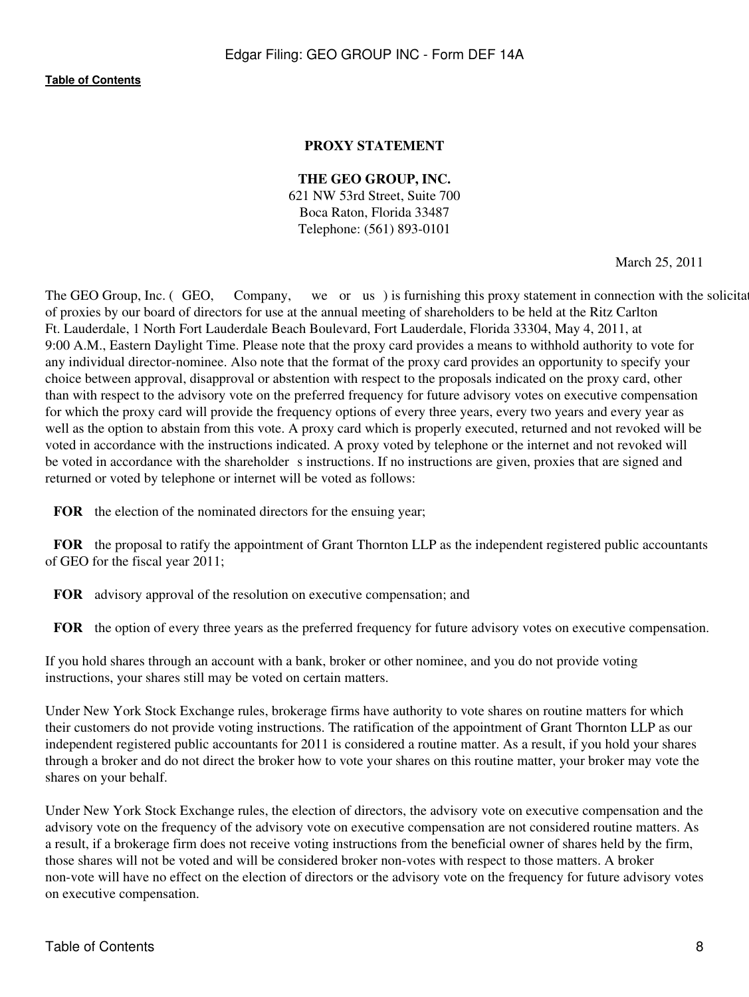# **PROXY STATEMENT**

## **THE GEO GROUP, INC.**

621 NW 53rd Street, Suite 700 Boca Raton, Florida 33487 Telephone: (561) 893-0101

March 25, 2011

<span id="page-7-0"></span>The GEO Group, Inc. (GEO, Company, we or us) is furnishing this proxy statement in connection with the solicitation of proxies by our board of directors for use at the annual meeting of shareholders to be held at the Ritz Carlton Ft. Lauderdale, 1 North Fort Lauderdale Beach Boulevard, Fort Lauderdale, Florida 33304, May 4, 2011, at 9:00 A.M., Eastern Daylight Time. Please note that the proxy card provides a means to withhold authority to vote for any individual director-nominee. Also note that the format of the proxy card provides an opportunity to specify your choice between approval, disapproval or abstention with respect to the proposals indicated on the proxy card, other than with respect to the advisory vote on the preferred frequency for future advisory votes on executive compensation for which the proxy card will provide the frequency options of every three years, every two years and every year as well as the option to abstain from this vote. A proxy card which is properly executed, returned and not revoked will be voted in accordance with the instructions indicated. A proxy voted by telephone or the internet and not revoked will be voted in accordance with the shareholder s instructions. If no instructions are given, proxies that are signed and returned or voted by telephone or internet will be voted as follows:

**FOR** the election of the nominated directors for the ensuing year;

**FOR** the proposal to ratify the appointment of Grant Thornton LLP as the independent registered public accountants of GEO for the fiscal year 2011;

**FOR** advisory approval of the resolution on executive compensation; and

**FOR** the option of every three years as the preferred frequency for future advisory votes on executive compensation.

If you hold shares through an account with a bank, broker or other nominee, and you do not provide voting instructions, your shares still may be voted on certain matters.

Under New York Stock Exchange rules, brokerage firms have authority to vote shares on routine matters for which their customers do not provide voting instructions. The ratification of the appointment of Grant Thornton LLP as our independent registered public accountants for 2011 is considered a routine matter. As a result, if you hold your shares through a broker and do not direct the broker how to vote your shares on this routine matter, your broker may vote the shares on your behalf.

Under New York Stock Exchange rules, the election of directors, the advisory vote on executive compensation and the advisory vote on the frequency of the advisory vote on executive compensation are not considered routine matters. As a result, if a brokerage firm does not receive voting instructions from the beneficial owner of shares held by the firm, those shares will not be voted and will be considered broker non-votes with respect to those matters. A broker non-vote will have no effect on the election of directors or the advisory vote on the frequency for future advisory votes on executive compensation.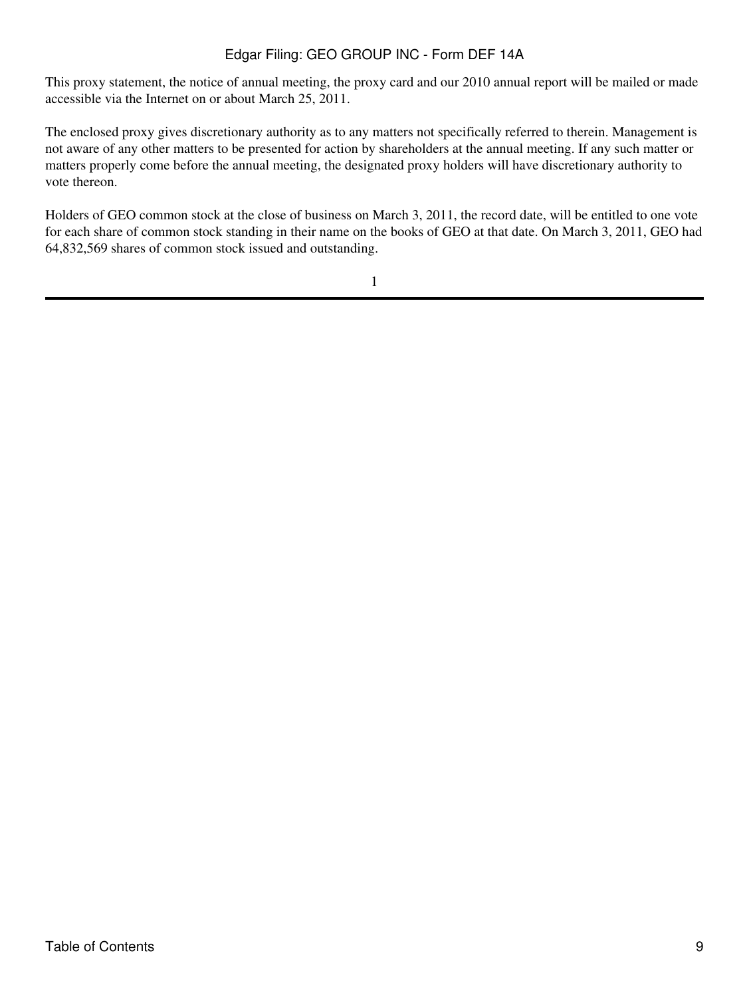This proxy statement, the notice of annual meeting, the proxy card and our 2010 annual report will be mailed or made accessible via the Internet on or about March 25, 2011.

The enclosed proxy gives discretionary authority as to any matters not specifically referred to therein. Management is not aware of any other matters to be presented for action by shareholders at the annual meeting. If any such matter or matters properly come before the annual meeting, the designated proxy holders will have discretionary authority to vote thereon.

Holders of GEO common stock at the close of business on March 3, 2011, the record date, will be entitled to one vote for each share of common stock standing in their name on the books of GEO at that date. On March 3, 2011, GEO had 64,832,569 shares of common stock issued and outstanding.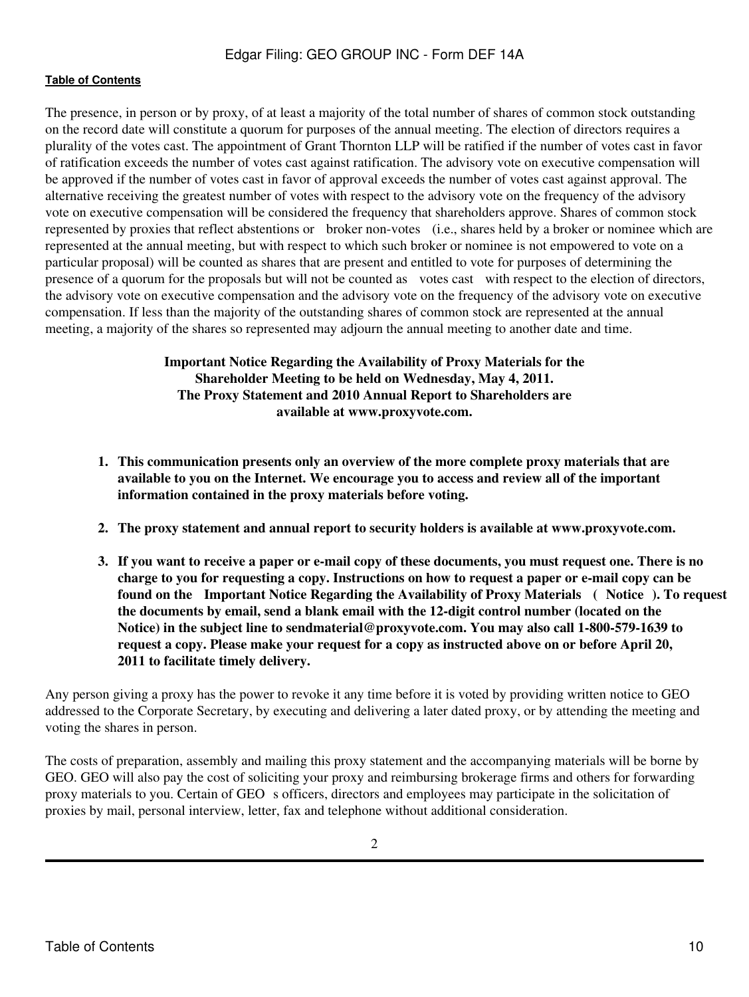The presence, in person or by proxy, of at least a majority of the total number of shares of common stock outstanding on the record date will constitute a quorum for purposes of the annual meeting. The election of directors requires a plurality of the votes cast. The appointment of Grant Thornton LLP will be ratified if the number of votes cast in favor of ratification exceeds the number of votes cast against ratification. The advisory vote on executive compensation will be approved if the number of votes cast in favor of approval exceeds the number of votes cast against approval. The alternative receiving the greatest number of votes with respect to the advisory vote on the frequency of the advisory vote on executive compensation will be considered the frequency that shareholders approve. Shares of common stock represented by proxies that reflect abstentions or broker non-votes (i.e., shares held by a broker or nominee which are represented at the annual meeting, but with respect to which such broker or nominee is not empowered to vote on a particular proposal) will be counted as shares that are present and entitled to vote for purposes of determining the presence of a quorum for the proposals but will not be counted as votes cast with respect to the election of directors, the advisory vote on executive compensation and the advisory vote on the frequency of the advisory vote on executive compensation. If less than the majority of the outstanding shares of common stock are represented at the annual meeting, a majority of the shares so represented may adjourn the annual meeting to another date and time.

> **Important Notice Regarding the Availability of Proxy Materials for the Shareholder Meeting to be held on Wednesday, May 4, 2011. The Proxy Statement and 2010 Annual Report to Shareholders are available at www.proxyvote.com.**

- **1. This communication presents only an overview of the more complete proxy materials that are available to you on the Internet. We encourage you to access and review all of the important information contained in the proxy materials before voting.**
- **2. The proxy statement and annual report to security holders is available at www.proxyvote.com.**
- **3. If you want to receive a paper or e-mail copy of these documents, you must request one. There is no charge to you for requesting a copy. Instructions on how to request a paper or e-mail copy can be** found on the Important Notice Regarding the Availability of Proxy Materials (Notice). To request **the documents by email, send a blank email with the 12-digit control number (located on the Notice) in the subject line to sendmaterial@proxyvote.com. You may also call 1-800-579-1639 to request a copy. Please make your request for a copy as instructed above on or before April 20, 2011 to facilitate timely delivery.**

Any person giving a proxy has the power to revoke it any time before it is voted by providing written notice to GEO addressed to the Corporate Secretary, by executing and delivering a later dated proxy, or by attending the meeting and voting the shares in person.

The costs of preparation, assembly and mailing this proxy statement and the accompanying materials will be borne by GEO. GEO will also pay the cost of soliciting your proxy and reimbursing brokerage firms and others for forwarding proxy materials to you. Certain of GEO s officers, directors and employees may participate in the solicitation of proxies by mail, personal interview, letter, fax and telephone without additional consideration.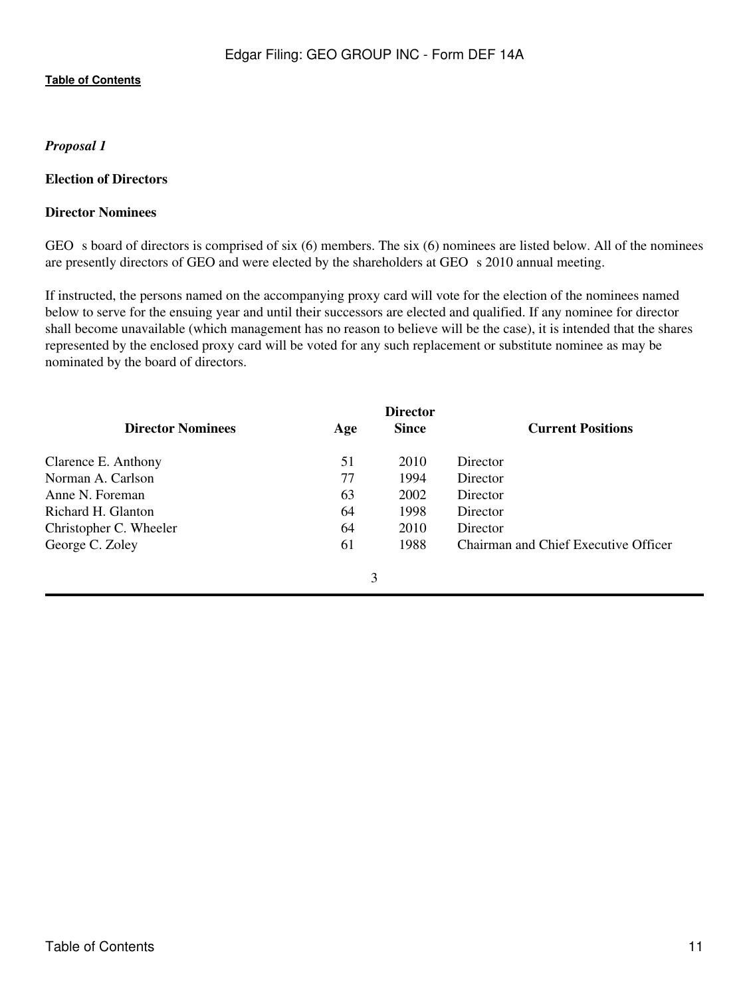# <span id="page-10-0"></span>*Proposal 1*

### <span id="page-10-1"></span>**Election of Directors**

## **Director Nominees**

GEO s board of directors is comprised of six  $(6)$  members. The six  $(6)$  nominees are listed below. All of the nominees are presently directors of GEO and were elected by the shareholders at GEO s 2010 annual meeting.

If instructed, the persons named on the accompanying proxy card will vote for the election of the nominees named below to serve for the ensuing year and until their successors are elected and qualified. If any nominee for director shall become unavailable (which management has no reason to believe will be the case), it is intended that the shares represented by the enclosed proxy card will be voted for any such replacement or substitute nominee as may be nominated by the board of directors.

| <b>Director</b>          |     |              |                                      |  |
|--------------------------|-----|--------------|--------------------------------------|--|
| <b>Director Nominees</b> | Age | <b>Since</b> | <b>Current Positions</b>             |  |
| Clarence E. Anthony      | 51  | 2010         | Director                             |  |
| Norman A. Carlson        | 77  | 1994         | Director                             |  |
| Anne N. Foreman          | 63  | 2002         | Director                             |  |
| Richard H. Glanton       | 64  | 1998         | Director                             |  |
| Christopher C. Wheeler   | 64  | 2010         | Director                             |  |
| George C. Zoley          | 61  | 1988         | Chairman and Chief Executive Officer |  |
|                          |     |              |                                      |  |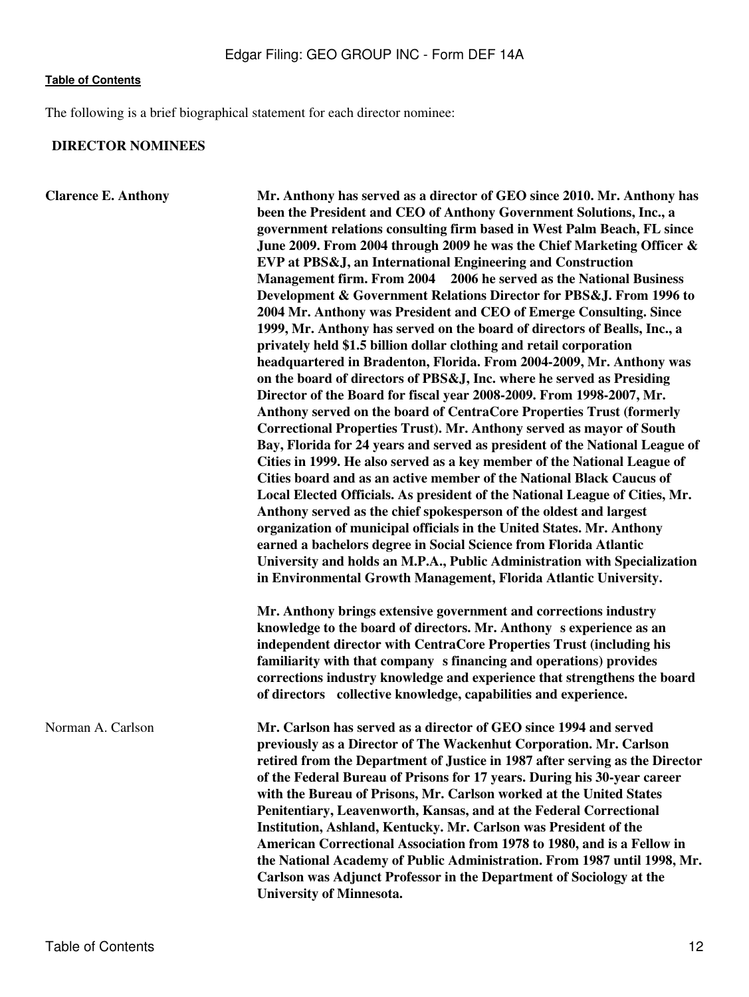The following is a brief biographical statement for each director nominee:

# **DIRECTOR NOMINEES**

| <b>Clarence E. Anthony</b> | Mr. Anthony has served as a director of GEO since 2010. Mr. Anthony has<br>been the President and CEO of Anthony Government Solutions, Inc., a<br>government relations consulting firm based in West Palm Beach, FL since<br>June 2009. From 2004 through 2009 he was the Chief Marketing Officer &<br>EVP at PBS&J, an International Engineering and Construction<br>Management firm. From 2004 2006 he served as the National Business<br>Development & Government Relations Director for PBS&J. From 1996 to<br>2004 Mr. Anthony was President and CEO of Emerge Consulting. Since<br>1999, Mr. Anthony has served on the board of directors of Bealls, Inc., a<br>privately held \$1.5 billion dollar clothing and retail corporation<br>headquartered in Bradenton, Florida. From 2004-2009, Mr. Anthony was<br>on the board of directors of PBS&J, Inc. where he served as Presiding<br>Director of the Board for fiscal year 2008-2009. From 1998-2007, Mr.<br>Anthony served on the board of CentraCore Properties Trust (formerly<br>Correctional Properties Trust). Mr. Anthony served as mayor of South<br>Bay, Florida for 24 years and served as president of the National League of<br>Cities in 1999. He also served as a key member of the National League of<br>Cities board and as an active member of the National Black Caucus of |  |  |  |
|----------------------------|-------------------------------------------------------------------------------------------------------------------------------------------------------------------------------------------------------------------------------------------------------------------------------------------------------------------------------------------------------------------------------------------------------------------------------------------------------------------------------------------------------------------------------------------------------------------------------------------------------------------------------------------------------------------------------------------------------------------------------------------------------------------------------------------------------------------------------------------------------------------------------------------------------------------------------------------------------------------------------------------------------------------------------------------------------------------------------------------------------------------------------------------------------------------------------------------------------------------------------------------------------------------------------------------------------------------------------------------------------|--|--|--|
|                            | Local Elected Officials. As president of the National League of Cities, Mr.<br>Anthony served as the chief spokesperson of the oldest and largest<br>organization of municipal officials in the United States. Mr. Anthony<br>earned a bachelors degree in Social Science from Florida Atlantic<br>University and holds an M.P.A., Public Administration with Specialization<br>in Environmental Growth Management, Florida Atlantic University.                                                                                                                                                                                                                                                                                                                                                                                                                                                                                                                                                                                                                                                                                                                                                                                                                                                                                                      |  |  |  |
|                            | Mr. Anthony brings extensive government and corrections industry<br>knowledge to the board of directors. Mr. Anthony s experience as an<br>independent director with CentraCore Properties Trust (including his<br>familiarity with that company s financing and operations) provides<br>corrections industry knowledge and experience that strengthens the board<br>of directors collective knowledge, capabilities and experience.                                                                                                                                                                                                                                                                                                                                                                                                                                                                                                                                                                                                                                                                                                                                                                                                                                                                                                                  |  |  |  |
| Norman A. Carlson          | Mr. Carlson has served as a director of GEO since 1994 and served<br>previously as a Director of The Wackenhut Corporation. Mr. Carlson<br>retired from the Department of Justice in 1987 after serving as the Director<br>of the Federal Bureau of Prisons for 17 years. During his 30-year career<br>with the Bureau of Prisons, Mr. Carlson worked at the United States<br>Penitentiary, Leavenworth, Kansas, and at the Federal Correctional<br>Institution, Ashland, Kentucky. Mr. Carlson was President of the<br>American Correctional Association from 1978 to 1980, and is a Fellow in<br>the National Academy of Public Administration. From 1987 until 1998, Mr.<br>Carlson was Adjunct Professor in the Department of Sociology at the<br><b>University of Minnesota.</b>                                                                                                                                                                                                                                                                                                                                                                                                                                                                                                                                                                 |  |  |  |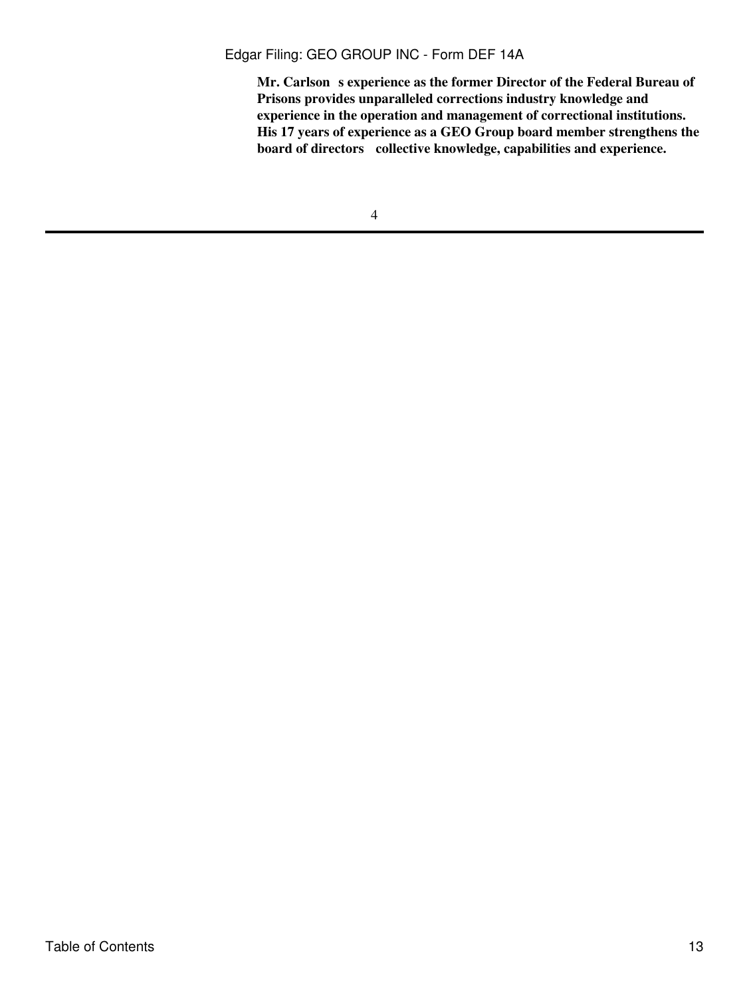Mr. Carlson s experience as the former Director of the Federal Bureau of **Prisons provides unparalleled corrections industry knowledge and experience in the operation and management of correctional institutions. His 17 years of experience as a GEO Group board member strengthens the board of directors collective knowledge, capabilities and experience.**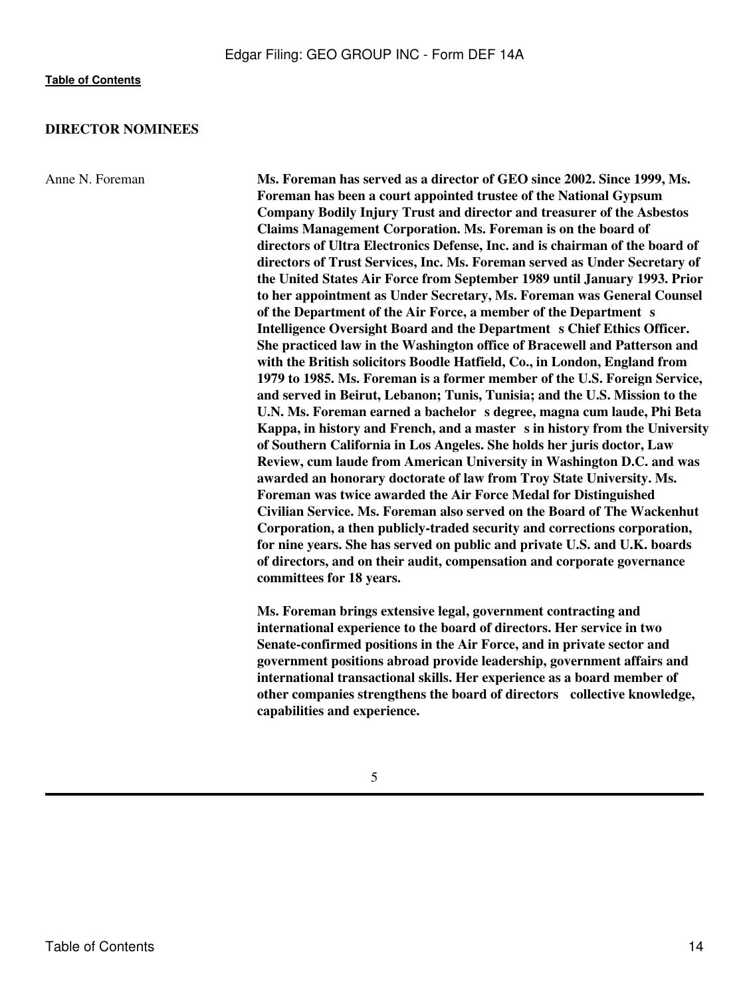#### **DIRECTOR NOMINEES**

Anne N. Foreman **Ms. Foreman has served as a director of GEO since 2002. Since 1999, Ms. Foreman has been a court appointed trustee of the National Gypsum Company Bodily Injury Trust and director and treasurer of the Asbestos Claims Management Corporation. Ms. Foreman is on the board of directors of Ultra Electronics Defense, Inc. and is chairman of the board of directors of Trust Services, Inc. Ms. Foreman served as Under Secretary of the United States Air Force from September 1989 until January 1993. Prior to her appointment as Under Secretary, Ms. Foreman was General Counsel** of the Department of the Air Force, a member of the Department s Intelligence Oversight Board and the Department s Chief Ethics Officer. **She practiced law in the Washington office of Bracewell and Patterson and with the British solicitors Boodle Hatfield, Co., in London, England from 1979 to 1985. Ms. Foreman is a former member of the U.S. Foreign Service, and served in Beirut, Lebanon; Tunis, Tunisia; and the U.S. Mission to the U.N. Ms. Foreman earned a bachelors degree, magna cum laude, Phi Beta** Kappa, in history and French, and a master s in history from the University **of Southern California in Los Angeles. She holds her juris doctor, Law Review, cum laude from American University in Washington D.C. and was awarded an honorary doctorate of law from Troy State University. Ms. Foreman was twice awarded the Air Force Medal for Distinguished Civilian Service. Ms. Foreman also served on the Board of The Wackenhut Corporation, a then publicly-traded security and corrections corporation, for nine years. She has served on public and private U.S. and U.K. boards of directors, and on their audit, compensation and corporate governance committees for 18 years.**

> **Ms. Foreman brings extensive legal, government contracting and international experience to the board of directors. Her service in two Senate-confirmed positions in the Air Force, and in private sector and government positions abroad provide leadership, government affairs and international transactional skills. Her experience as a board member of other companies strengthens the board of directors collective knowledge, capabilities and experience.**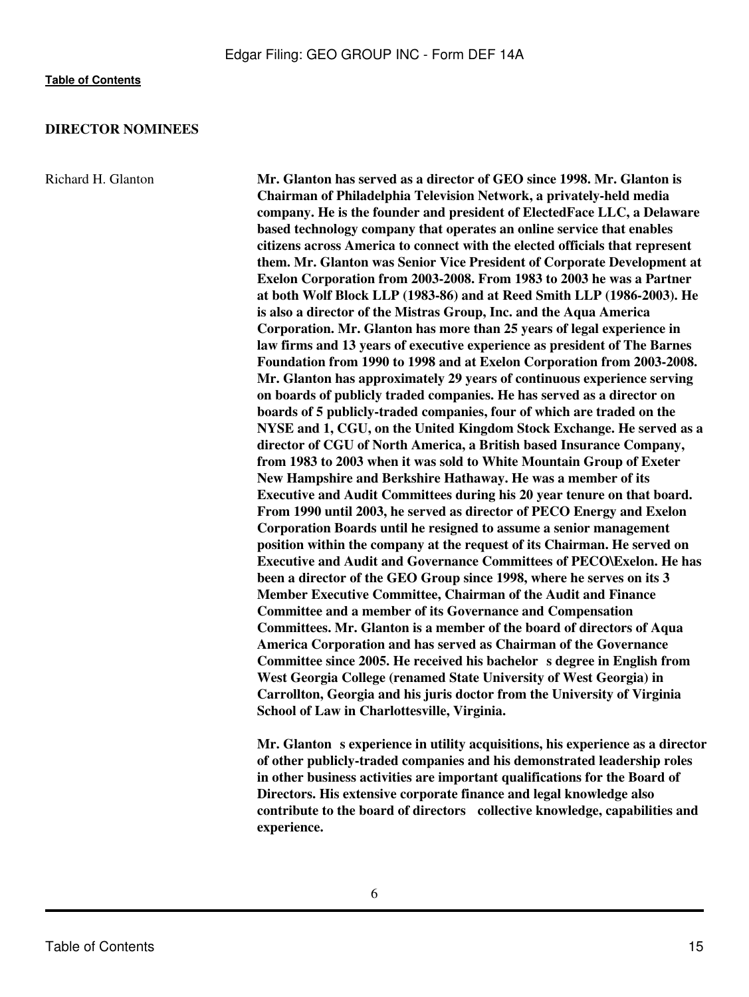#### **DIRECTOR NOMINEES**

Richard H. Glanton **Mr. Glanton has served as a director of GEO since 1998. Mr. Glanton is Chairman of Philadelphia Television Network, a privately-held media company. He is the founder and president of ElectedFace LLC, a Delaware based technology company that operates an online service that enables citizens across America to connect with the elected officials that represent them. Mr. Glanton was Senior Vice President of Corporate Development at Exelon Corporation from 2003-2008. From 1983 to 2003 he was a Partner at both Wolf Block LLP (1983-86) and at Reed Smith LLP (1986-2003). He is also a director of the Mistras Group, Inc. and the Aqua America Corporation. Mr. Glanton has more than 25 years of legal experience in law firms and 13 years of executive experience as president of The Barnes Foundation from 1990 to 1998 and at Exelon Corporation from 2003-2008. Mr. Glanton has approximately 29 years of continuous experience serving on boards of publicly traded companies. He has served as a director on boards of 5 publicly-traded companies, four of which are traded on the NYSE and 1, CGU, on the United Kingdom Stock Exchange. He served as a director of CGU of North America, a British based Insurance Company, from 1983 to 2003 when it was sold to White Mountain Group of Exeter New Hampshire and Berkshire Hathaway. He was a member of its Executive and Audit Committees during his 20 year tenure on that board. From 1990 until 2003, he served as director of PECO Energy and Exelon Corporation Boards until he resigned to assume a senior management position within the company at the request of its Chairman. He served on Executive and Audit and Governance Committees of PECO\Exelon. He has been a director of the GEO Group since 1998, where he serves on its 3 Member Executive Committee, Chairman of the Audit and Finance Committee and a member of its Governance and Compensation Committees. Mr. Glanton is a member of the board of directors of Aqua America Corporation and has served as Chairman of the Governance** Committee since 2005. He received his bachelor s degree in English from **West Georgia College (renamed State University of West Georgia) in Carrollton, Georgia and his juris doctor from the University of Virginia School of Law in Charlottesville, Virginia.**

> **Mr. Glanton** s experience in utility acquisitions, his experience as a director **of other publicly-traded companies and his demonstrated leadership roles in other business activities are important qualifications for the Board of Directors. His extensive corporate finance and legal knowledge also contribute to the board of directors collective knowledge, capabilities and experience.**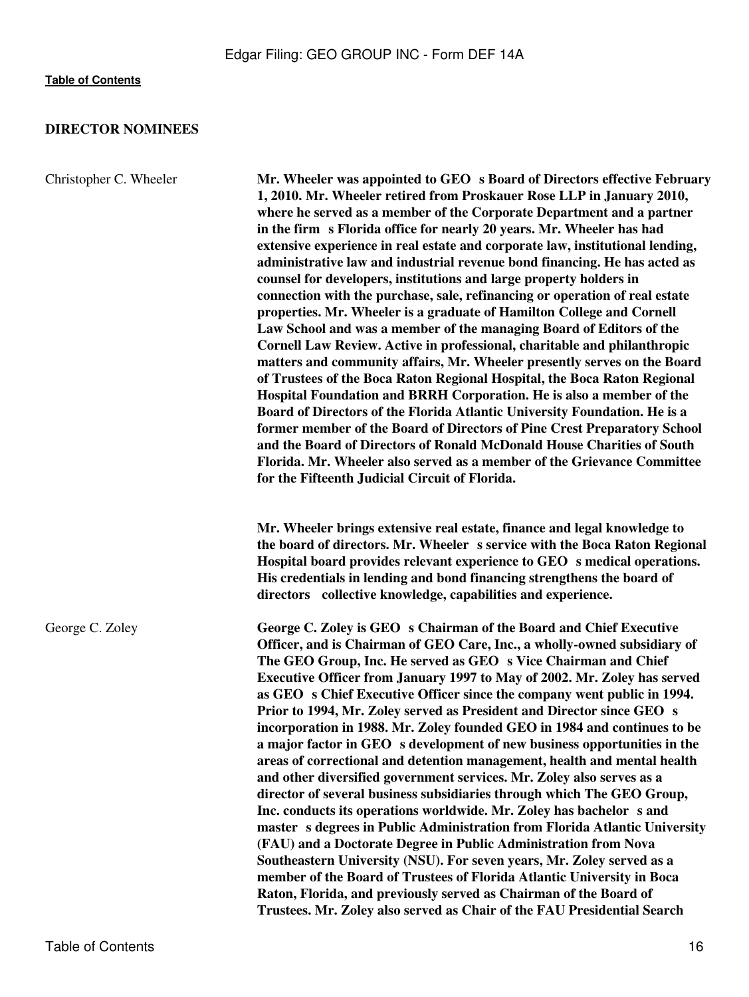# **DIRECTOR NOMINEES**

| Christopher C. Wheeler | Mr. Wheeler was appointed to GEO s Board of Directors effective February<br>1, 2010. Mr. Wheeler retired from Proskauer Rose LLP in January 2010,<br>where he served as a member of the Corporate Department and a partner<br>in the firm s Florida office for nearly 20 years. Mr. Wheeler has had<br>extensive experience in real estate and corporate law, institutional lending,<br>administrative law and industrial revenue bond financing. He has acted as<br>counsel for developers, institutions and large property holders in<br>connection with the purchase, sale, refinancing or operation of real estate<br>properties. Mr. Wheeler is a graduate of Hamilton College and Cornell<br>Law School and was a member of the managing Board of Editors of the<br>Cornell Law Review. Active in professional, charitable and philanthropic<br>matters and community affairs, Mr. Wheeler presently serves on the Board<br>of Trustees of the Boca Raton Regional Hospital, the Boca Raton Regional<br>Hospital Foundation and BRRH Corporation. He is also a member of the<br>Board of Directors of the Florida Atlantic University Foundation. He is a<br>former member of the Board of Directors of Pine Crest Preparatory School<br>and the Board of Directors of Ronald McDonald House Charities of South<br>Florida. Mr. Wheeler also served as a member of the Grievance Committee<br>for the Fifteenth Judicial Circuit of Florida. |  |  |  |
|------------------------|----------------------------------------------------------------------------------------------------------------------------------------------------------------------------------------------------------------------------------------------------------------------------------------------------------------------------------------------------------------------------------------------------------------------------------------------------------------------------------------------------------------------------------------------------------------------------------------------------------------------------------------------------------------------------------------------------------------------------------------------------------------------------------------------------------------------------------------------------------------------------------------------------------------------------------------------------------------------------------------------------------------------------------------------------------------------------------------------------------------------------------------------------------------------------------------------------------------------------------------------------------------------------------------------------------------------------------------------------------------------------------------------------------------------------------------------------|--|--|--|
|                        | Mr. Wheeler brings extensive real estate, finance and legal knowledge to<br>the board of directors. Mr. Wheeler s service with the Boca Raton Regional<br>Hospital board provides relevant experience to GEO s medical operations.<br>His credentials in lending and bond financing strengthens the board of<br>directors collective knowledge, capabilities and experience.                                                                                                                                                                                                                                                                                                                                                                                                                                                                                                                                                                                                                                                                                                                                                                                                                                                                                                                                                                                                                                                                       |  |  |  |
| George C. Zoley        | George C. Zoley is GEO s Chairman of the Board and Chief Executive<br>Officer, and is Chairman of GEO Care, Inc., a wholly-owned subsidiary of<br>The GEO Group, Inc. He served as GEO s Vice Chairman and Chief<br>Executive Officer from January 1997 to May of 2002. Mr. Zoley has served<br>as GEO s Chief Executive Officer since the company went public in 1994.<br>Prior to 1994, Mr. Zoley served as President and Director since GEO s<br>incorporation in 1988. Mr. Zoley founded GEO in 1984 and continues to be<br>a major factor in GEO s development of new business opportunities in the<br>areas of correctional and detention management, health and mental health<br>and other diversified government services. Mr. Zoley also serves as a<br>director of several business subsidiaries through which The GEO Group,<br>Inc. conducts its operations worldwide. Mr. Zoley has bachelor s and<br>master s degrees in Public Administration from Florida Atlantic University<br>(FAU) and a Doctorate Degree in Public Administration from Nova<br>Southeastern University (NSU). For seven years, Mr. Zoley served as a<br>member of the Board of Trustees of Florida Atlantic University in Boca<br>Raton, Florida, and previously served as Chairman of the Board of<br>Trustees. Mr. Zoley also served as Chair of the FAU Presidential Search                                                                                |  |  |  |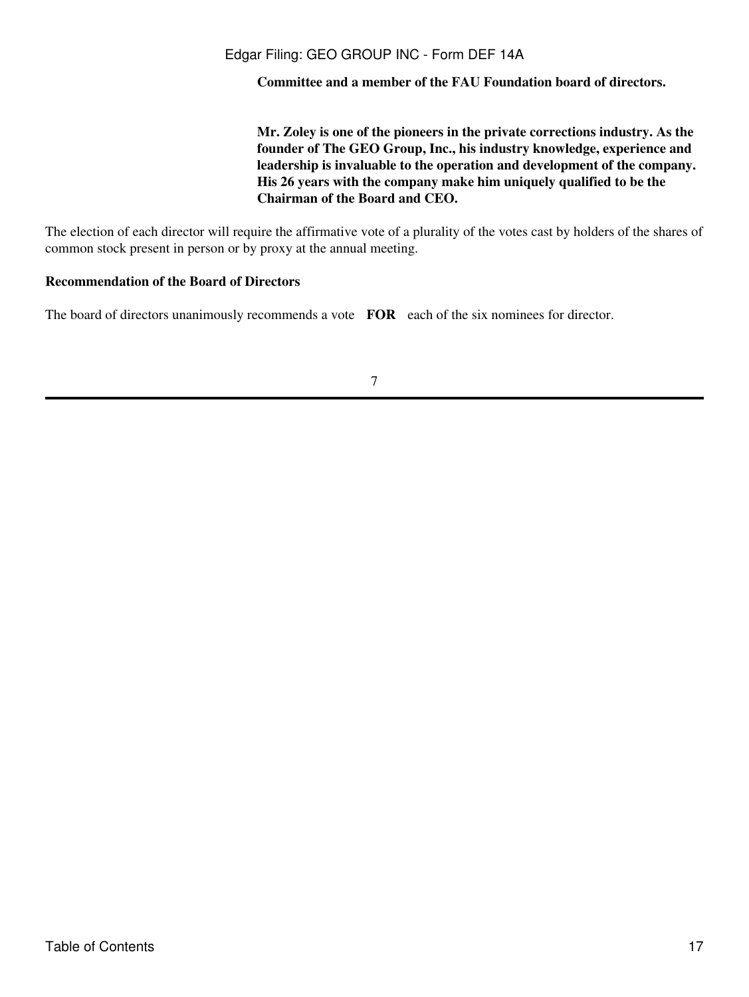**Committee and a member of the FAU Foundation board of directors.**

**Mr. Zoley is one of the pioneers in the private corrections industry. As the founder of The GEO Group, Inc., his industry knowledge, experience and leadership is invaluable to the operation and development of the company. His 26 years with the company make him uniquely qualified to be the Chairman of the Board and CEO.**

The election of each director will require the affirmative vote of a plurality of the votes cast by holders of the shares of common stock present in person or by proxy at the annual meeting.

## **Recommendation of the Board of Directors**

The board of directors unanimously recommends a vote **FOR** each of the six nominees for director.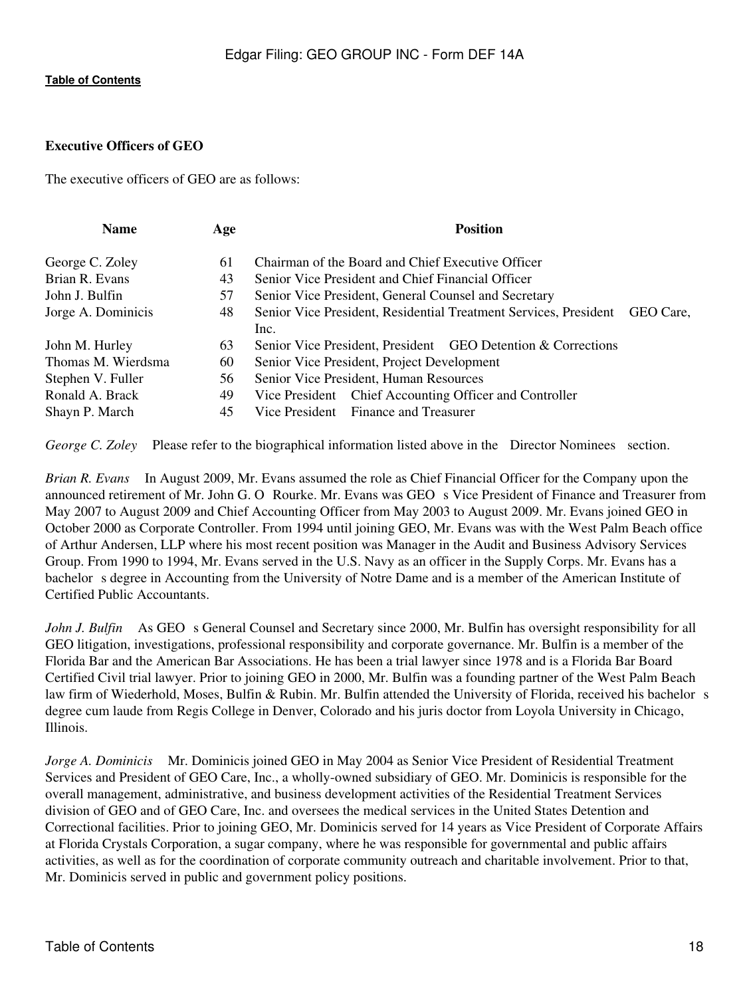# <span id="page-17-0"></span>**Executive Officers of GEO**

The executive officers of GEO are as follows:

| <b>Name</b>        | Age | <b>Position</b>                                                               |  |  |
|--------------------|-----|-------------------------------------------------------------------------------|--|--|
| George C. Zoley    | 61  | Chairman of the Board and Chief Executive Officer                             |  |  |
| Brian R. Evans     | 43  | Senior Vice President and Chief Financial Officer                             |  |  |
| John J. Bulfin     | 57  | Senior Vice President, General Counsel and Secretary                          |  |  |
| Jorge A. Dominicis | 48  | Senior Vice President, Residential Treatment Services, President<br>GEO Care. |  |  |
|                    |     | Inc.                                                                          |  |  |
| John M. Hurley     | 63  | Senior Vice President, President GEO Detention & Corrections                  |  |  |
| Thomas M. Wierdsma | 60  | Senior Vice President, Project Development                                    |  |  |
| Stephen V. Fuller  | 56  | Senior Vice President, Human Resources                                        |  |  |
| Ronald A. Brack    | 49  | Vice President Chief Accounting Officer and Controller                        |  |  |
| Shayn P. March     | 45  | Vice President Finance and Treasurer                                          |  |  |

*George C. Zoley* Please refer to the biographical information listed above in the Director Nominees section.

*Brian R. Evans* In August 2009, Mr. Evans assumed the role as Chief Financial Officer for the Company upon the announced retirement of Mr. John G. O Rourke. Mr. Evans was GEO s Vice President of Finance and Treasurer from May 2007 to August 2009 and Chief Accounting Officer from May 2003 to August 2009. Mr. Evans joined GEO in October 2000 as Corporate Controller. From 1994 until joining GEO, Mr. Evans was with the West Palm Beach office of Arthur Andersen, LLP where his most recent position was Manager in the Audit and Business Advisory Services Group. From 1990 to 1994, Mr. Evans served in the U.S. Navy as an officer in the Supply Corps. Mr. Evans has a bachelor s degree in Accounting from the University of Notre Dame and is a member of the American Institute of Certified Public Accountants.

*John J. Bulfin* As GEO s General Counsel and Secretary since 2000, Mr. Bulfin has oversight responsibility for all GEO litigation, investigations, professional responsibility and corporate governance. Mr. Bulfin is a member of the Florida Bar and the American Bar Associations. He has been a trial lawyer since 1978 and is a Florida Bar Board Certified Civil trial lawyer. Prior to joining GEO in 2000, Mr. Bulfin was a founding partner of the West Palm Beach law firm of Wiederhold, Moses, Bulfin & Rubin. Mr. Bulfin attended the University of Florida, received his bachelor s degree cum laude from Regis College in Denver, Colorado and his juris doctor from Loyola University in Chicago, Illinois.

*Jorge A. Dominicis* Mr. Dominicis joined GEO in May 2004 as Senior Vice President of Residential Treatment Services and President of GEO Care, Inc., a wholly-owned subsidiary of GEO. Mr. Dominicis is responsible for the overall management, administrative, and business development activities of the Residential Treatment Services division of GEO and of GEO Care, Inc. and oversees the medical services in the United States Detention and Correctional facilities. Prior to joining GEO, Mr. Dominicis served for 14 years as Vice President of Corporate Affairs at Florida Crystals Corporation, a sugar company, where he was responsible for governmental and public affairs activities, as well as for the coordination of corporate community outreach and charitable involvement. Prior to that, Mr. Dominicis served in public and government policy positions.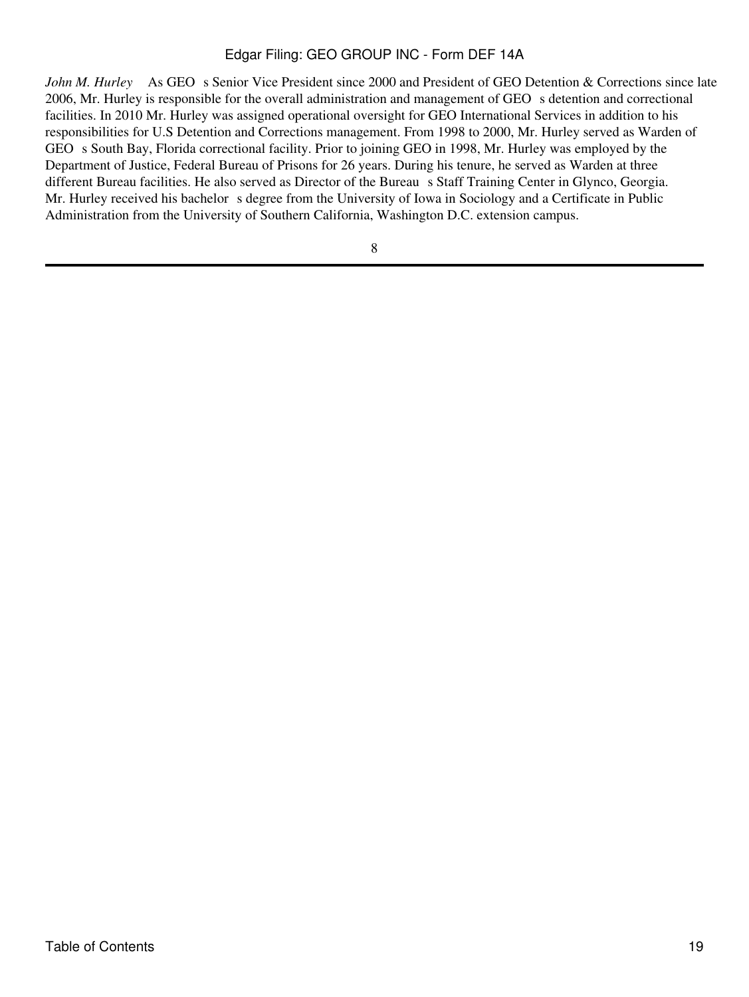*John M. Hurley* As GEO s Senior Vice President since 2000 and President of GEO Detention & Corrections since late 2006, Mr. Hurley is responsible for the overall administration and management of GEO s detention and correctional facilities. In 2010 Mr. Hurley was assigned operational oversight for GEO International Services in addition to his responsibilities for U.S Detention and Corrections management. From 1998 to 2000, Mr. Hurley served as Warden of GEO s South Bay, Florida correctional facility. Prior to joining GEO in 1998, Mr. Hurley was employed by the Department of Justice, Federal Bureau of Prisons for 26 years. During his tenure, he served as Warden at three different Bureau facilities. He also served as Director of the Bureau s Staff Training Center in Glynco, Georgia. Mr. Hurley received his bachelor s degree from the University of Iowa in Sociology and a Certificate in Public Administration from the University of Southern California, Washington D.C. extension campus.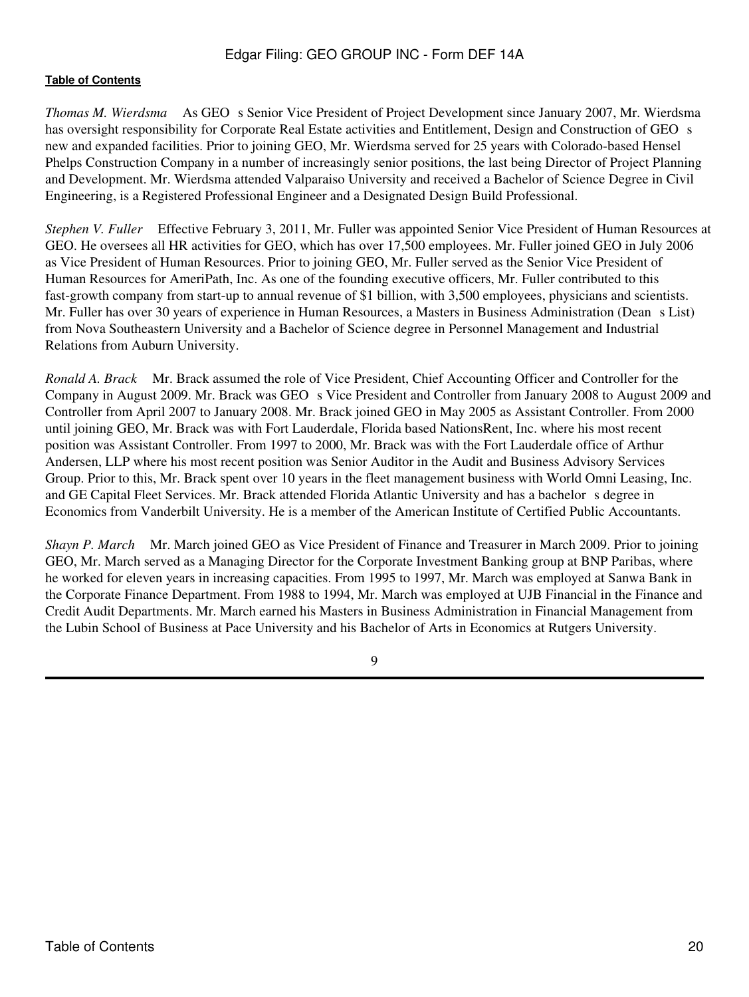*Thomas M. Wierdsma* As GEO s Senior Vice President of Project Development since January 2007, Mr. Wierdsma has oversight responsibility for Corporate Real Estate activities and Entitlement, Design and Construction of GEO s new and expanded facilities. Prior to joining GEO, Mr. Wierdsma served for 25 years with Colorado-based Hensel Phelps Construction Company in a number of increasingly senior positions, the last being Director of Project Planning and Development. Mr. Wierdsma attended Valparaiso University and received a Bachelor of Science Degree in Civil Engineering, is a Registered Professional Engineer and a Designated Design Build Professional.

*Stephen V. Fuller* Effective February 3, 2011, Mr. Fuller was appointed Senior Vice President of Human Resources at GEO. He oversees all HR activities for GEO, which has over 17,500 employees. Mr. Fuller joined GEO in July 2006 as Vice President of Human Resources. Prior to joining GEO, Mr. Fuller served as the Senior Vice President of Human Resources for AmeriPath, Inc. As one of the founding executive officers, Mr. Fuller contributed to this fast-growth company from start-up to annual revenue of \$1 billion, with 3,500 employees, physicians and scientists. Mr. Fuller has over 30 years of experience in Human Resources, a Masters in Business Administration (Dean s List) from Nova Southeastern University and a Bachelor of Science degree in Personnel Management and Industrial Relations from Auburn University.

*Ronald A. Brack*  Mr. Brack assumed the role of Vice President, Chief Accounting Officer and Controller for the Company in August 2009. Mr. Brack was GEO s Vice President and Controller from January 2008 to August 2009 and Controller from April 2007 to January 2008. Mr. Brack joined GEO in May 2005 as Assistant Controller. From 2000 until joining GEO, Mr. Brack was with Fort Lauderdale, Florida based NationsRent, Inc. where his most recent position was Assistant Controller. From 1997 to 2000, Mr. Brack was with the Fort Lauderdale office of Arthur Andersen, LLP where his most recent position was Senior Auditor in the Audit and Business Advisory Services Group. Prior to this, Mr. Brack spent over 10 years in the fleet management business with World Omni Leasing, Inc. and GE Capital Fleet Services. Mr. Brack attended Florida Atlantic University and has a bachelor s degree in Economics from Vanderbilt University. He is a member of the American Institute of Certified Public Accountants.

*Shayn P. March*  Mr. March joined GEO as Vice President of Finance and Treasurer in March 2009. Prior to joining GEO, Mr. March served as a Managing Director for the Corporate Investment Banking group at BNP Paribas, where he worked for eleven years in increasing capacities. From 1995 to 1997, Mr. March was employed at Sanwa Bank in the Corporate Finance Department. From 1988 to 1994, Mr. March was employed at UJB Financial in the Finance and Credit Audit Departments. Mr. March earned his Masters in Business Administration in Financial Management from the Lubin School of Business at Pace University and his Bachelor of Arts in Economics at Rutgers University.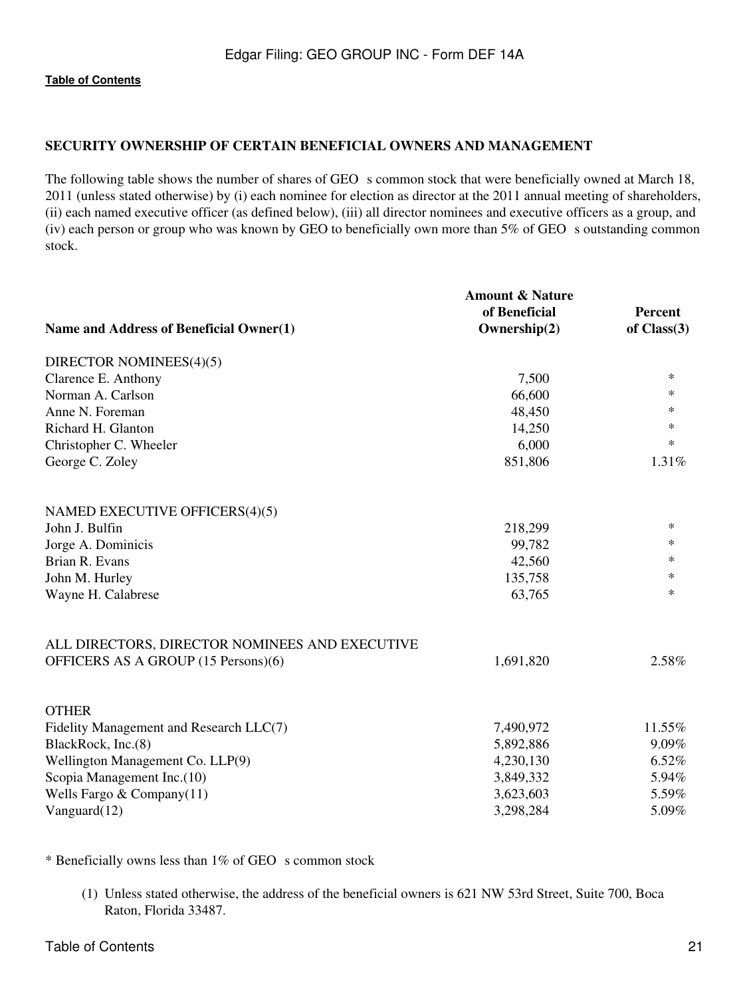# <span id="page-20-0"></span>**SECURITY OWNERSHIP OF CERTAIN BENEFICIAL OWNERS AND MANAGEMENT**

The following table shows the number of shares of GEO s common stock that were beneficially owned at March 18, 2011 (unless stated otherwise) by (i) each nominee for election as director at the 2011 annual meeting of shareholders, (ii) each named executive officer (as defined below), (iii) all director nominees and executive officers as a group, and (iv) each person or group who was known by GEO to beneficially own more than  $5\%$  of GEO s outstanding common stock.

|                                                | <b>Amount &amp; Nature</b> |               |
|------------------------------------------------|----------------------------|---------------|
|                                                | of Beneficial              | Percent       |
| Name and Address of Beneficial Owner(1)        | Ownership(2)               | of $Class(3)$ |
| DIRECTOR NOMINEES(4)(5)                        |                            |               |
| Clarence E. Anthony                            | 7,500                      | $\ast$        |
| Norman A. Carlson                              | 66,600                     | ∗             |
| Anne N. Foreman                                | 48,450                     | ∗             |
| Richard H. Glanton                             | 14,250                     | $\ast$        |
| Christopher C. Wheeler                         | 6,000                      | $\ast$        |
| George C. Zoley                                | 851,806                    | 1.31%         |
| NAMED EXECUTIVE OFFICERS(4)(5)                 |                            |               |
| John J. Bulfin                                 | 218,299                    | $\ast$        |
| Jorge A. Dominicis                             | 99,782                     | $\ast$        |
| Brian R. Evans                                 | 42,560                     | ∗             |
| John M. Hurley                                 | 135,758                    | $\ast$        |
| Wayne H. Calabrese                             | 63,765                     | $\ast$        |
| ALL DIRECTORS, DIRECTOR NOMINEES AND EXECUTIVE |                            |               |
| OFFICERS AS A GROUP (15 Persons)(6)            | 1,691,820                  | 2.58%         |
| <b>OTHER</b>                                   |                            |               |
| Fidelity Management and Research LLC(7)        | 7,490,972                  | 11.55%        |
| BlackRock, Inc.(8)                             | 5,892,886                  | 9.09%         |
| Wellington Management Co. LLP(9)               | 4,230,130                  | 6.52%         |
| Scopia Management Inc.(10)                     | 3,849,332                  | 5.94%         |
| Wells Fargo $& Company(11)$                    | 3,623,603                  | 5.59%         |
| Vanguard $(12)$                                | 3,298,284                  | 5.09%         |

 $*$  Beneficially owns less than 1% of GEO s common stock

(1) Unless stated otherwise, the address of the beneficial owners is 621 NW 53rd Street, Suite 700, Boca Raton, Florida 33487.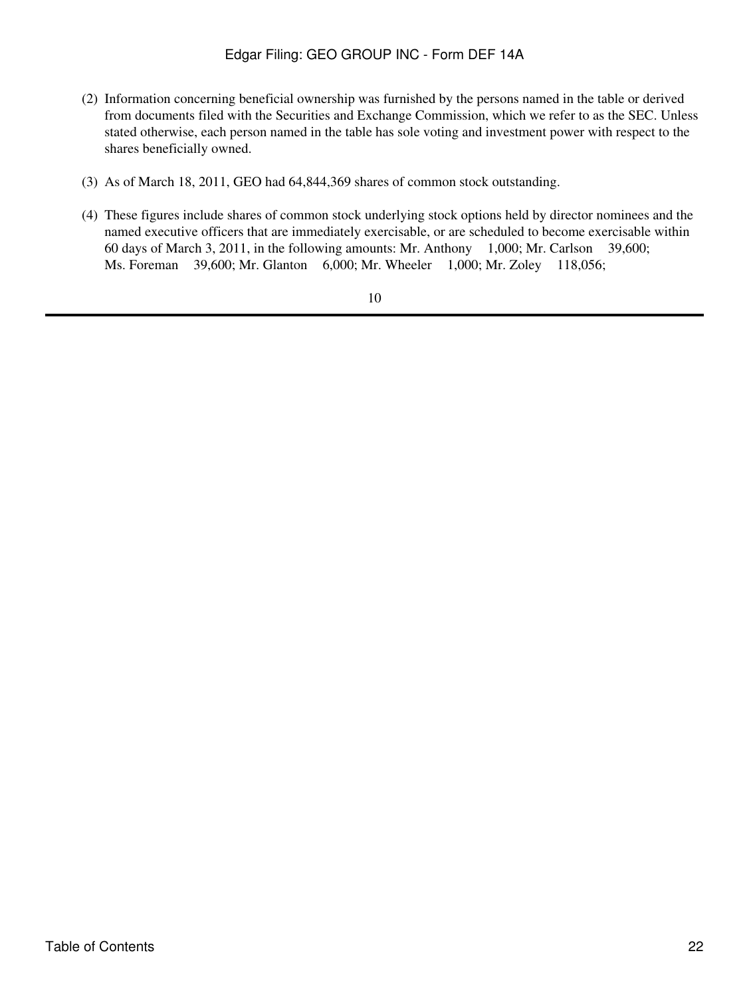- (2) Information concerning beneficial ownership was furnished by the persons named in the table or derived from documents filed with the Securities and Exchange Commission, which we refer to as the SEC. Unless stated otherwise, each person named in the table has sole voting and investment power with respect to the shares beneficially owned.
- (3) As of March 18, 2011, GEO had 64,844,369 shares of common stock outstanding.
- (4) These figures include shares of common stock underlying stock options held by director nominees and the named executive officers that are immediately exercisable, or are scheduled to become exercisable within 60 days of March 3, 2011, in the following amounts: Mr. Anthony 1,000; Mr. Carlson 39,600; Ms. Foreman 39,600; Mr. Glanton 6,000; Mr. Wheeler 1,000; Mr. Zoley 118,056;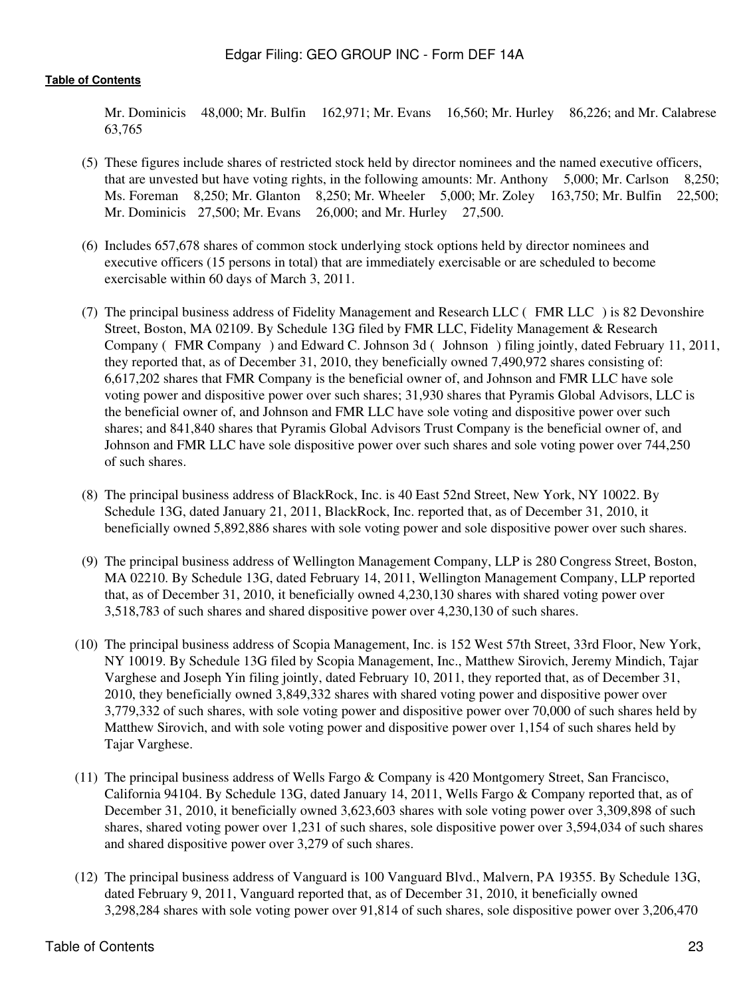Mr. Dominicis 48,000; Mr. Bulfin 162,971; Mr. Evans 16,560; Mr. Hurley 86,226; and Mr. Calabrese 63,765

- (5) These figures include shares of restricted stock held by director nominees and the named executive officers, that are unvested but have voting rights, in the following amounts: Mr. Anthony 5,000; Mr. Carlson 8,250; Ms. Foreman 8,250; Mr. Glanton 8,250; Mr. Wheeler 5,000; Mr. Zoley 163,750; Mr. Bulfin 22,500; Mr. Dominicis 27,500; Mr. Evans 26,000; and Mr. Hurley 27,500.
- (6) Includes 657,678 shares of common stock underlying stock options held by director nominees and executive officers (15 persons in total) that are immediately exercisable or are scheduled to become exercisable within 60 days of March 3, 2011.
- (7) The principal business address of Fidelity Management and Research LLC (FMR LLC) is 82 Devonshire Street, Boston, MA 02109. By Schedule 13G filed by FMR LLC, Fidelity Management & Research Company (FMR Company) and Edward C. Johnson 3d (Johnson) filing jointly, dated February 11, 2011, they reported that, as of December 31, 2010, they beneficially owned 7,490,972 shares consisting of: 6,617,202 shares that FMR Company is the beneficial owner of, and Johnson and FMR LLC have sole voting power and dispositive power over such shares; 31,930 shares that Pyramis Global Advisors, LLC is the beneficial owner of, and Johnson and FMR LLC have sole voting and dispositive power over such shares; and 841,840 shares that Pyramis Global Advisors Trust Company is the beneficial owner of, and Johnson and FMR LLC have sole dispositive power over such shares and sole voting power over 744,250 of such shares.
- (8) The principal business address of BlackRock, Inc. is 40 East 52nd Street, New York, NY 10022. By Schedule 13G, dated January 21, 2011, BlackRock, Inc. reported that, as of December 31, 2010, it beneficially owned 5,892,886 shares with sole voting power and sole dispositive power over such shares.
- (9) The principal business address of Wellington Management Company, LLP is 280 Congress Street, Boston, MA 02210. By Schedule 13G, dated February 14, 2011, Wellington Management Company, LLP reported that, as of December 31, 2010, it beneficially owned 4,230,130 shares with shared voting power over 3,518,783 of such shares and shared dispositive power over 4,230,130 of such shares.
- (10) The principal business address of Scopia Management, Inc. is 152 West 57th Street, 33rd Floor, New York, NY 10019. By Schedule 13G filed by Scopia Management, Inc., Matthew Sirovich, Jeremy Mindich, Tajar Varghese and Joseph Yin filing jointly, dated February 10, 2011, they reported that, as of December 31, 2010, they beneficially owned 3,849,332 shares with shared voting power and dispositive power over 3,779,332 of such shares, with sole voting power and dispositive power over 70,000 of such shares held by Matthew Sirovich, and with sole voting power and dispositive power over 1,154 of such shares held by Tajar Varghese.
- (11) The principal business address of Wells Fargo & Company is 420 Montgomery Street, San Francisco, California 94104. By Schedule 13G, dated January 14, 2011, Wells Fargo & Company reported that, as of December 31, 2010, it beneficially owned 3,623,603 shares with sole voting power over 3,309,898 of such shares, shared voting power over 1,231 of such shares, sole dispositive power over 3,594,034 of such shares and shared dispositive power over 3,279 of such shares.
- (12) The principal business address of Vanguard is 100 Vanguard Blvd., Malvern, PA 19355. By Schedule 13G, dated February 9, 2011, Vanguard reported that, as of December 31, 2010, it beneficially owned 3,298,284 shares with sole voting power over 91,814 of such shares, sole dispositive power over 3,206,470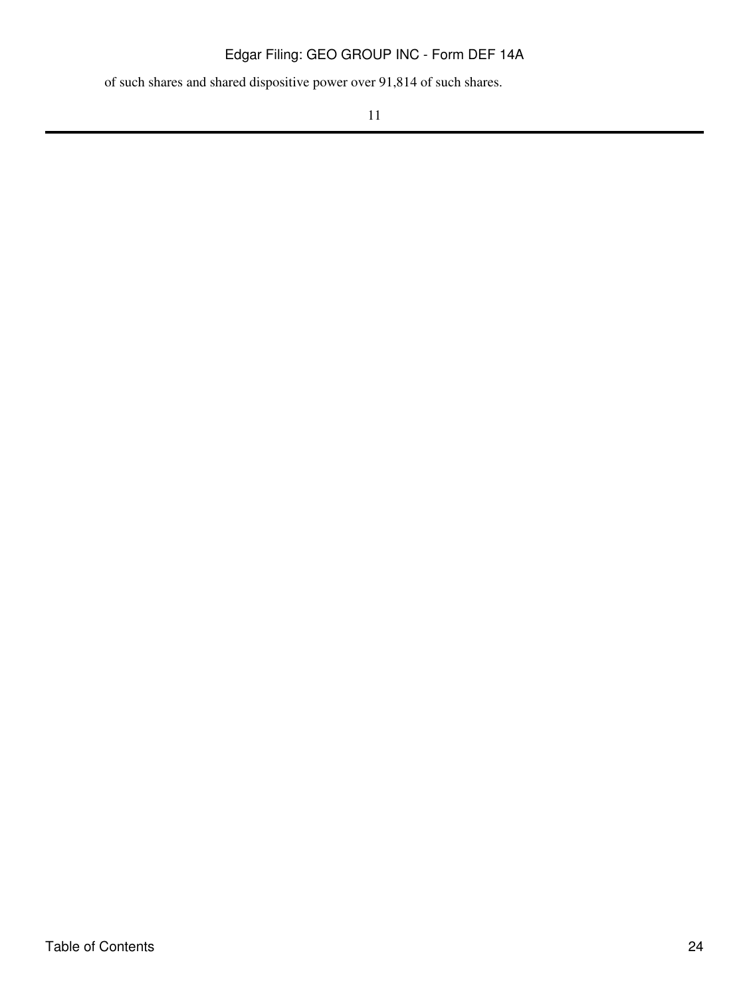of such shares and shared dispositive power over 91,814 of such shares.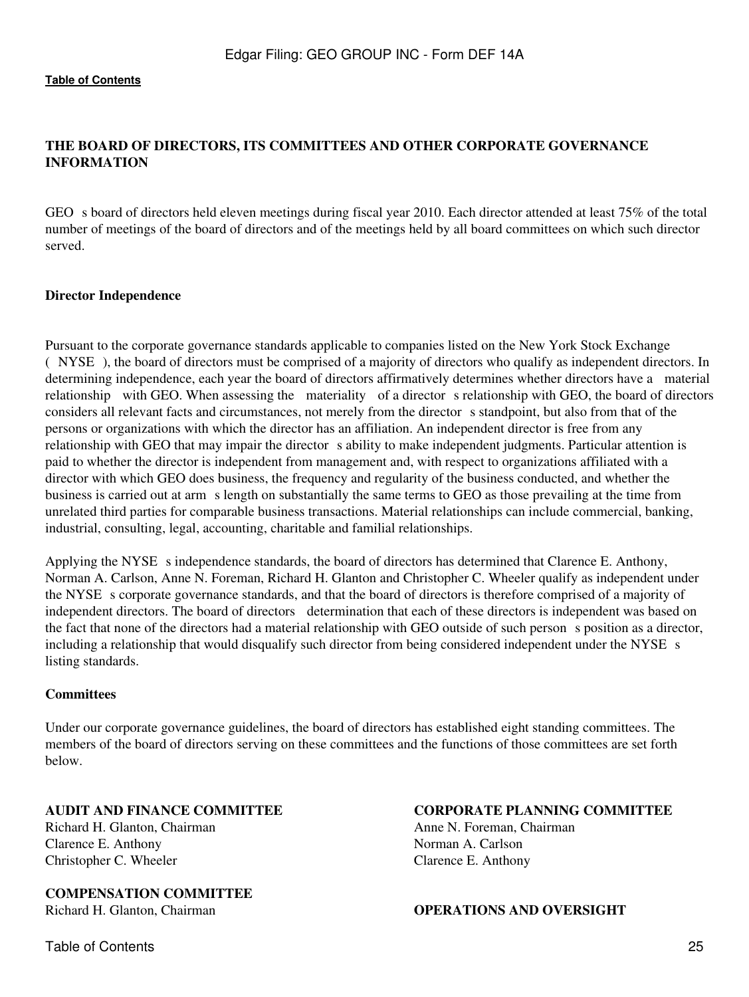# <span id="page-24-0"></span>**THE BOARD OF DIRECTORS, ITS COMMITTEES AND OTHER CORPORATE GOVERNANCE INFORMATION**

GEO s board of directors held eleven meetings during fiscal year 2010. Each director attended at least 75% of the total number of meetings of the board of directors and of the meetings held by all board committees on which such director served.

#### **Director Independence**

Pursuant to the corporate governance standards applicable to companies listed on the New York Stock Exchange (NYSE), the board of directors must be comprised of a majority of directors who qualify as independent directors. In determining independence, each year the board of directors affirmatively determines whether directors have a material relationship with GEO. When assessing the materiality of a director s relationship with GEO, the board of directors considers all relevant facts and circumstances, not merely from the director s standpoint, but also from that of the persons or organizations with which the director has an affiliation. An independent director is free from any relationship with GEO that may impair the director s ability to make independent judgments. Particular attention is paid to whether the director is independent from management and, with respect to organizations affiliated with a director with which GEO does business, the frequency and regularity of the business conducted, and whether the business is carried out at arms length on substantially the same terms to GEO as those prevailing at the time from unrelated third parties for comparable business transactions. Material relationships can include commercial, banking, industrial, consulting, legal, accounting, charitable and familial relationships.

Applying the NYSE s independence standards, the board of directors has determined that Clarence E. Anthony, Norman A. Carlson, Anne N. Foreman, Richard H. Glanton and Christopher C. Wheeler qualify as independent under the NYSE s corporate governance standards, and that the board of directors is therefore comprised of a majority of independent directors. The board of directors determination that each of these directors is independent was based on the fact that none of the directors had a material relationship with GEO outside of such persons position as a director, including a relationship that would disqualify such director from being considered independent under the NYSE s listing standards.

#### **Committees**

Under our corporate governance guidelines, the board of directors has established eight standing committees. The members of the board of directors serving on these committees and the functions of those committees are set forth below.

**AUDIT AND FINANCE COMMITTEE** Richard H. Glanton, Chairman

Clarence E. Anthony Christopher C. Wheeler

**COMPENSATION COMMITTEE**

Table of Contents 25

**CORPORATE PLANNING COMMITTEE**

Anne N. Foreman, Chairman Norman A. Carlson Clarence E. Anthony

Richard H. Glanton, Chairman **OPERATIONS AND OVERSIGHT**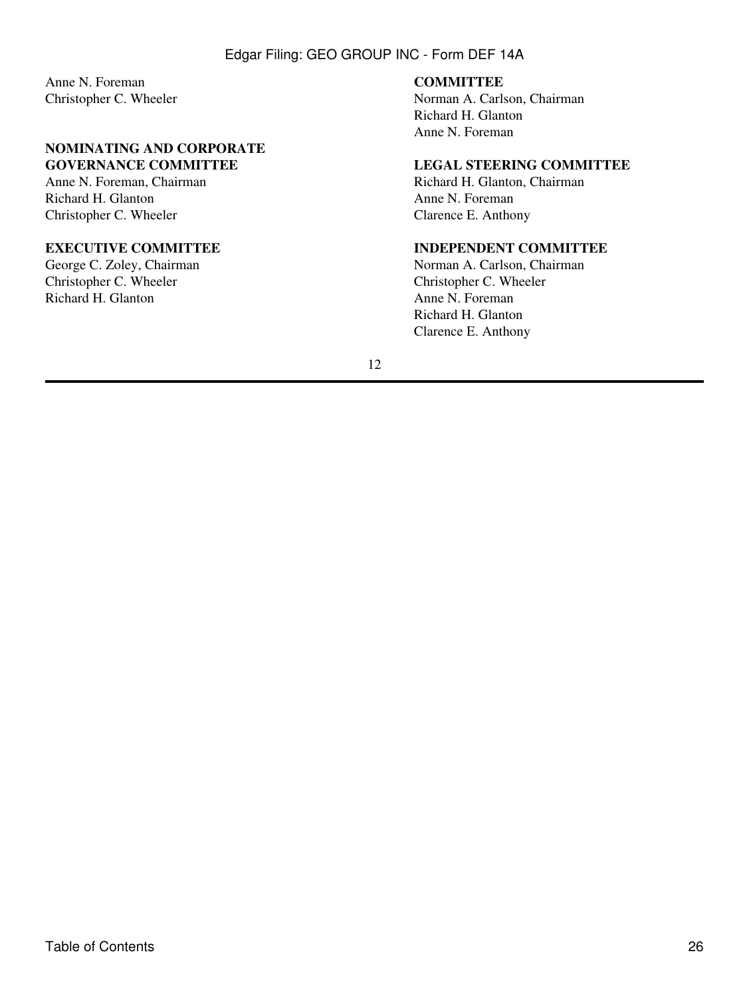Anne N. Foreman Christopher C. Wheeler

## **NOMINATING AND CORPORATE GOVERNANCE COMMITTEE**

Anne N. Foreman, Chairman Richard H. Glanton Christopher C. Wheeler

## **EXECUTIVE COMMITTEE**

George C. Zoley, Chairman Christopher C. Wheeler Richard H. Glanton

#### **COMMITTEE**

Norman A. Carlson, Chairman Richard H. Glanton Anne N. Foreman

# **LEGAL STEERING COMMITTEE**

Richard H. Glanton, Chairman Anne N. Foreman Clarence E. Anthony

## **INDEPENDENT COMMITTEE**

Norman A. Carlson, Chairman Christopher C. Wheeler Anne N. Foreman Richard H. Glanton Clarence E. Anthony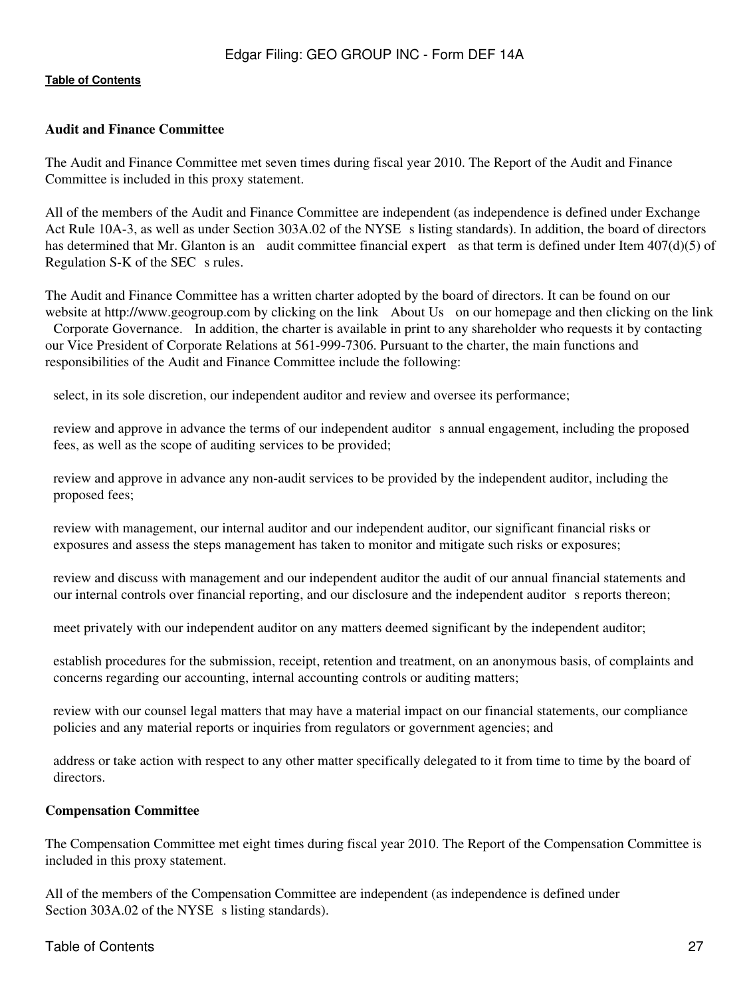### **Audit and Finance Committee**

The Audit and Finance Committee met seven times during fiscal year 2010. The Report of the Audit and Finance Committee is included in this proxy statement.

All of the members of the Audit and Finance Committee are independent (as independence is defined under Exchange Act Rule 10A-3, as well as under Section 303A.02 of the NYSE s listing standards). In addition, the board of directors has determined that Mr. Glanton is an audit committee financial expert as that term is defined under Item 407(d)(5) of Regulation S-K of the SEC s rules.

The Audit and Finance Committee has a written charter adopted by the board of directors. It can be found on our website at http://www.geogroup.com by clicking on the link About Us on our homepage and then clicking on the link Corporate Governance. In addition, the charter is available in print to any shareholder who requests it by contacting our Vice President of Corporate Relations at 561-999-7306. Pursuant to the charter, the main functions and responsibilities of the Audit and Finance Committee include the following:

select, in its sole discretion, our independent auditor and review and oversee its performance;

 review and approve in advance the terms of our independent auditors annual engagement, including the proposed fees, as well as the scope of auditing services to be provided;

 review and approve in advance any non-audit services to be provided by the independent auditor, including the proposed fees;

 review with management, our internal auditor and our independent auditor, our significant financial risks or exposures and assess the steps management has taken to monitor and mitigate such risks or exposures;

 review and discuss with management and our independent auditor the audit of our annual financial statements and our internal controls over financial reporting, and our disclosure and the independent auditor s reports thereon;

meet privately with our independent auditor on any matters deemed significant by the independent auditor;

 establish procedures for the submission, receipt, retention and treatment, on an anonymous basis, of complaints and concerns regarding our accounting, internal accounting controls or auditing matters;

 review with our counsel legal matters that may have a material impact on our financial statements, our compliance policies and any material reports or inquiries from regulators or government agencies; and

 address or take action with respect to any other matter specifically delegated to it from time to time by the board of directors.

## **Compensation Committee**

The Compensation Committee met eight times during fiscal year 2010. The Report of the Compensation Committee is included in this proxy statement.

All of the members of the Compensation Committee are independent (as independence is defined under Section 303A.02 of the NYSE s listing standards).

## Table of Contents 27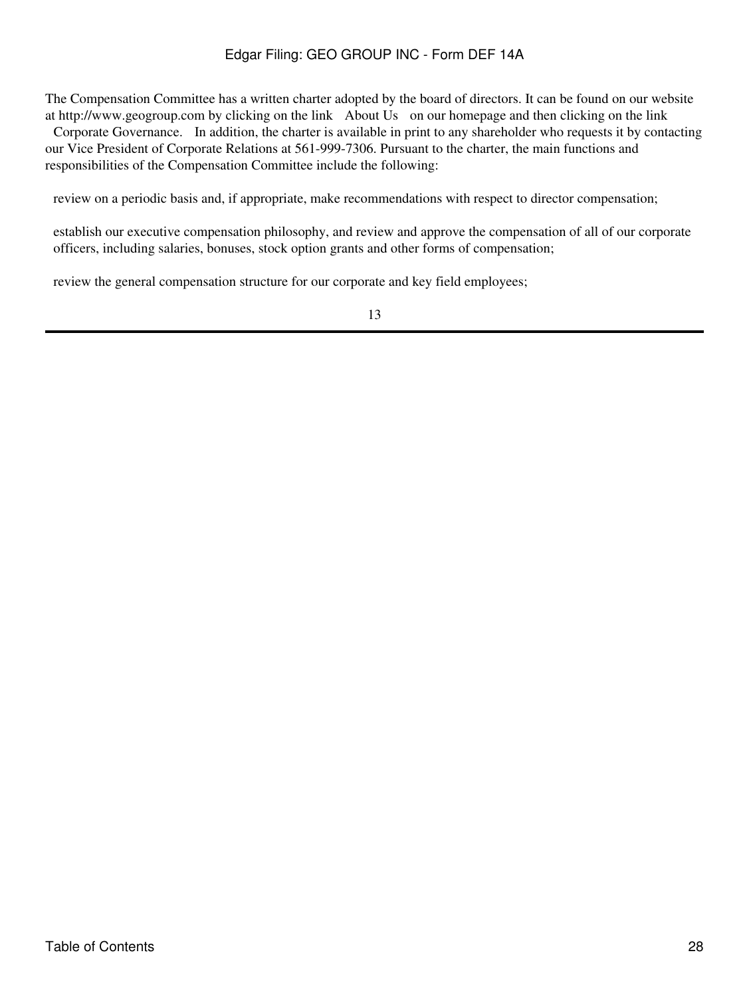The Compensation Committee has a written charter adopted by the board of directors. It can be found on our website at http://www.geogroup.com by clicking on the link About Us on our homepage and then clicking on the link

Corporate Governance. In addition, the charter is available in print to any shareholder who requests it by contacting our Vice President of Corporate Relations at 561-999-7306. Pursuant to the charter, the main functions and responsibilities of the Compensation Committee include the following:

review on a periodic basis and, if appropriate, make recommendations with respect to director compensation;

 establish our executive compensation philosophy, and review and approve the compensation of all of our corporate officers, including salaries, bonuses, stock option grants and other forms of compensation;

review the general compensation structure for our corporate and key field employees;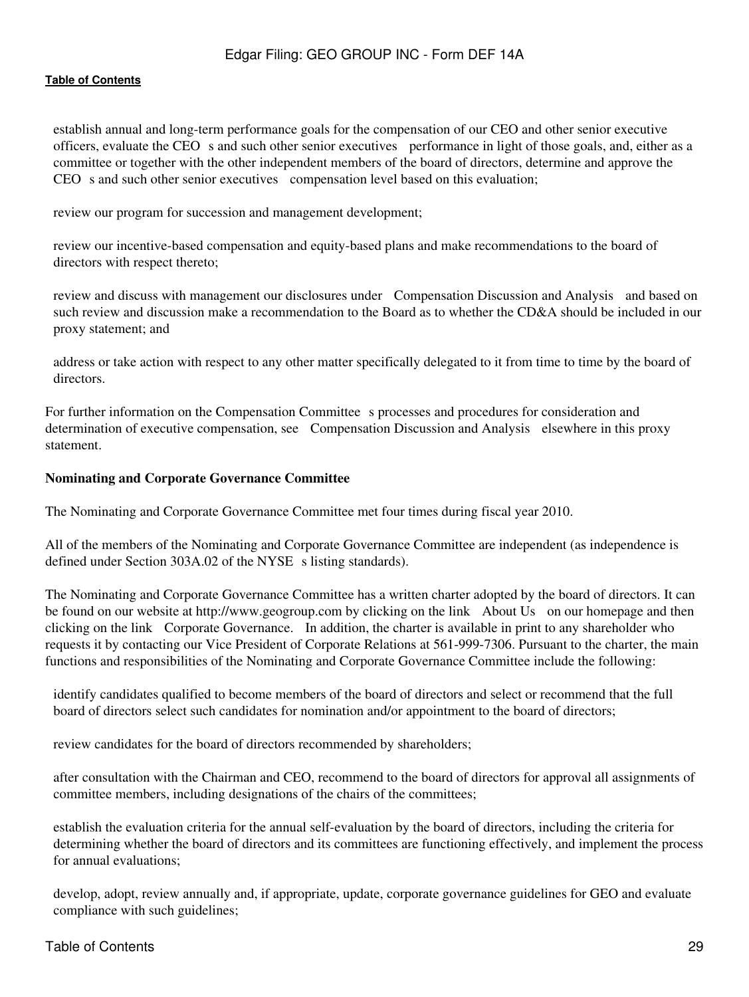establish annual and long-term performance goals for the compensation of our CEO and other senior executive officers, evaluate the CEO s and such other senior executives performance in light of those goals, and, either as a committee or together with the other independent members of the board of directors, determine and approve the CEO s and such other senior executives compensation level based on this evaluation;

review our program for succession and management development;

 review our incentive-based compensation and equity-based plans and make recommendations to the board of directors with respect thereto;

 review and discuss with management our disclosures under Compensation Discussion and Analysis and based on such review and discussion make a recommendation to the Board as to whether the CD&A should be included in our proxy statement; and

 address or take action with respect to any other matter specifically delegated to it from time to time by the board of directors.

For further information on the Compensation Committee s processes and procedures for consideration and determination of executive compensation, see Compensation Discussion and Analysis elsewhere in this proxy statement.

#### **Nominating and Corporate Governance Committee**

The Nominating and Corporate Governance Committee met four times during fiscal year 2010.

All of the members of the Nominating and Corporate Governance Committee are independent (as independence is defined under Section 303A.02 of the NYSE s listing standards).

The Nominating and Corporate Governance Committee has a written charter adopted by the board of directors. It can be found on our website at http://www.geogroup.com by clicking on the link About Us on our homepage and then clicking on the link Corporate Governance. In addition, the charter is available in print to any shareholder who requests it by contacting our Vice President of Corporate Relations at 561-999-7306. Pursuant to the charter, the main functions and responsibilities of the Nominating and Corporate Governance Committee include the following:

 identify candidates qualified to become members of the board of directors and select or recommend that the full board of directors select such candidates for nomination and/or appointment to the board of directors;

review candidates for the board of directors recommended by shareholders;

 after consultation with the Chairman and CEO, recommend to the board of directors for approval all assignments of committee members, including designations of the chairs of the committees;

 establish the evaluation criteria for the annual self-evaluation by the board of directors, including the criteria for determining whether the board of directors and its committees are functioning effectively, and implement the process for annual evaluations;

 develop, adopt, review annually and, if appropriate, update, corporate governance guidelines for GEO and evaluate compliance with such guidelines;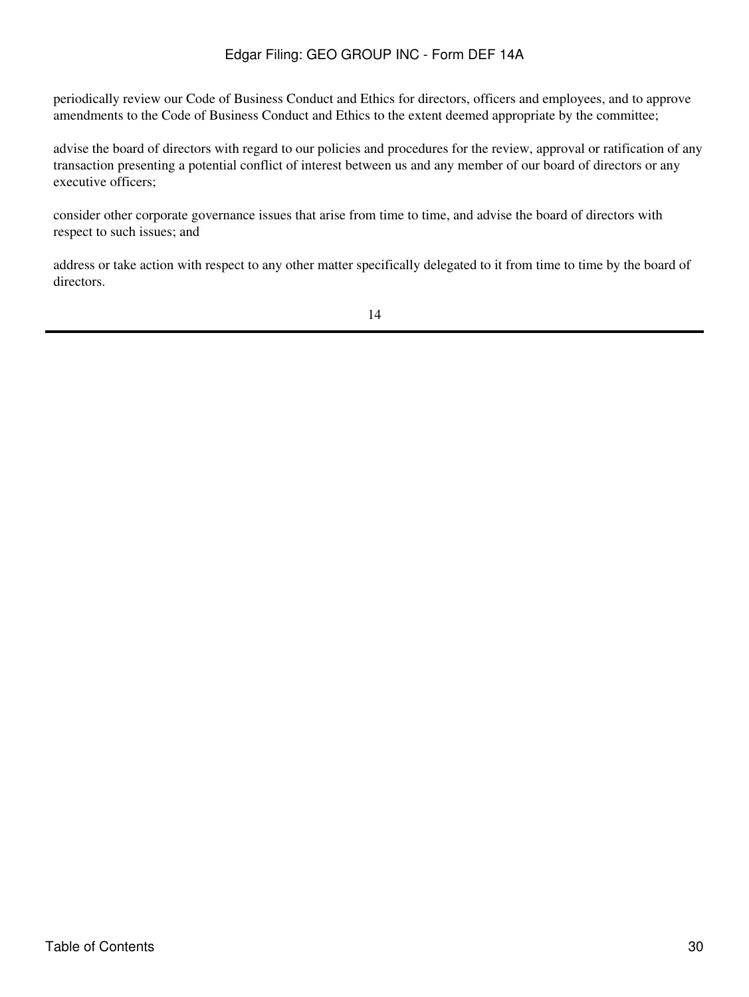periodically review our Code of Business Conduct and Ethics for directors, officers and employees, and to approve amendments to the Code of Business Conduct and Ethics to the extent deemed appropriate by the committee;

 advise the board of directors with regard to our policies and procedures for the review, approval or ratification of any transaction presenting a potential conflict of interest between us and any member of our board of directors or any executive officers;

 consider other corporate governance issues that arise from time to time, and advise the board of directors with respect to such issues; and

 address or take action with respect to any other matter specifically delegated to it from time to time by the board of directors.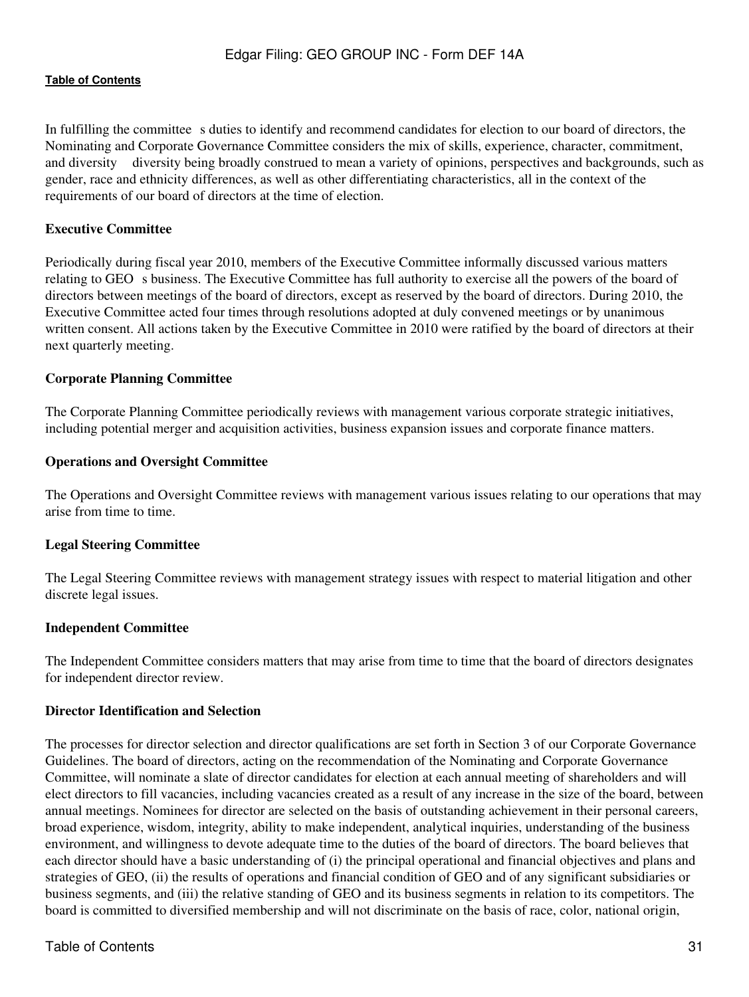In fulfilling the committee s duties to identify and recommend candidates for election to our board of directors, the Nominating and Corporate Governance Committee considers the mix of skills, experience, character, commitment, and diversity diversity being broadly construed to mean a variety of opinions, perspectives and backgrounds, such as gender, race and ethnicity differences, as well as other differentiating characteristics, all in the context of the requirements of our board of directors at the time of election.

## **Executive Committee**

Periodically during fiscal year 2010, members of the Executive Committee informally discussed various matters relating to GEO s business. The Executive Committee has full authority to exercise all the powers of the board of directors between meetings of the board of directors, except as reserved by the board of directors. During 2010, the Executive Committee acted four times through resolutions adopted at duly convened meetings or by unanimous written consent. All actions taken by the Executive Committee in 2010 were ratified by the board of directors at their next quarterly meeting.

#### **Corporate Planning Committee**

The Corporate Planning Committee periodically reviews with management various corporate strategic initiatives, including potential merger and acquisition activities, business expansion issues and corporate finance matters.

#### **Operations and Oversight Committee**

The Operations and Oversight Committee reviews with management various issues relating to our operations that may arise from time to time.

#### **Legal Steering Committee**

The Legal Steering Committee reviews with management strategy issues with respect to material litigation and other discrete legal issues.

#### **Independent Committee**

The Independent Committee considers matters that may arise from time to time that the board of directors designates for independent director review.

#### **Director Identification and Selection**

The processes for director selection and director qualifications are set forth in Section 3 of our Corporate Governance Guidelines. The board of directors, acting on the recommendation of the Nominating and Corporate Governance Committee, will nominate a slate of director candidates for election at each annual meeting of shareholders and will elect directors to fill vacancies, including vacancies created as a result of any increase in the size of the board, between annual meetings. Nominees for director are selected on the basis of outstanding achievement in their personal careers, broad experience, wisdom, integrity, ability to make independent, analytical inquiries, understanding of the business environment, and willingness to devote adequate time to the duties of the board of directors. The board believes that each director should have a basic understanding of (i) the principal operational and financial objectives and plans and strategies of GEO, (ii) the results of operations and financial condition of GEO and of any significant subsidiaries or business segments, and (iii) the relative standing of GEO and its business segments in relation to its competitors. The board is committed to diversified membership and will not discriminate on the basis of race, color, national origin,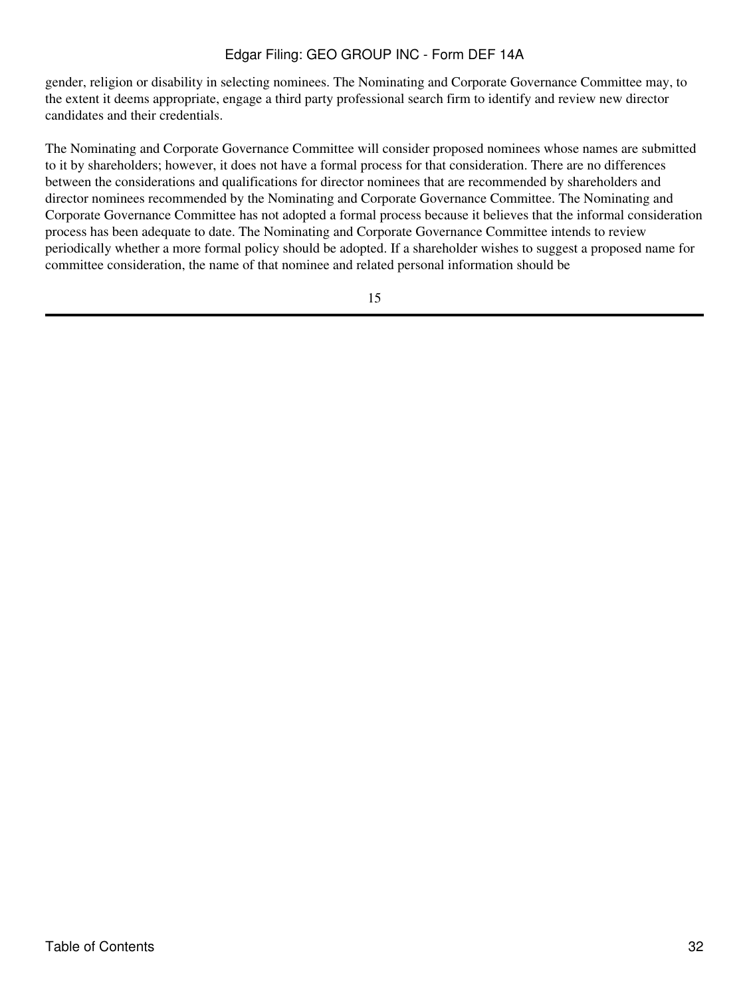gender, religion or disability in selecting nominees. The Nominating and Corporate Governance Committee may, to the extent it deems appropriate, engage a third party professional search firm to identify and review new director candidates and their credentials.

The Nominating and Corporate Governance Committee will consider proposed nominees whose names are submitted to it by shareholders; however, it does not have a formal process for that consideration. There are no differences between the considerations and qualifications for director nominees that are recommended by shareholders and director nominees recommended by the Nominating and Corporate Governance Committee. The Nominating and Corporate Governance Committee has not adopted a formal process because it believes that the informal consideration process has been adequate to date. The Nominating and Corporate Governance Committee intends to review periodically whether a more formal policy should be adopted. If a shareholder wishes to suggest a proposed name for committee consideration, the name of that nominee and related personal information should be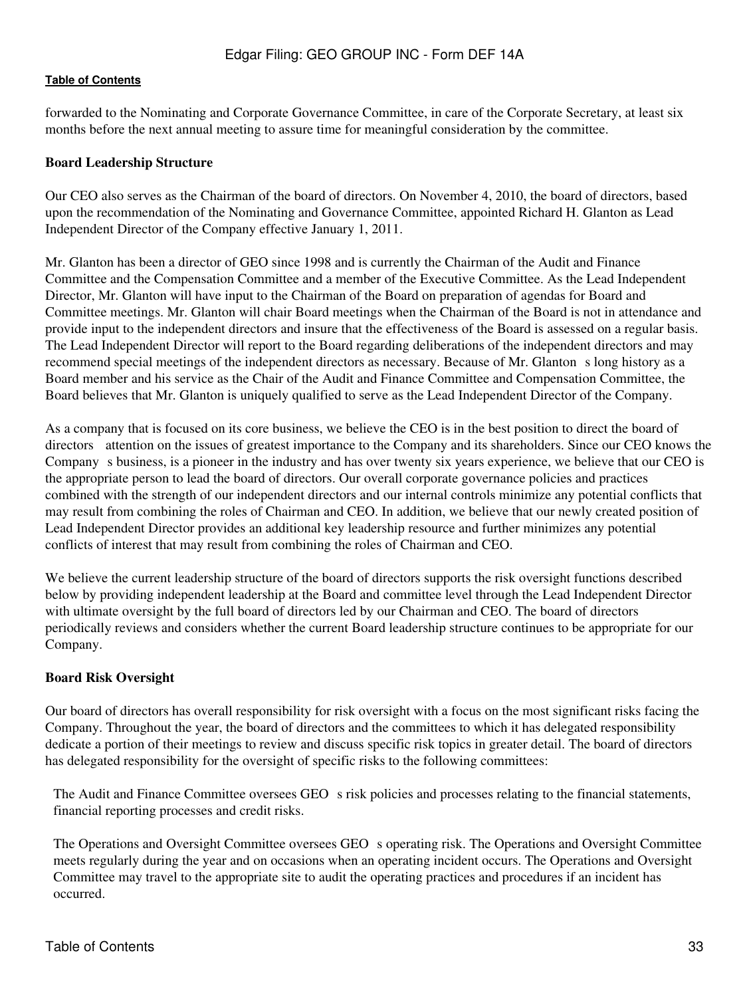forwarded to the Nominating and Corporate Governance Committee, in care of the Corporate Secretary, at least six months before the next annual meeting to assure time for meaningful consideration by the committee.

## **Board Leadership Structure**

Our CEO also serves as the Chairman of the board of directors. On November 4, 2010, the board of directors, based upon the recommendation of the Nominating and Governance Committee, appointed Richard H. Glanton as Lead Independent Director of the Company effective January 1, 2011.

Mr. Glanton has been a director of GEO since 1998 and is currently the Chairman of the Audit and Finance Committee and the Compensation Committee and a member of the Executive Committee. As the Lead Independent Director, Mr. Glanton will have input to the Chairman of the Board on preparation of agendas for Board and Committee meetings. Mr. Glanton will chair Board meetings when the Chairman of the Board is not in attendance and provide input to the independent directors and insure that the effectiveness of the Board is assessed on a regular basis. The Lead Independent Director will report to the Board regarding deliberations of the independent directors and may recommend special meetings of the independent directors as necessary. Because of Mr. Glanton s long history as a Board member and his service as the Chair of the Audit and Finance Committee and Compensation Committee, the Board believes that Mr. Glanton is uniquely qualified to serve as the Lead Independent Director of the Company.

As a company that is focused on its core business, we believe the CEO is in the best position to direct the board of directors attention on the issues of greatest importance to the Company and its shareholders. Since our CEO knows the Company s business, is a pioneer in the industry and has over twenty six years experience, we believe that our CEO is the appropriate person to lead the board of directors. Our overall corporate governance policies and practices combined with the strength of our independent directors and our internal controls minimize any potential conflicts that may result from combining the roles of Chairman and CEO. In addition, we believe that our newly created position of Lead Independent Director provides an additional key leadership resource and further minimizes any potential conflicts of interest that may result from combining the roles of Chairman and CEO.

We believe the current leadership structure of the board of directors supports the risk oversight functions described below by providing independent leadership at the Board and committee level through the Lead Independent Director with ultimate oversight by the full board of directors led by our Chairman and CEO. The board of directors periodically reviews and considers whether the current Board leadership structure continues to be appropriate for our Company.

#### **Board Risk Oversight**

Our board of directors has overall responsibility for risk oversight with a focus on the most significant risks facing the Company. Throughout the year, the board of directors and the committees to which it has delegated responsibility dedicate a portion of their meetings to review and discuss specific risk topics in greater detail. The board of directors has delegated responsibility for the oversight of specific risks to the following committees:

The Audit and Finance Committee oversees GEO s risk policies and processes relating to the financial statements, financial reporting processes and credit risks.

The Operations and Oversight Committee oversees GEO s operating risk. The Operations and Oversight Committee meets regularly during the year and on occasions when an operating incident occurs. The Operations and Oversight Committee may travel to the appropriate site to audit the operating practices and procedures if an incident has occurred.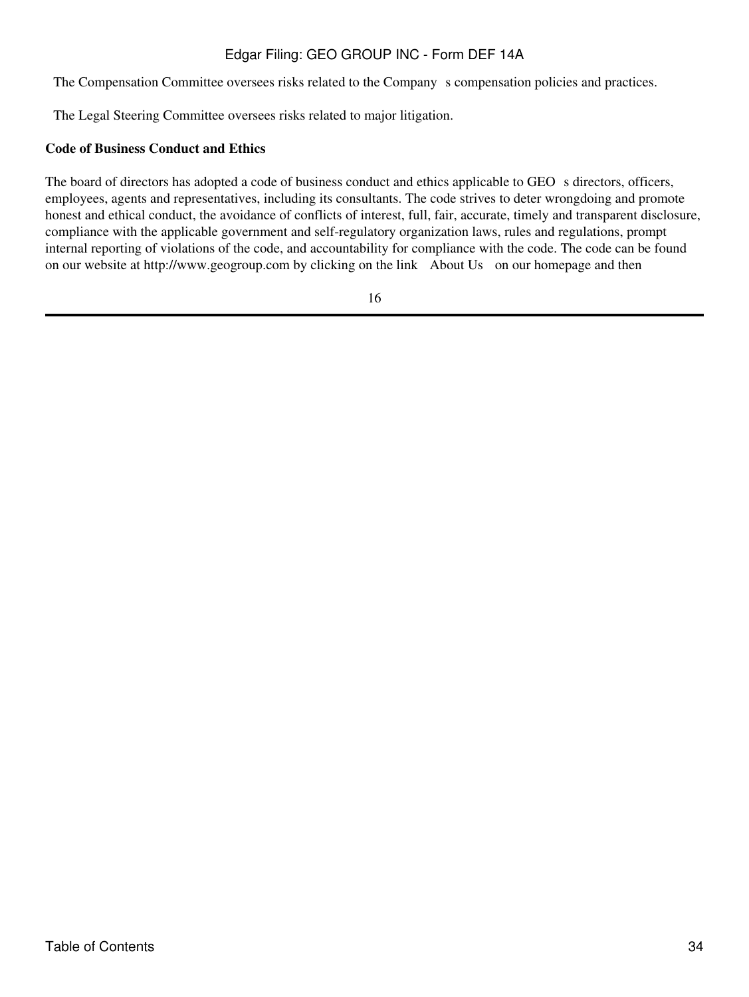The Compensation Committee oversees risks related to the Company s compensation policies and practices.

The Legal Steering Committee oversees risks related to major litigation.

# **Code of Business Conduct and Ethics**

The board of directors has adopted a code of business conduct and ethics applicable to GEO s directors, officers, employees, agents and representatives, including its consultants. The code strives to deter wrongdoing and promote honest and ethical conduct, the avoidance of conflicts of interest, full, fair, accurate, timely and transparent disclosure, compliance with the applicable government and self-regulatory organization laws, rules and regulations, prompt internal reporting of violations of the code, and accountability for compliance with the code. The code can be found on our website at http://www.geogroup.com by clicking on the link About Us on our homepage and then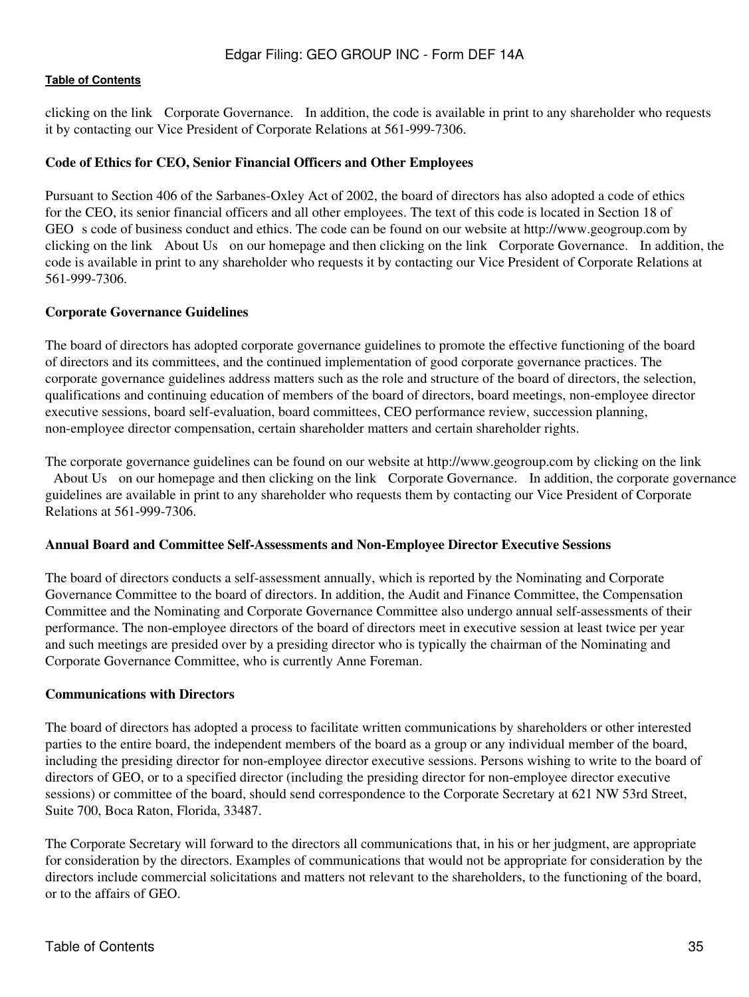clicking on the link Corporate Governance. In addition, the code is available in print to any shareholder who requests it by contacting our Vice President of Corporate Relations at 561-999-7306.

## **Code of Ethics for CEO, Senior Financial Officers and Other Employees**

Pursuant to Section 406 of the Sarbanes-Oxley Act of 2002, the board of directors has also adopted a code of ethics for the CEO, its senior financial officers and all other employees. The text of this code is located in Section 18 of GEO s code of business conduct and ethics. The code can be found on our website at http://www.geogroup.com by clicking on the link About Us on our homepage and then clicking on the link Corporate Governance. In addition, the code is available in print to any shareholder who requests it by contacting our Vice President of Corporate Relations at 561-999-7306.

#### **Corporate Governance Guidelines**

The board of directors has adopted corporate governance guidelines to promote the effective functioning of the board of directors and its committees, and the continued implementation of good corporate governance practices. The corporate governance guidelines address matters such as the role and structure of the board of directors, the selection, qualifications and continuing education of members of the board of directors, board meetings, non-employee director executive sessions, board self-evaluation, board committees, CEO performance review, succession planning, non-employee director compensation, certain shareholder matters and certain shareholder rights.

The corporate governance guidelines can be found on our website at http://www.geogroup.com by clicking on the link About Us on our homepage and then clicking on the link Corporate Governance. In addition, the corporate governance guidelines are available in print to any shareholder who requests them by contacting our Vice President of Corporate Relations at 561-999-7306.

#### **Annual Board and Committee Self-Assessments and Non-Employee Director Executive Sessions**

The board of directors conducts a self-assessment annually, which is reported by the Nominating and Corporate Governance Committee to the board of directors. In addition, the Audit and Finance Committee, the Compensation Committee and the Nominating and Corporate Governance Committee also undergo annual self-assessments of their performance. The non-employee directors of the board of directors meet in executive session at least twice per year and such meetings are presided over by a presiding director who is typically the chairman of the Nominating and Corporate Governance Committee, who is currently Anne Foreman.

#### **Communications with Directors**

The board of directors has adopted a process to facilitate written communications by shareholders or other interested parties to the entire board, the independent members of the board as a group or any individual member of the board, including the presiding director for non-employee director executive sessions. Persons wishing to write to the board of directors of GEO, or to a specified director (including the presiding director for non-employee director executive sessions) or committee of the board, should send correspondence to the Corporate Secretary at 621 NW 53rd Street, Suite 700, Boca Raton, Florida, 33487.

The Corporate Secretary will forward to the directors all communications that, in his or her judgment, are appropriate for consideration by the directors. Examples of communications that would not be appropriate for consideration by the directors include commercial solicitations and matters not relevant to the shareholders, to the functioning of the board, or to the affairs of GEO.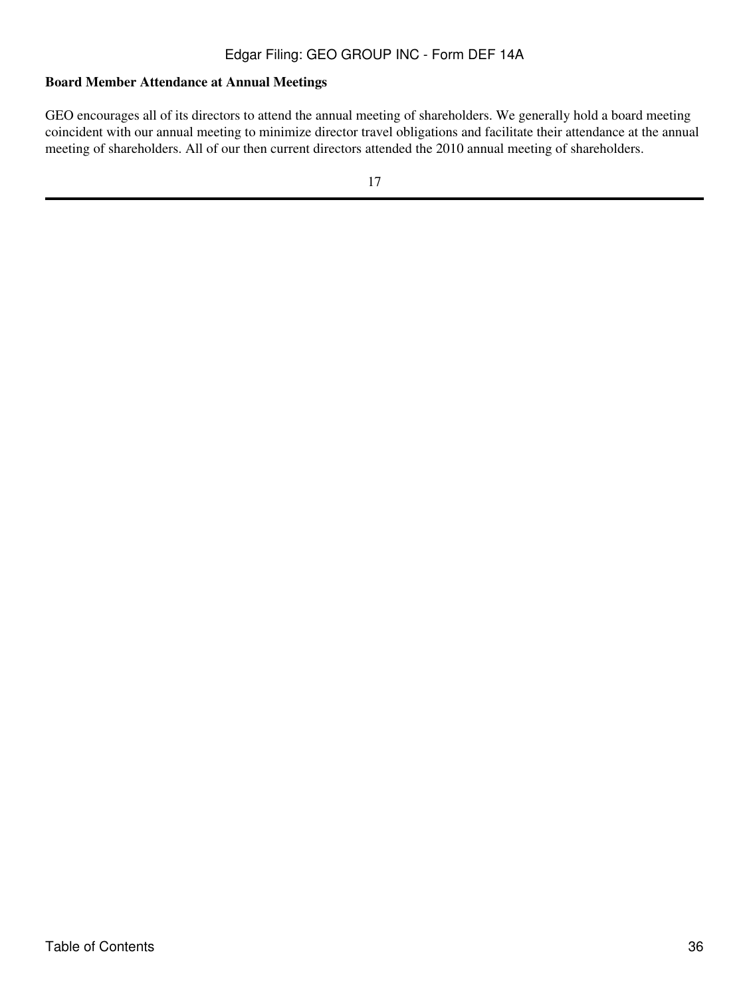# **Board Member Attendance at Annual Meetings**

GEO encourages all of its directors to attend the annual meeting of shareholders. We generally hold a board meeting coincident with our annual meeting to minimize director travel obligations and facilitate their attendance at the annual meeting of shareholders. All of our then current directors attended the 2010 annual meeting of shareholders.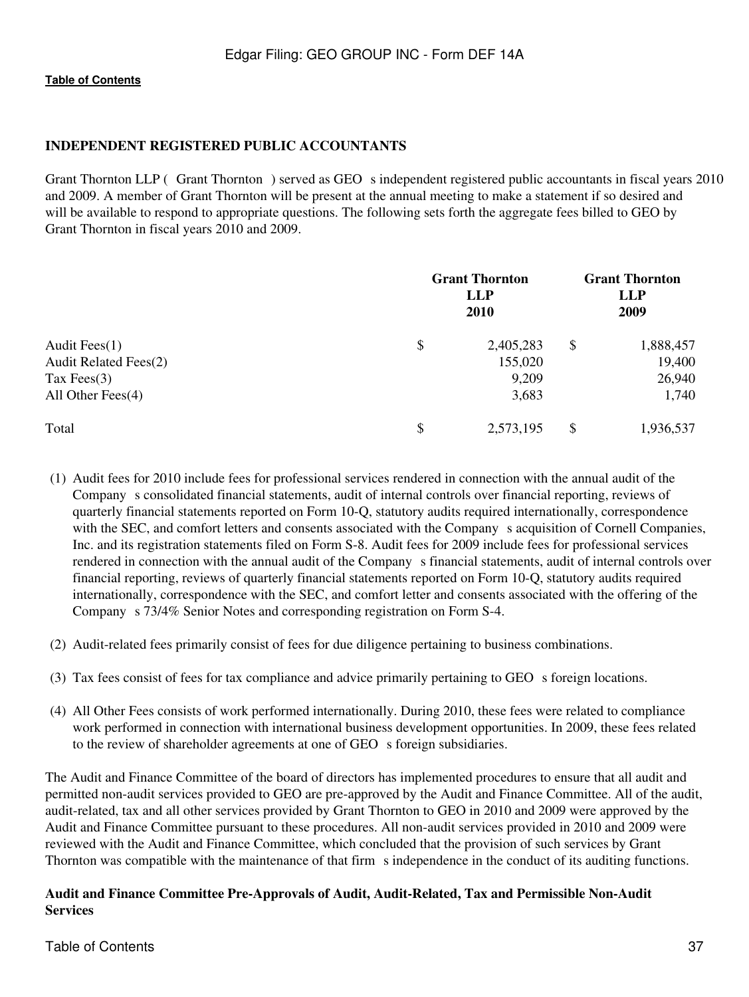## **INDEPENDENT REGISTERED PUBLIC ACCOUNTANTS**

Grant Thornton LLP (Grant Thornton) served as GEO s independent registered public accountants in fiscal years 2010 and 2009. A member of Grant Thornton will be present at the annual meeting to make a statement if so desired and will be available to respond to appropriate questions. The following sets forth the aggregate fees billed to GEO by Grant Thornton in fiscal years 2010 and 2009.

|                       | <b>Grant Thornton</b><br><b>LLP</b><br>2010 |           |    | <b>Grant Thornton</b><br><b>LLP</b><br>2009 |  |
|-----------------------|---------------------------------------------|-----------|----|---------------------------------------------|--|
| Audit Fees $(1)$      | \$                                          | 2,405,283 | \$ | 1,888,457                                   |  |
| Audit Related Fees(2) |                                             | 155,020   |    | 19,400                                      |  |
| Tax Fees $(3)$        |                                             | 9,209     |    | 26,940                                      |  |
| All Other Fees $(4)$  |                                             | 3,683     |    | 1,740                                       |  |
| Total                 | \$                                          | 2,573,195 | \$ | 1,936,537                                   |  |

- (1) Audit fees for 2010 include fees for professional services rendered in connection with the annual audit of the Company s consolidated financial statements, audit of internal controls over financial reporting, reviews of quarterly financial statements reported on Form 10-Q, statutory audits required internationally, correspondence with the SEC, and comfort letters and consents associated with the Company s acquisition of Cornell Companies, Inc. and its registration statements filed on Form S-8. Audit fees for 2009 include fees for professional services rendered in connection with the annual audit of the Company s financial statements, audit of internal controls over financial reporting, reviews of quarterly financial statements reported on Form 10-Q, statutory audits required internationally, correspondence with the SEC, and comfort letter and consents associated with the offering of the Company s 73/4% Senior Notes and corresponding registration on Form S-4.
- (2) Audit-related fees primarily consist of fees for due diligence pertaining to business combinations.
- (3) Tax fees consist of fees for tax compliance and advice primarily pertaining to GEO s foreign locations.
- (4) All Other Fees consists of work performed internationally. During 2010, these fees were related to compliance work performed in connection with international business development opportunities. In 2009, these fees related to the review of shareholder agreements at one of GEO s foreign subsidiaries.

The Audit and Finance Committee of the board of directors has implemented procedures to ensure that all audit and permitted non-audit services provided to GEO are pre-approved by the Audit and Finance Committee. All of the audit, audit-related, tax and all other services provided by Grant Thornton to GEO in 2010 and 2009 were approved by the Audit and Finance Committee pursuant to these procedures. All non-audit services provided in 2010 and 2009 were reviewed with the Audit and Finance Committee, which concluded that the provision of such services by Grant Thornton was compatible with the maintenance of that firm s independence in the conduct of its auditing functions.

## **Audit and Finance Committee Pre-Approvals of Audit, Audit-Related, Tax and Permissible Non-Audit Services**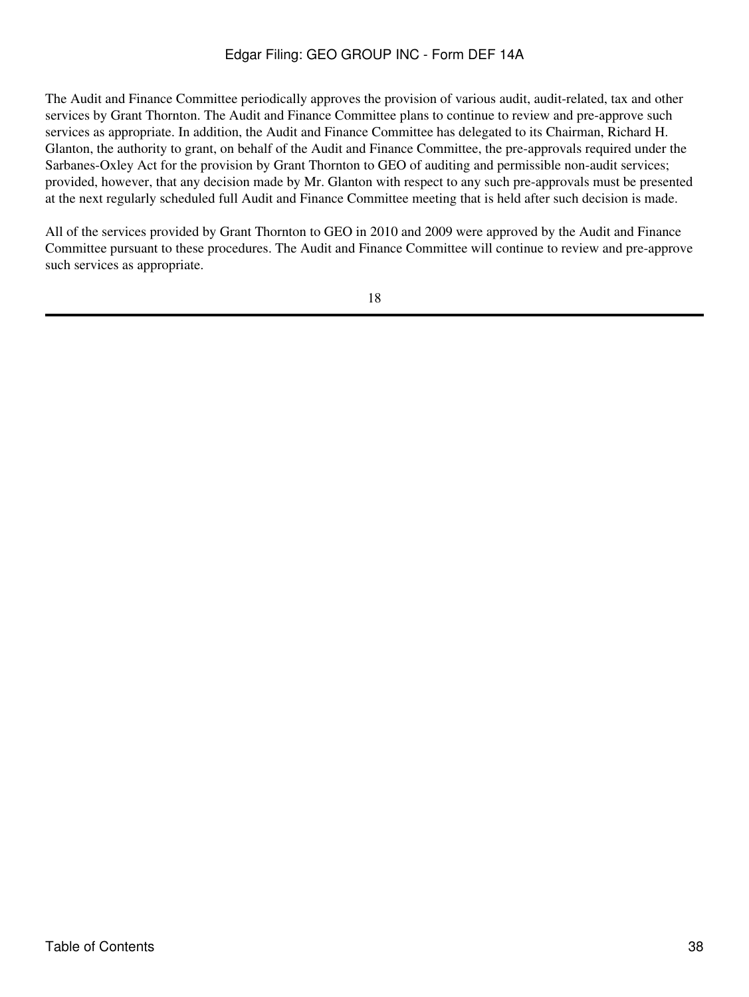The Audit and Finance Committee periodically approves the provision of various audit, audit-related, tax and other services by Grant Thornton. The Audit and Finance Committee plans to continue to review and pre-approve such services as appropriate. In addition, the Audit and Finance Committee has delegated to its Chairman, Richard H. Glanton, the authority to grant, on behalf of the Audit and Finance Committee, the pre-approvals required under the Sarbanes-Oxley Act for the provision by Grant Thornton to GEO of auditing and permissible non-audit services; provided, however, that any decision made by Mr. Glanton with respect to any such pre-approvals must be presented at the next regularly scheduled full Audit and Finance Committee meeting that is held after such decision is made.

All of the services provided by Grant Thornton to GEO in 2010 and 2009 were approved by the Audit and Finance Committee pursuant to these procedures. The Audit and Finance Committee will continue to review and pre-approve such services as appropriate.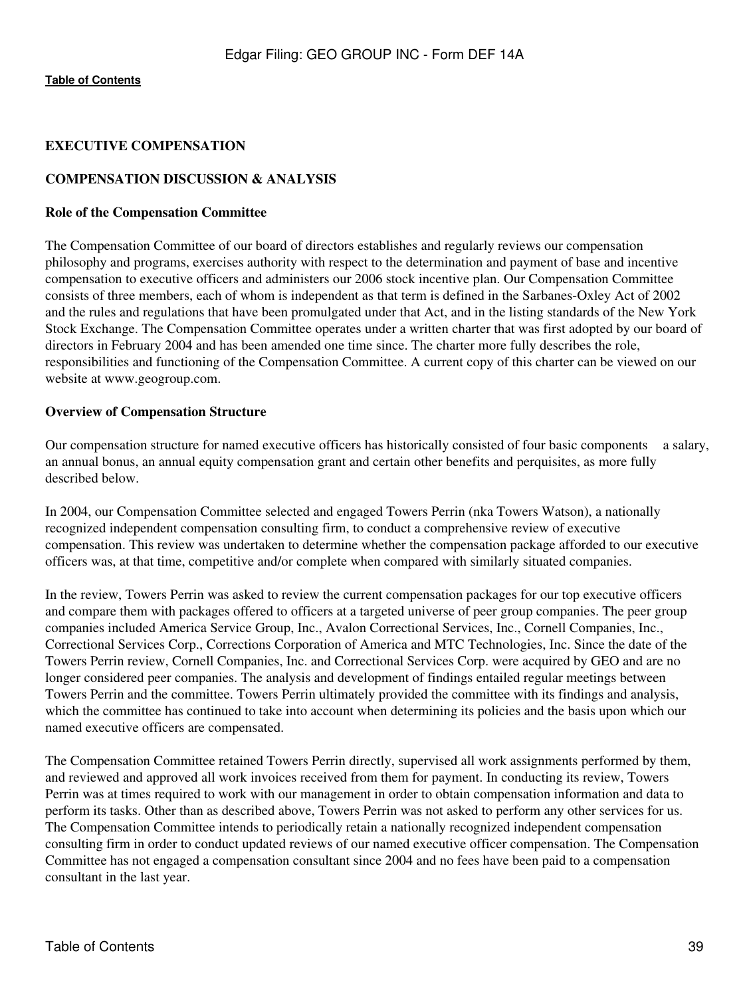## **EXECUTIVE COMPENSATION**

## **COMPENSATION DISCUSSION & ANALYSIS**

#### **Role of the Compensation Committee**

The Compensation Committee of our board of directors establishes and regularly reviews our compensation philosophy and programs, exercises authority with respect to the determination and payment of base and incentive compensation to executive officers and administers our 2006 stock incentive plan. Our Compensation Committee consists of three members, each of whom is independent as that term is defined in the Sarbanes-Oxley Act of 2002 and the rules and regulations that have been promulgated under that Act, and in the listing standards of the New York Stock Exchange. The Compensation Committee operates under a written charter that was first adopted by our board of directors in February 2004 and has been amended one time since. The charter more fully describes the role, responsibilities and functioning of the Compensation Committee. A current copy of this charter can be viewed on our website at www.geogroup.com.

#### **Overview of Compensation Structure**

Our compensation structure for named executive officers has historically consisted of four basic components a salary, an annual bonus, an annual equity compensation grant and certain other benefits and perquisites, as more fully described below.

In 2004, our Compensation Committee selected and engaged Towers Perrin (nka Towers Watson), a nationally recognized independent compensation consulting firm, to conduct a comprehensive review of executive compensation. This review was undertaken to determine whether the compensation package afforded to our executive officers was, at that time, competitive and/or complete when compared with similarly situated companies.

In the review, Towers Perrin was asked to review the current compensation packages for our top executive officers and compare them with packages offered to officers at a targeted universe of peer group companies. The peer group companies included America Service Group, Inc., Avalon Correctional Services, Inc., Cornell Companies, Inc., Correctional Services Corp., Corrections Corporation of America and MTC Technologies, Inc. Since the date of the Towers Perrin review, Cornell Companies, Inc. and Correctional Services Corp. were acquired by GEO and are no longer considered peer companies. The analysis and development of findings entailed regular meetings between Towers Perrin and the committee. Towers Perrin ultimately provided the committee with its findings and analysis, which the committee has continued to take into account when determining its policies and the basis upon which our named executive officers are compensated.

The Compensation Committee retained Towers Perrin directly, supervised all work assignments performed by them, and reviewed and approved all work invoices received from them for payment. In conducting its review, Towers Perrin was at times required to work with our management in order to obtain compensation information and data to perform its tasks. Other than as described above, Towers Perrin was not asked to perform any other services for us. The Compensation Committee intends to periodically retain a nationally recognized independent compensation consulting firm in order to conduct updated reviews of our named executive officer compensation. The Compensation Committee has not engaged a compensation consultant since 2004 and no fees have been paid to a compensation consultant in the last year.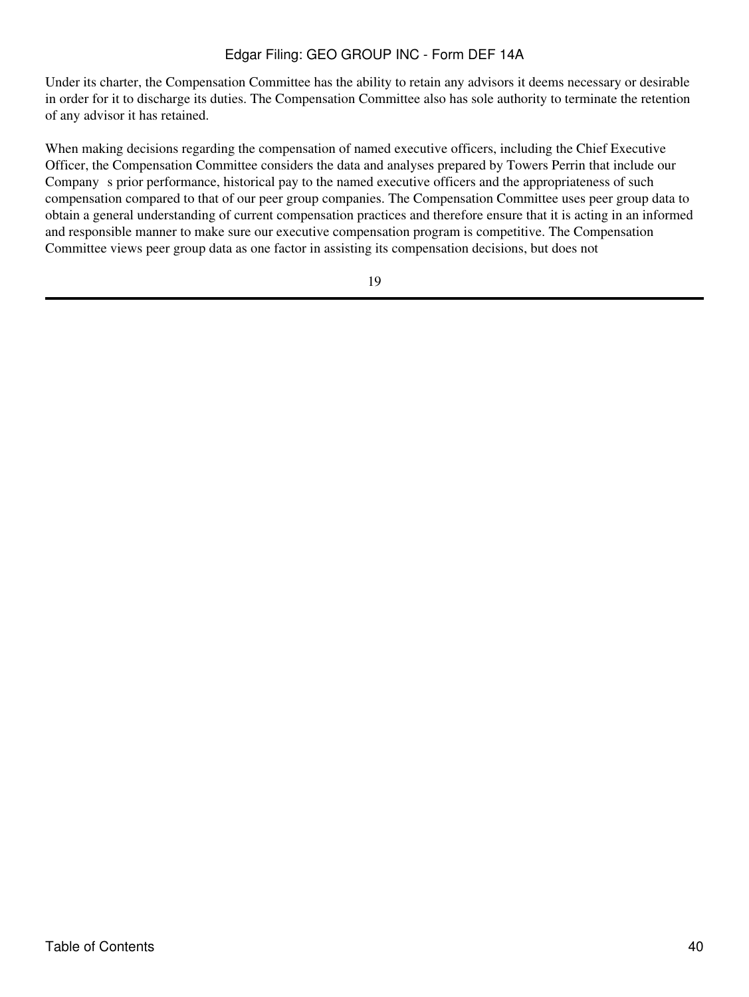Under its charter, the Compensation Committee has the ability to retain any advisors it deems necessary or desirable in order for it to discharge its duties. The Compensation Committee also has sole authority to terminate the retention of any advisor it has retained.

When making decisions regarding the compensation of named executive officers, including the Chief Executive Officer, the Compensation Committee considers the data and analyses prepared by Towers Perrin that include our Company s prior performance, historical pay to the named executive officers and the appropriateness of such compensation compared to that of our peer group companies. The Compensation Committee uses peer group data to obtain a general understanding of current compensation practices and therefore ensure that it is acting in an informed and responsible manner to make sure our executive compensation program is competitive. The Compensation Committee views peer group data as one factor in assisting its compensation decisions, but does not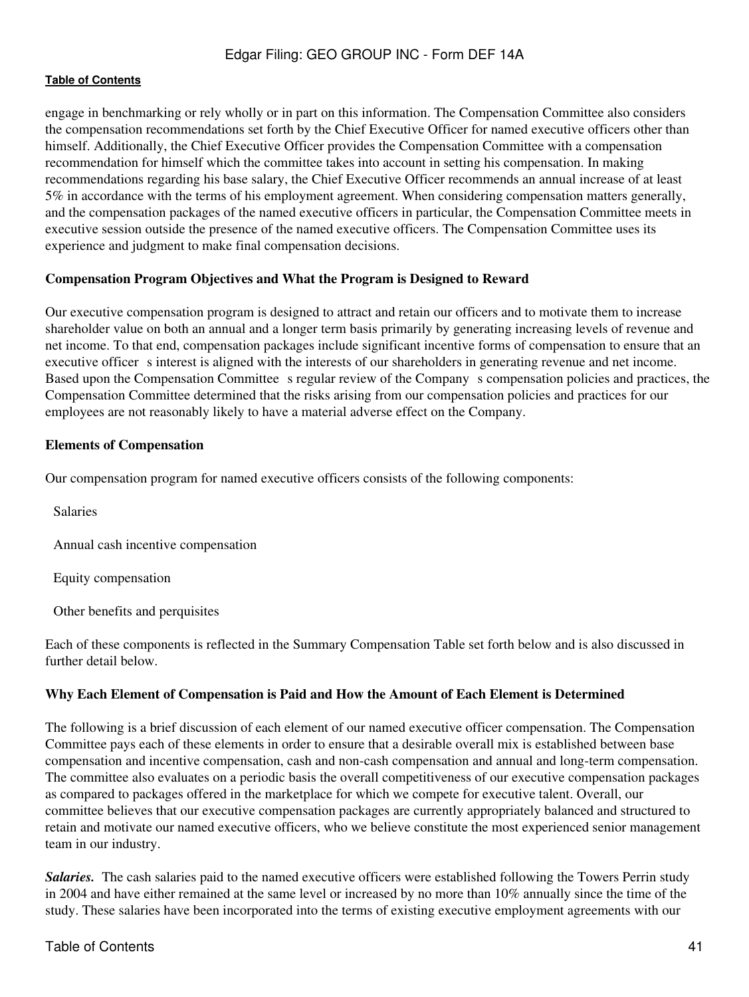engage in benchmarking or rely wholly or in part on this information. The Compensation Committee also considers the compensation recommendations set forth by the Chief Executive Officer for named executive officers other than himself. Additionally, the Chief Executive Officer provides the Compensation Committee with a compensation recommendation for himself which the committee takes into account in setting his compensation. In making recommendations regarding his base salary, the Chief Executive Officer recommends an annual increase of at least 5% in accordance with the terms of his employment agreement. When considering compensation matters generally, and the compensation packages of the named executive officers in particular, the Compensation Committee meets in executive session outside the presence of the named executive officers. The Compensation Committee uses its experience and judgment to make final compensation decisions.

#### **Compensation Program Objectives and What the Program is Designed to Reward**

Our executive compensation program is designed to attract and retain our officers and to motivate them to increase shareholder value on both an annual and a longer term basis primarily by generating increasing levels of revenue and net income. To that end, compensation packages include significant incentive forms of compensation to ensure that an executive officer s interest is aligned with the interests of our shareholders in generating revenue and net income. Based upon the Compensation Committee s regular review of the Company s compensation policies and practices, the Compensation Committee determined that the risks arising from our compensation policies and practices for our employees are not reasonably likely to have a material adverse effect on the Company.

#### **Elements of Compensation**

Our compensation program for named executive officers consists of the following components:

Salaries

Annual cash incentive compensation

Equity compensation

Other benefits and perquisites

Each of these components is reflected in the Summary Compensation Table set forth below and is also discussed in further detail below.

## **Why Each Element of Compensation is Paid and How the Amount of Each Element is Determined**

The following is a brief discussion of each element of our named executive officer compensation. The Compensation Committee pays each of these elements in order to ensure that a desirable overall mix is established between base compensation and incentive compensation, cash and non-cash compensation and annual and long-term compensation. The committee also evaluates on a periodic basis the overall competitiveness of our executive compensation packages as compared to packages offered in the marketplace for which we compete for executive talent. Overall, our committee believes that our executive compensation packages are currently appropriately balanced and structured to retain and motivate our named executive officers, who we believe constitute the most experienced senior management team in our industry.

*Salaries.* The cash salaries paid to the named executive officers were established following the Towers Perrin study in 2004 and have either remained at the same level or increased by no more than 10% annually since the time of the study. These salaries have been incorporated into the terms of existing executive employment agreements with our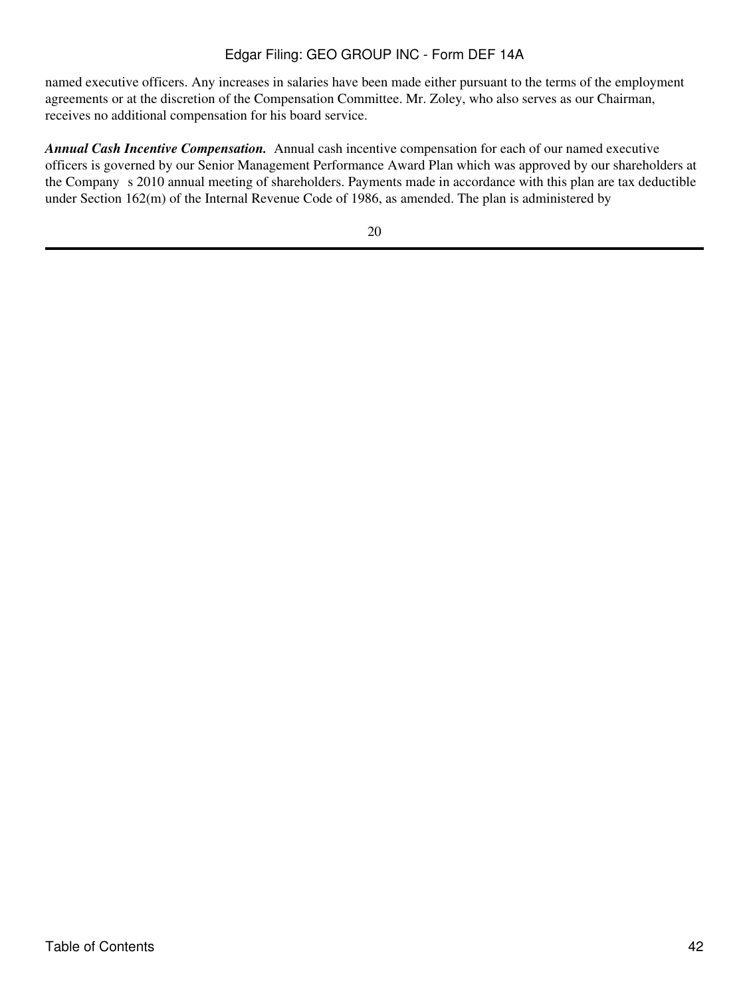named executive officers. Any increases in salaries have been made either pursuant to the terms of the employment agreements or at the discretion of the Compensation Committee. Mr. Zoley, who also serves as our Chairman, receives no additional compensation for his board service.

*Annual Cash Incentive Compensation.* Annual cash incentive compensation for each of our named executive officers is governed by our Senior Management Performance Award Plan which was approved by our shareholders at the Company s 2010 annual meeting of shareholders. Payments made in accordance with this plan are tax deductible under Section 162(m) of the Internal Revenue Code of 1986, as amended. The plan is administered by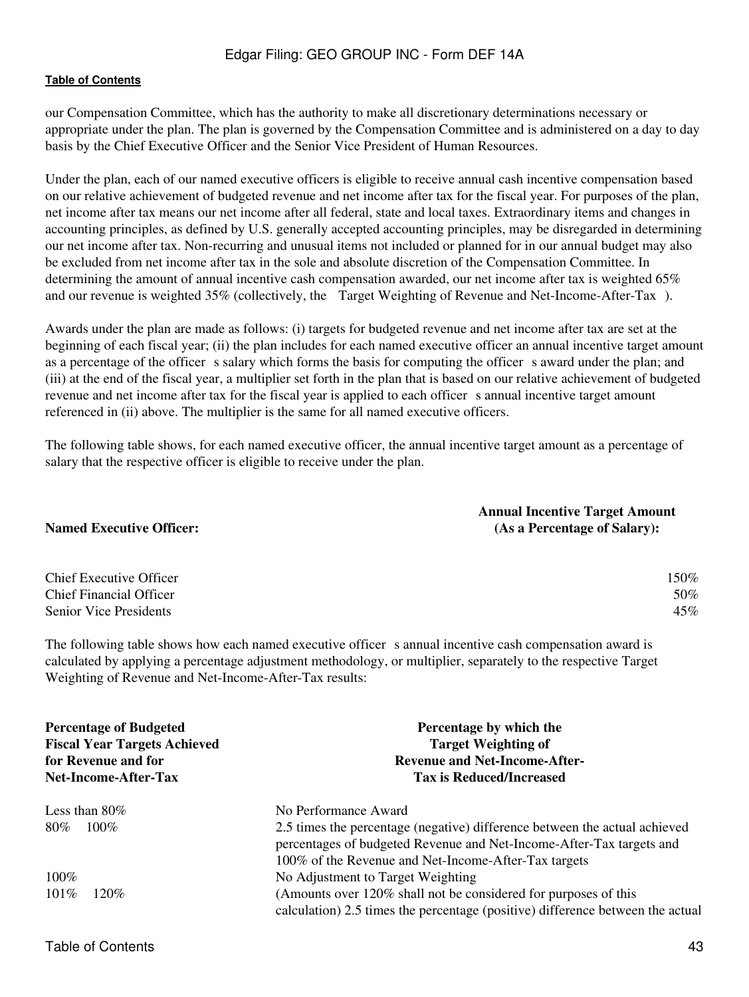our Compensation Committee, which has the authority to make all discretionary determinations necessary or appropriate under the plan. The plan is governed by the Compensation Committee and is administered on a day to day basis by the Chief Executive Officer and the Senior Vice President of Human Resources.

Under the plan, each of our named executive officers is eligible to receive annual cash incentive compensation based on our relative achievement of budgeted revenue and net income after tax for the fiscal year. For purposes of the plan, net income after tax means our net income after all federal, state and local taxes. Extraordinary items and changes in accounting principles, as defined by U.S. generally accepted accounting principles, may be disregarded in determining our net income after tax. Non-recurring and unusual items not included or planned for in our annual budget may also be excluded from net income after tax in the sole and absolute discretion of the Compensation Committee. In determining the amount of annual incentive cash compensation awarded, our net income after tax is weighted 65% and our revenue is weighted 35% (collectively, the Target Weighting of Revenue and Net-Income-After-Tax).

Awards under the plan are made as follows: (i) targets for budgeted revenue and net income after tax are set at the beginning of each fiscal year; (ii) the plan includes for each named executive officer an annual incentive target amount as a percentage of the officer s salary which forms the basis for computing the officer s award under the plan; and (iii) at the end of the fiscal year, a multiplier set forth in the plan that is based on our relative achievement of budgeted revenue and net income after tax for the fiscal year is applied to each officer s annual incentive target amount referenced in (ii) above. The multiplier is the same for all named executive officers.

The following table shows, for each named executive officer, the annual incentive target amount as a percentage of salary that the respective officer is eligible to receive under the plan.

|                                      | <b>Annual Incentive Target Amount</b>     |
|--------------------------------------|-------------------------------------------|
| <b>Named Executive Officer:</b>      | (As a Percentage of Salary):              |
|                                      |                                           |
| $\sim \cdot$ $\sim$<br>$\sim$ $\sim$ | $\rightarrow$ $\rightarrow$ $\rightarrow$ |

| <b>Chief Executive Officer</b> | .50% |
|--------------------------------|------|
| <b>Chief Financial Officer</b> | 50%  |
| Senior Vice Presidents         | 45%  |

The following table shows how each named executive officer s annual incentive cash compensation award is calculated by applying a percentage adjustment methodology, or multiplier, separately to the respective Target Weighting of Revenue and Net-Income-After-Tax results:

| <b>Percentage of Budgeted</b><br><b>Fiscal Year Targets Achieved</b><br>for Revenue and for<br><b>Net-Income-After-Tax</b> | Percentage by which the<br><b>Target Weighting of</b><br><b>Revenue and Net-Income-After-</b><br><b>Tax is Reduced/Increased</b>                                                                           |  |  |
|----------------------------------------------------------------------------------------------------------------------------|------------------------------------------------------------------------------------------------------------------------------------------------------------------------------------------------------------|--|--|
| Less than $80\%$                                                                                                           | No Performance Award                                                                                                                                                                                       |  |  |
| 80%<br>$100\%$                                                                                                             | 2.5 times the percentage (negative) difference between the actual achieved<br>percentages of budgeted Revenue and Net-Income-After-Tax targets and<br>100% of the Revenue and Net-Income-After-Tax targets |  |  |
| $100\%$                                                                                                                    | No Adjustment to Target Weighting                                                                                                                                                                          |  |  |
| $101\%$<br>$120\%$                                                                                                         | (Amounts over 120% shall not be considered for purposes of this<br>calculation) 2.5 times the percentage (positive) difference between the actual                                                          |  |  |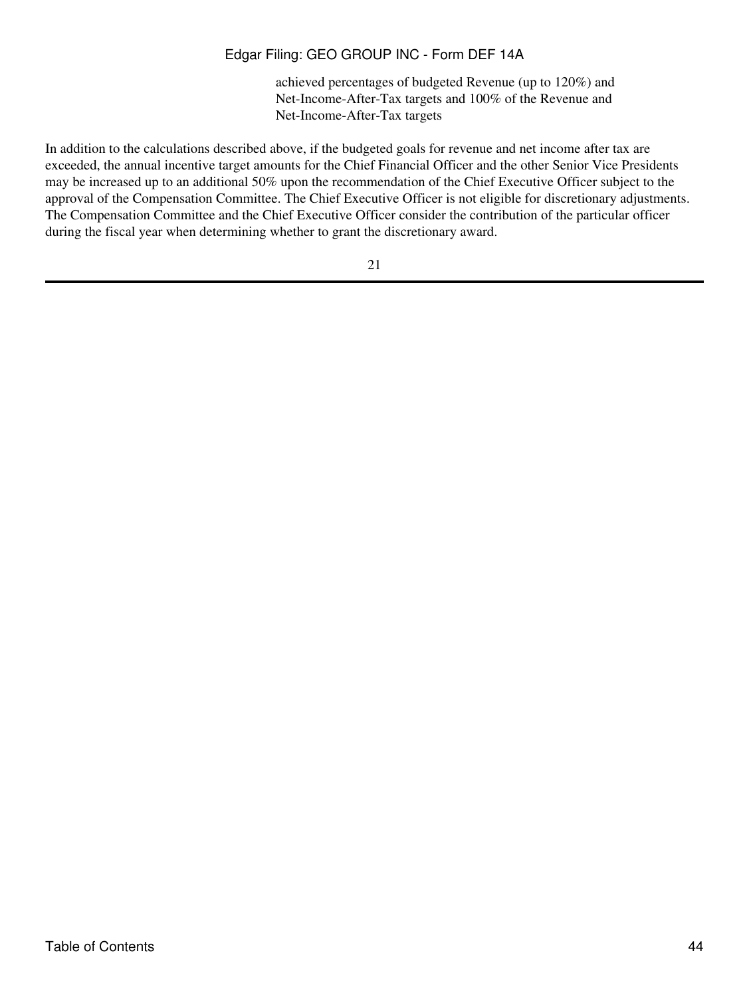achieved percentages of budgeted Revenue (up to 120%) and Net-Income-After-Tax targets and 100% of the Revenue and Net-Income-After-Tax targets

In addition to the calculations described above, if the budgeted goals for revenue and net income after tax are exceeded, the annual incentive target amounts for the Chief Financial Officer and the other Senior Vice Presidents may be increased up to an additional 50% upon the recommendation of the Chief Executive Officer subject to the approval of the Compensation Committee. The Chief Executive Officer is not eligible for discretionary adjustments. The Compensation Committee and the Chief Executive Officer consider the contribution of the particular officer during the fiscal year when determining whether to grant the discretionary award.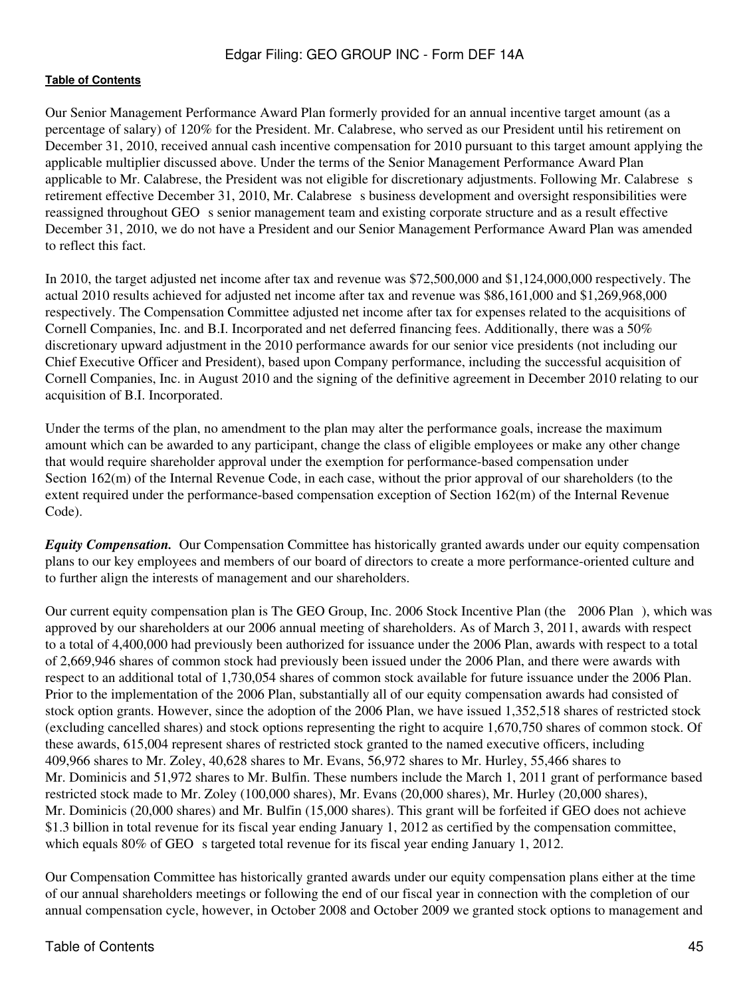Our Senior Management Performance Award Plan formerly provided for an annual incentive target amount (as a percentage of salary) of 120% for the President. Mr. Calabrese, who served as our President until his retirement on December 31, 2010, received annual cash incentive compensation for 2010 pursuant to this target amount applying the applicable multiplier discussed above. Under the terms of the Senior Management Performance Award Plan applicable to Mr. Calabrese, the President was not eligible for discretionary adjustments. Following Mr. Calabrese s retirement effective December 31, 2010, Mr. Calabrese s business development and oversight responsibilities were reassigned throughout GEO s senior management team and existing corporate structure and as a result effective December 31, 2010, we do not have a President and our Senior Management Performance Award Plan was amended to reflect this fact.

In 2010, the target adjusted net income after tax and revenue was \$72,500,000 and \$1,124,000,000 respectively. The actual 2010 results achieved for adjusted net income after tax and revenue was \$86,161,000 and \$1,269,968,000 respectively. The Compensation Committee adjusted net income after tax for expenses related to the acquisitions of Cornell Companies, Inc. and B.I. Incorporated and net deferred financing fees. Additionally, there was a 50% discretionary upward adjustment in the 2010 performance awards for our senior vice presidents (not including our Chief Executive Officer and President), based upon Company performance, including the successful acquisition of Cornell Companies, Inc. in August 2010 and the signing of the definitive agreement in December 2010 relating to our acquisition of B.I. Incorporated.

Under the terms of the plan, no amendment to the plan may alter the performance goals, increase the maximum amount which can be awarded to any participant, change the class of eligible employees or make any other change that would require shareholder approval under the exemption for performance-based compensation under Section 162(m) of the Internal Revenue Code, in each case, without the prior approval of our shareholders (to the extent required under the performance-based compensation exception of Section 162(m) of the Internal Revenue Code).

*Equity Compensation.* Our Compensation Committee has historically granted awards under our equity compensation plans to our key employees and members of our board of directors to create a more performance-oriented culture and to further align the interests of management and our shareholders.

Our current equity compensation plan is The GEO Group, Inc. 2006 Stock Incentive Plan (the 2006 Plan), which was approved by our shareholders at our 2006 annual meeting of shareholders. As of March 3, 2011, awards with respect to a total of 4,400,000 had previously been authorized for issuance under the 2006 Plan, awards with respect to a total of 2,669,946 shares of common stock had previously been issued under the 2006 Plan, and there were awards with respect to an additional total of 1,730,054 shares of common stock available for future issuance under the 2006 Plan. Prior to the implementation of the 2006 Plan, substantially all of our equity compensation awards had consisted of stock option grants. However, since the adoption of the 2006 Plan, we have issued 1,352,518 shares of restricted stock (excluding cancelled shares) and stock options representing the right to acquire 1,670,750 shares of common stock. Of these awards, 615,004 represent shares of restricted stock granted to the named executive officers, including 409,966 shares to Mr. Zoley, 40,628 shares to Mr. Evans, 56,972 shares to Mr. Hurley, 55,466 shares to Mr. Dominicis and 51,972 shares to Mr. Bulfin. These numbers include the March 1, 2011 grant of performance based restricted stock made to Mr. Zoley (100,000 shares), Mr. Evans (20,000 shares), Mr. Hurley (20,000 shares), Mr. Dominicis (20,000 shares) and Mr. Bulfin (15,000 shares). This grant will be forfeited if GEO does not achieve \$1.3 billion in total revenue for its fiscal year ending January 1, 2012 as certified by the compensation committee, which equals 80% of GEO s targeted total revenue for its fiscal year ending January 1, 2012.

Our Compensation Committee has historically granted awards under our equity compensation plans either at the time of our annual shareholders meetings or following the end of our fiscal year in connection with the completion of our annual compensation cycle, however, in October 2008 and October 2009 we granted stock options to management and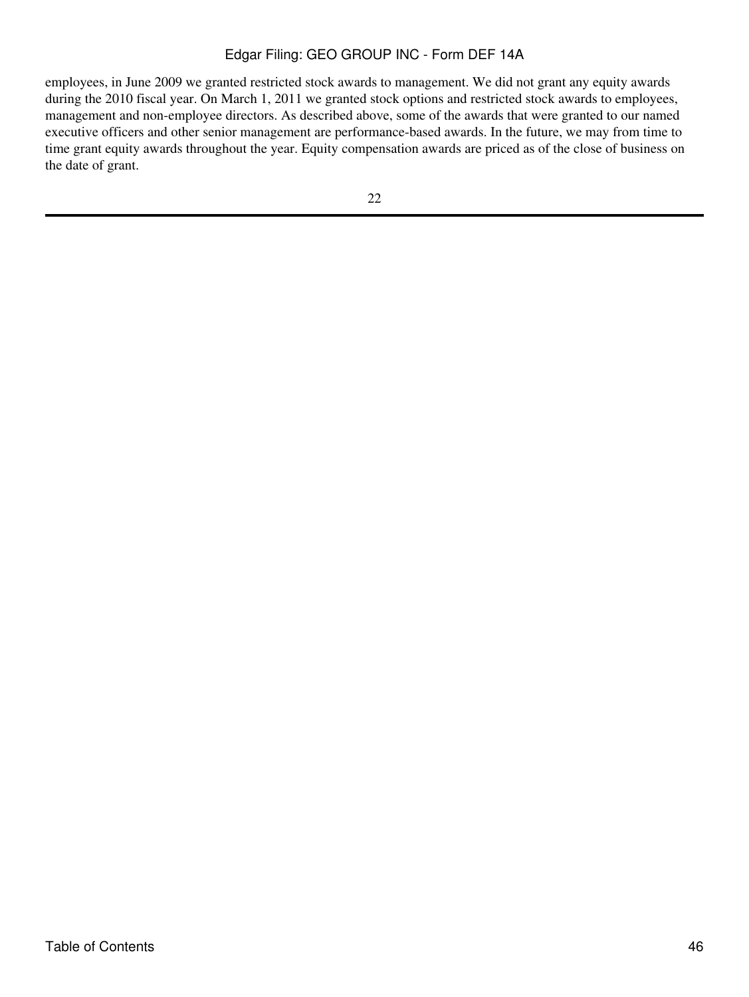employees, in June 2009 we granted restricted stock awards to management. We did not grant any equity awards during the 2010 fiscal year. On March 1, 2011 we granted stock options and restricted stock awards to employees, management and non-employee directors. As described above, some of the awards that were granted to our named executive officers and other senior management are performance-based awards. In the future, we may from time to time grant equity awards throughout the year. Equity compensation awards are priced as of the close of business on the date of grant.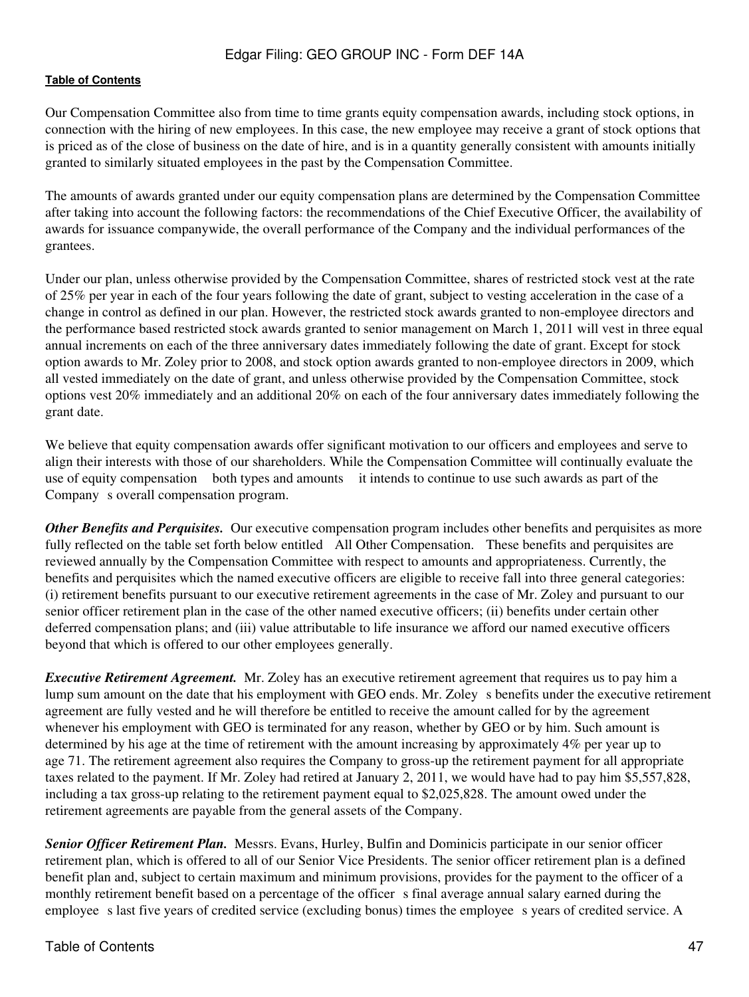Our Compensation Committee also from time to time grants equity compensation awards, including stock options, in connection with the hiring of new employees. In this case, the new employee may receive a grant of stock options that is priced as of the close of business on the date of hire, and is in a quantity generally consistent with amounts initially granted to similarly situated employees in the past by the Compensation Committee.

The amounts of awards granted under our equity compensation plans are determined by the Compensation Committee after taking into account the following factors: the recommendations of the Chief Executive Officer, the availability of awards for issuance companywide, the overall performance of the Company and the individual performances of the grantees.

Under our plan, unless otherwise provided by the Compensation Committee, shares of restricted stock vest at the rate of 25% per year in each of the four years following the date of grant, subject to vesting acceleration in the case of a change in control as defined in our plan. However, the restricted stock awards granted to non-employee directors and the performance based restricted stock awards granted to senior management on March 1, 2011 will vest in three equal annual increments on each of the three anniversary dates immediately following the date of grant. Except for stock option awards to Mr. Zoley prior to 2008, and stock option awards granted to non-employee directors in 2009, which all vested immediately on the date of grant, and unless otherwise provided by the Compensation Committee, stock options vest 20% immediately and an additional 20% on each of the four anniversary dates immediately following the grant date.

We believe that equity compensation awards offer significant motivation to our officers and employees and serve to align their interests with those of our shareholders. While the Compensation Committee will continually evaluate the use of equity compensation both types and amounts it intends to continue to use such awards as part of the Company s overall compensation program.

*Other Benefits and Perquisites.* Our executive compensation program includes other benefits and perquisites as more fully reflected on the table set forth below entitled All Other Compensation. These benefits and perquisites are reviewed annually by the Compensation Committee with respect to amounts and appropriateness. Currently, the benefits and perquisites which the named executive officers are eligible to receive fall into three general categories: (i) retirement benefits pursuant to our executive retirement agreements in the case of Mr. Zoley and pursuant to our senior officer retirement plan in the case of the other named executive officers; (ii) benefits under certain other deferred compensation plans; and (iii) value attributable to life insurance we afford our named executive officers beyond that which is offered to our other employees generally.

*Executive Retirement Agreement.* Mr. Zoley has an executive retirement agreement that requires us to pay him a lump sum amount on the date that his employment with GEO ends. Mr. Zoley s benefits under the executive retirement agreement are fully vested and he will therefore be entitled to receive the amount called for by the agreement whenever his employment with GEO is terminated for any reason, whether by GEO or by him. Such amount is determined by his age at the time of retirement with the amount increasing by approximately 4% per year up to age 71. The retirement agreement also requires the Company to gross-up the retirement payment for all appropriate taxes related to the payment. If Mr. Zoley had retired at January 2, 2011, we would have had to pay him \$5,557,828, including a tax gross-up relating to the retirement payment equal to \$2,025,828. The amount owed under the retirement agreements are payable from the general assets of the Company.

*Senior Officer Retirement Plan.* Messrs. Evans, Hurley, Bulfin and Dominicis participate in our senior officer retirement plan, which is offered to all of our Senior Vice Presidents. The senior officer retirement plan is a defined benefit plan and, subject to certain maximum and minimum provisions, provides for the payment to the officer of a monthly retirement benefit based on a percentage of the officer s final average annual salary earned during the employee s last five years of credited service (excluding bonus) times the employee s years of credited service. A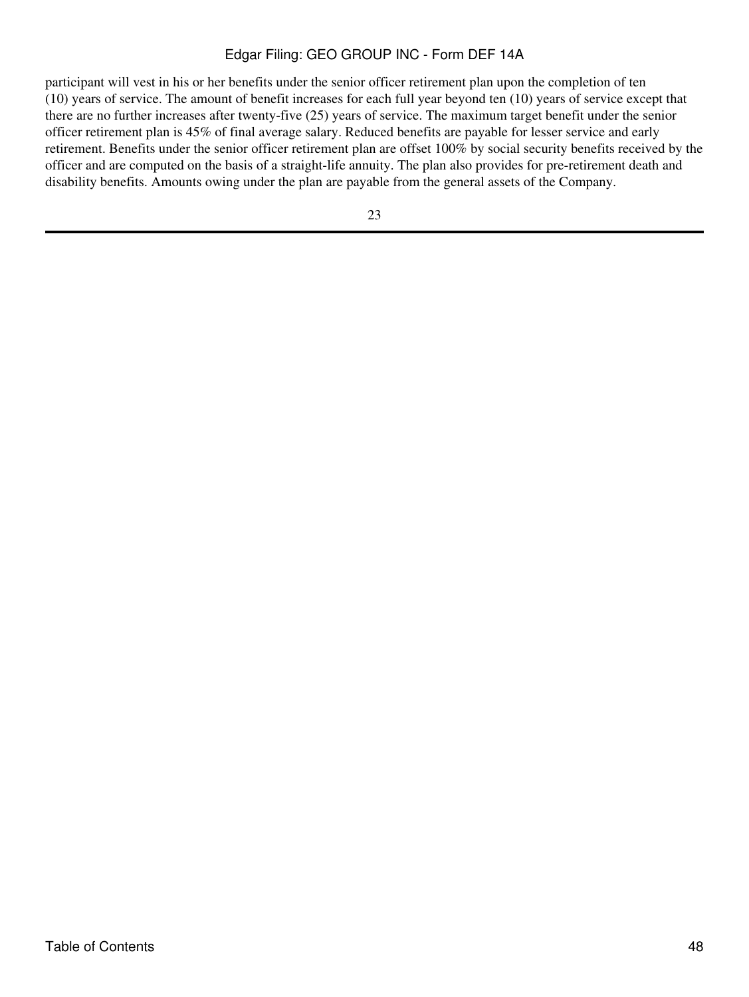participant will vest in his or her benefits under the senior officer retirement plan upon the completion of ten (10) years of service. The amount of benefit increases for each full year beyond ten (10) years of service except that there are no further increases after twenty-five (25) years of service. The maximum target benefit under the senior officer retirement plan is 45% of final average salary. Reduced benefits are payable for lesser service and early retirement. Benefits under the senior officer retirement plan are offset 100% by social security benefits received by the officer and are computed on the basis of a straight-life annuity. The plan also provides for pre-retirement death and disability benefits. Amounts owing under the plan are payable from the general assets of the Company.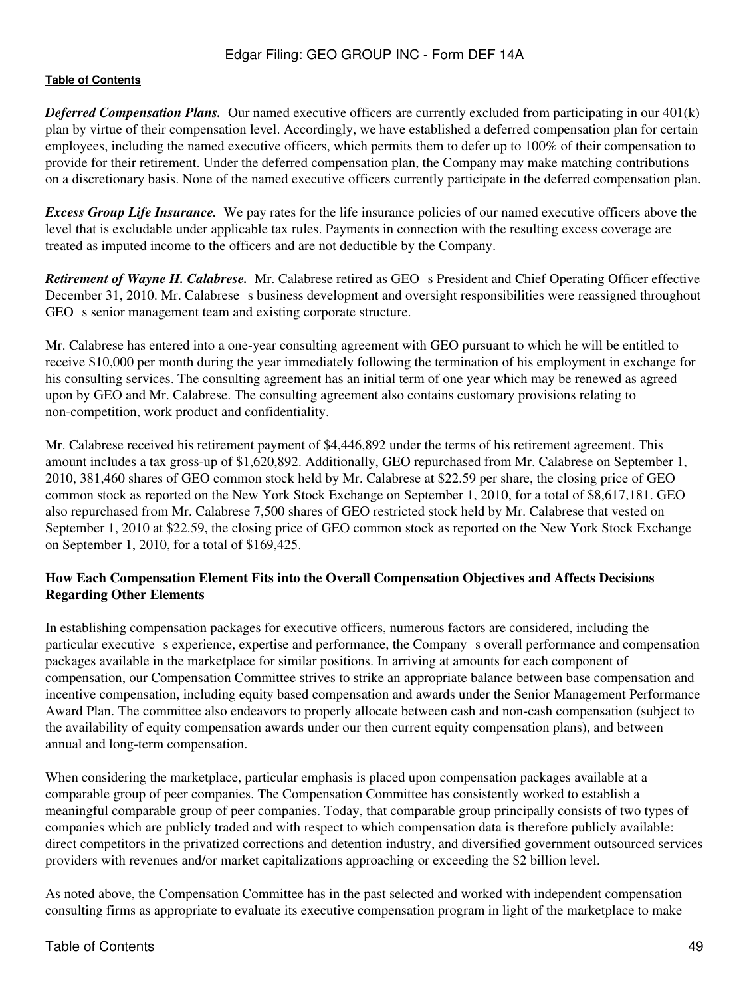*Deferred Compensation Plans.* Our named executive officers are currently excluded from participating in our 401(k) plan by virtue of their compensation level. Accordingly, we have established a deferred compensation plan for certain employees, including the named executive officers, which permits them to defer up to 100% of their compensation to provide for their retirement. Under the deferred compensation plan, the Company may make matching contributions on a discretionary basis. None of the named executive officers currently participate in the deferred compensation plan.

*Excess Group Life Insurance.* We pay rates for the life insurance policies of our named executive officers above the level that is excludable under applicable tax rules. Payments in connection with the resulting excess coverage are treated as imputed income to the officers and are not deductible by the Company.

*Retirement of Wayne H. Calabrese.* Mr. Calabrese retired as GEO s President and Chief Operating Officer effective December 31, 2010. Mr. Calabrese s business development and oversight responsibilities were reassigned throughout GEO s senior management team and existing corporate structure.

Mr. Calabrese has entered into a one-year consulting agreement with GEO pursuant to which he will be entitled to receive \$10,000 per month during the year immediately following the termination of his employment in exchange for his consulting services. The consulting agreement has an initial term of one year which may be renewed as agreed upon by GEO and Mr. Calabrese. The consulting agreement also contains customary provisions relating to non-competition, work product and confidentiality.

Mr. Calabrese received his retirement payment of \$4,446,892 under the terms of his retirement agreement. This amount includes a tax gross-up of \$1,620,892. Additionally, GEO repurchased from Mr. Calabrese on September 1, 2010, 381,460 shares of GEO common stock held by Mr. Calabrese at \$22.59 per share, the closing price of GEO common stock as reported on the New York Stock Exchange on September 1, 2010, for a total of \$8,617,181. GEO also repurchased from Mr. Calabrese 7,500 shares of GEO restricted stock held by Mr. Calabrese that vested on September 1, 2010 at \$22.59, the closing price of GEO common stock as reported on the New York Stock Exchange on September 1, 2010, for a total of \$169,425.

## **How Each Compensation Element Fits into the Overall Compensation Objectives and Affects Decisions Regarding Other Elements**

In establishing compensation packages for executive officers, numerous factors are considered, including the particular executive s experience, expertise and performance, the Company s overall performance and compensation packages available in the marketplace for similar positions. In arriving at amounts for each component of compensation, our Compensation Committee strives to strike an appropriate balance between base compensation and incentive compensation, including equity based compensation and awards under the Senior Management Performance Award Plan. The committee also endeavors to properly allocate between cash and non-cash compensation (subject to the availability of equity compensation awards under our then current equity compensation plans), and between annual and long-term compensation.

When considering the marketplace, particular emphasis is placed upon compensation packages available at a comparable group of peer companies. The Compensation Committee has consistently worked to establish a meaningful comparable group of peer companies. Today, that comparable group principally consists of two types of companies which are publicly traded and with respect to which compensation data is therefore publicly available: direct competitors in the privatized corrections and detention industry, and diversified government outsourced services providers with revenues and/or market capitalizations approaching or exceeding the \$2 billion level.

As noted above, the Compensation Committee has in the past selected and worked with independent compensation consulting firms as appropriate to evaluate its executive compensation program in light of the marketplace to make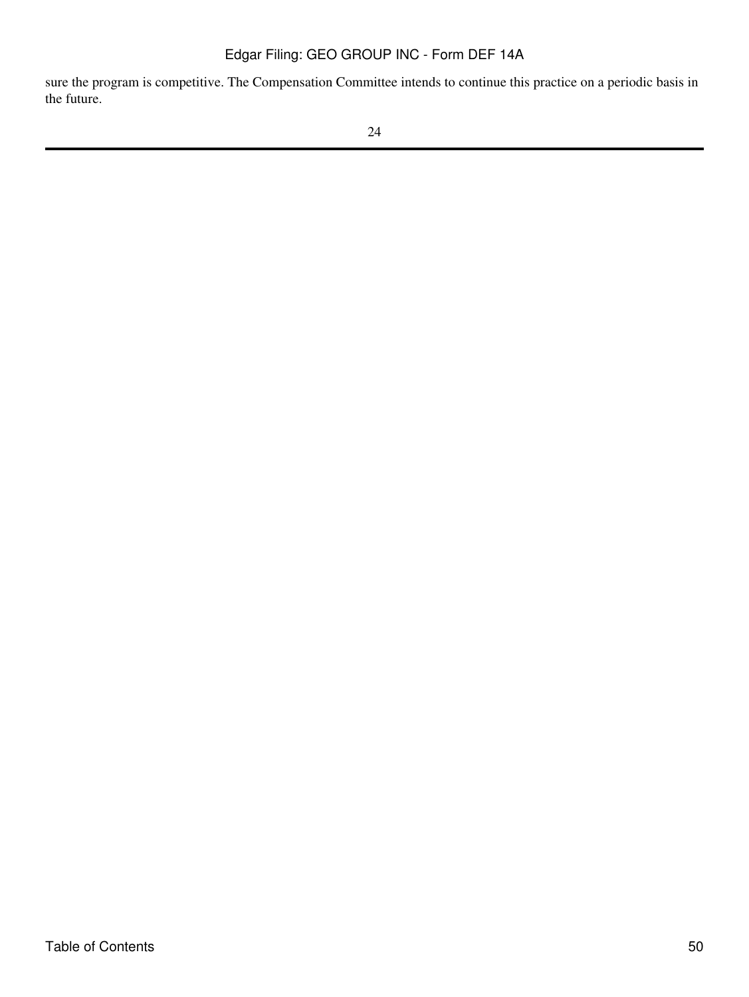sure the program is competitive. The Compensation Committee intends to continue this practice on a periodic basis in the future.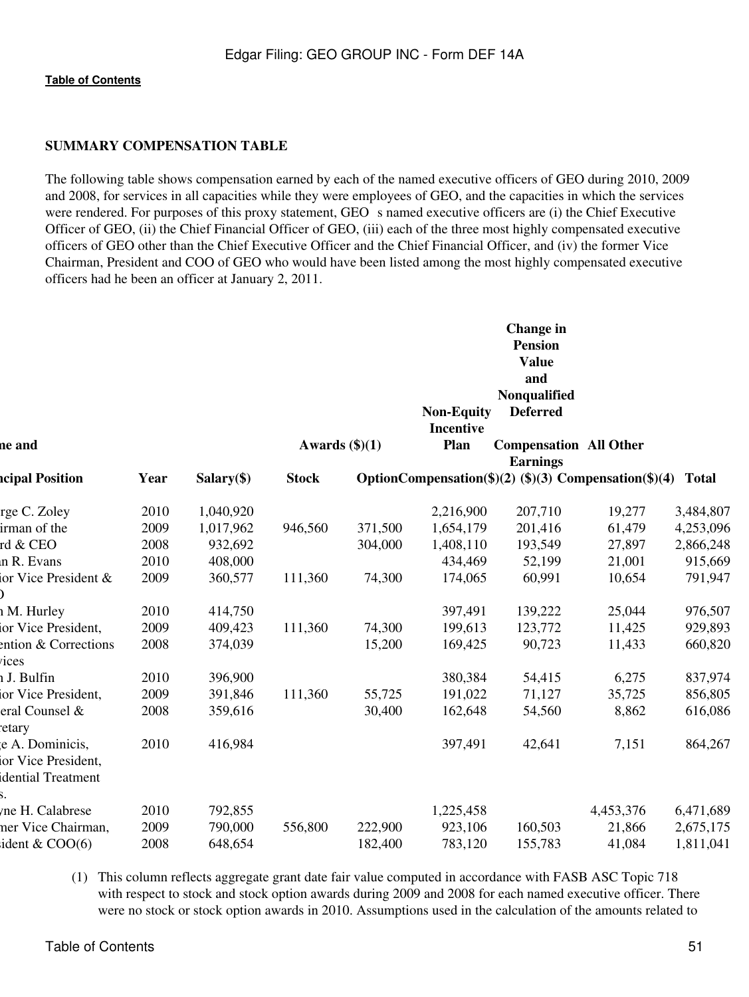## **SUMMARY COMPENSATION TABLE**

The following table shows compensation earned by each of the named executive officers of GEO during 2010, 2009 and 2008, for services in all capacities while they were employees of GEO, and the capacities in which the services were rendered. For purposes of this proxy statement, GEO s named executive officers are (i) the Chief Executive Officer of GEO, (ii) the Chief Financial Officer of GEO, (iii) each of the three most highly compensated executive officers of GEO other than the Chief Executive Officer and the Chief Financial Officer, and (iv) the former Vice Chairman, President and COO of GEO who would have been listed among the most highly compensated executive officers had he been an officer at January 2, 2011.

|                                                             |      |              |                         |         | <b>Non-Equity</b><br><b>Incentive</b> | Change in<br><b>Pension</b><br><b>Value</b><br>and<br>Nonqualified<br><b>Deferred</b> |           |           |
|-------------------------------------------------------------|------|--------------|-------------------------|---------|---------------------------------------|---------------------------------------------------------------------------------------|-----------|-----------|
| ne and                                                      |      |              | Awards $(\text{$}0)(1)$ |         | Plan                                  | <b>Compensation All Other</b>                                                         |           |           |
| <b>ncipal Position</b>                                      | Year | $Salary(\$)$ | <b>Stock</b>            |         |                                       | <b>Earnings</b><br>OptionCompensation(\$)(2) (\$)(3) Compensation(\$)(4) Total        |           |           |
| rge C. Zoley                                                | 2010 | 1,040,920    |                         |         | 2,216,900                             | 207,710                                                                               | 19,277    | 3,484,807 |
| irman of the                                                | 2009 | 1,017,962    | 946,560                 | 371,500 | 1,654,179                             | 201,416                                                                               | 61,479    | 4,253,096 |
| rd & CEO                                                    | 2008 | 932,692      |                         | 304,000 | 1,408,110                             | 193,549                                                                               | 27,897    | 2,866,248 |
| n R. Evans                                                  | 2010 | 408,000      |                         |         | 434,469                               | 52,199                                                                                | 21,001    | 915,669   |
| or Vice President &                                         | 2009 | 360,577      | 111,360                 | 74,300  | 174,065                               | 60,991                                                                                | 10,654    | 791,947   |
| h M. Hurley                                                 | 2010 | 414,750      |                         |         | 397,491                               | 139,222                                                                               | 25,044    | 976,507   |
| or Vice President,                                          | 2009 | 409,423      | 111,360                 | 74,300  | 199,613                               | 123,772                                                                               | 11,425    | 929,893   |
| ention & Corrections<br>ices                                | 2008 | 374,039      |                         | 15,200  | 169,425                               | 90,723                                                                                | 11,433    | 660,820   |
| h J. Bulfin                                                 | 2010 | 396,900      |                         |         | 380,384                               | 54,415                                                                                | 6,275     | 837,974   |
| ior Vice President,                                         | 2009 | 391,846      | 111,360                 | 55,725  | 191,022                               | 71,127                                                                                | 35,725    | 856,805   |
| eral Counsel &<br>etary:                                    | 2008 | 359,616      |                         | 30,400  | 162,648                               | 54,560                                                                                | 8,862     | 616,086   |
| e A. Dominicis,<br>ior Vice President,<br>dential Treatment | 2010 | 416,984      |                         |         | 397,491                               | 42,641                                                                                | 7,151     | 864,267   |
| me H. Calabrese                                             | 2010 | 792,855      |                         |         | 1,225,458                             |                                                                                       | 4,453,376 | 6,471,689 |
| ner Vice Chairman,                                          | 2009 | 790,000      | 556,800                 | 222,900 | 923,106                               | 160,503                                                                               | 21,866    | 2,675,175 |
| ident $&$ COO(6)                                            | 2008 | 648,654      |                         | 182,400 | 783,120                               | 155,783                                                                               | 41,084    | 1,811,041 |
|                                                             |      |              |                         |         |                                       |                                                                                       |           |           |

(1) This column reflects aggregate grant date fair value computed in accordance with FASB ASC Topic 718 with respect to stock and stock option awards during 2009 and 2008 for each named executive officer. There were no stock or stock option awards in 2010. Assumptions used in the calculation of the amounts related to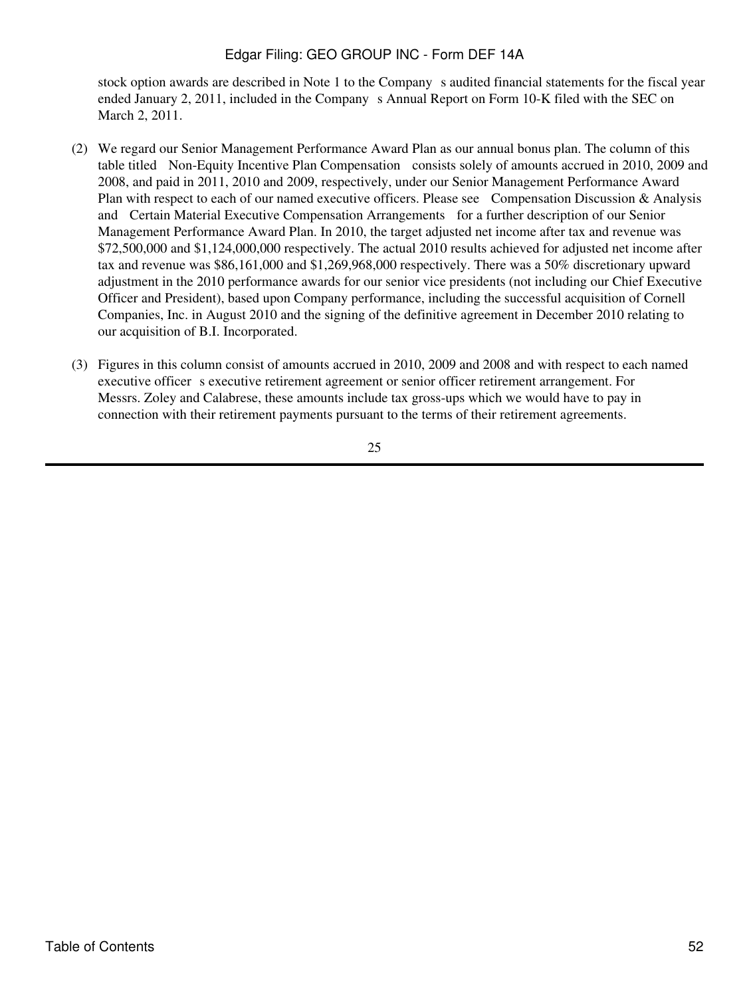stock option awards are described in Note 1 to the Company s audited financial statements for the fiscal year ended January 2, 2011, included in the Company s Annual Report on Form 10-K filed with the SEC on March 2, 2011.

- (2) We regard our Senior Management Performance Award Plan as our annual bonus plan. The column of this table titled Non-Equity Incentive Plan Compensation consists solely of amounts accrued in 2010, 2009 and 2008, and paid in 2011, 2010 and 2009, respectively, under our Senior Management Performance Award Plan with respect to each of our named executive officers. Please see Compensation Discussion & Analysis and Certain Material Executive Compensation Arrangements for a further description of our Senior Management Performance Award Plan. In 2010, the target adjusted net income after tax and revenue was \$72,500,000 and \$1,124,000,000 respectively. The actual 2010 results achieved for adjusted net income after tax and revenue was \$86,161,000 and \$1,269,968,000 respectively. There was a 50% discretionary upward adjustment in the 2010 performance awards for our senior vice presidents (not including our Chief Executive Officer and President), based upon Company performance, including the successful acquisition of Cornell Companies, Inc. in August 2010 and the signing of the definitive agreement in December 2010 relating to our acquisition of B.I. Incorporated.
- (3) Figures in this column consist of amounts accrued in 2010, 2009 and 2008 and with respect to each named executive officer s executive retirement agreement or senior officer retirement arrangement. For Messrs. Zoley and Calabrese, these amounts include tax gross-ups which we would have to pay in connection with their retirement payments pursuant to the terms of their retirement agreements.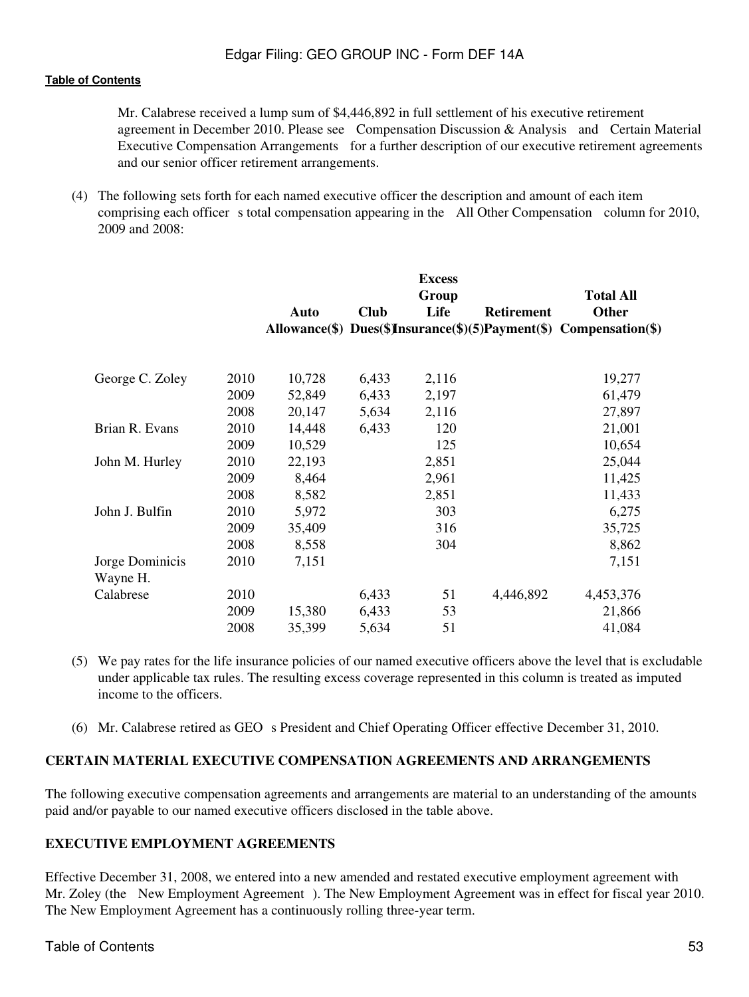Mr. Calabrese received a lump sum of \$4,446,892 in full settlement of his executive retirement agreement in December 2010. Please see Compensation Discussion & Analysis and Certain Material Executive Compensation Arrangements for a further description of our executive retirement agreements and our senior officer retirement arrangements.

(4) The following sets forth for each named executive officer the description and amount of each item comprising each officer s total compensation appearing in the All Other Compensation column for 2010, 2009 and 2008:

|                 |      |        |             | <b>Excess</b><br>Group |                   | <b>Total All</b>                                                   |
|-----------------|------|--------|-------------|------------------------|-------------------|--------------------------------------------------------------------|
|                 |      | Auto   | <b>Club</b> | Life                   | <b>Retirement</b> | Other                                                              |
|                 |      |        |             |                        |                   | Allowance(\$) Dues(\$)Insurance(\$)(5)Payment(\$) Compensation(\$) |
| George C. Zoley | 2010 | 10,728 | 6,433       | 2,116                  |                   | 19,277                                                             |
|                 | 2009 | 52,849 | 6,433       | 2,197                  |                   | 61,479                                                             |
|                 | 2008 | 20,147 | 5,634       | 2,116                  |                   | 27,897                                                             |
| Brian R. Evans  | 2010 | 14,448 | 6,433       | 120                    |                   | 21,001                                                             |
|                 | 2009 | 10,529 |             | 125                    |                   | 10,654                                                             |
| John M. Hurley  | 2010 | 22,193 |             | 2,851                  |                   | 25,044                                                             |
|                 | 2009 | 8,464  |             | 2,961                  |                   | 11,425                                                             |
|                 | 2008 | 8,582  |             | 2,851                  |                   | 11,433                                                             |
| John J. Bulfin  | 2010 | 5,972  |             | 303                    |                   | 6,275                                                              |
|                 | 2009 | 35,409 |             | 316                    |                   | 35,725                                                             |
|                 | 2008 | 8,558  |             | 304                    |                   | 8,862                                                              |
| Jorge Dominicis | 2010 | 7,151  |             |                        |                   | 7,151                                                              |
| Wayne H.        |      |        |             |                        |                   |                                                                    |
| Calabrese       | 2010 |        | 6,433       | 51                     | 4,446,892         | 4,453,376                                                          |
|                 | 2009 | 15,380 | 6,433       | 53                     |                   | 21,866                                                             |
|                 | 2008 | 35,399 | 5,634       | 51                     |                   | 41,084                                                             |

- (5) We pay rates for the life insurance policies of our named executive officers above the level that is excludable under applicable tax rules. The resulting excess coverage represented in this column is treated as imputed income to the officers.
- (6) Mr. Calabrese retired as GEO s President and Chief Operating Officer effective December 31, 2010.

## **CERTAIN MATERIAL EXECUTIVE COMPENSATION AGREEMENTS AND ARRANGEMENTS**

The following executive compensation agreements and arrangements are material to an understanding of the amounts paid and/or payable to our named executive officers disclosed in the table above.

## **EXECUTIVE EMPLOYMENT AGREEMENTS**

Effective December 31, 2008, we entered into a new amended and restated executive employment agreement with Mr. Zoley (the New Employment Agreement). The New Employment Agreement was in effect for fiscal year 2010. The New Employment Agreement has a continuously rolling three-year term.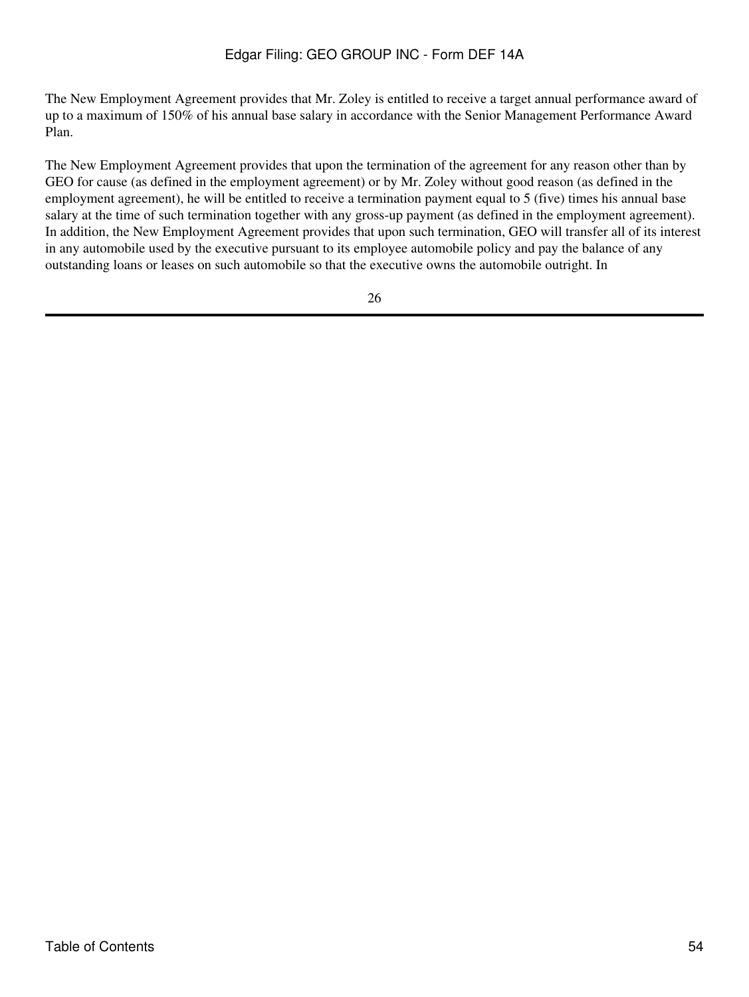The New Employment Agreement provides that Mr. Zoley is entitled to receive a target annual performance award of up to a maximum of 150% of his annual base salary in accordance with the Senior Management Performance Award Plan.

The New Employment Agreement provides that upon the termination of the agreement for any reason other than by GEO for cause (as defined in the employment agreement) or by Mr. Zoley without good reason (as defined in the employment agreement), he will be entitled to receive a termination payment equal to 5 (five) times his annual base salary at the time of such termination together with any gross-up payment (as defined in the employment agreement). In addition, the New Employment Agreement provides that upon such termination, GEO will transfer all of its interest in any automobile used by the executive pursuant to its employee automobile policy and pay the balance of any outstanding loans or leases on such automobile so that the executive owns the automobile outright. In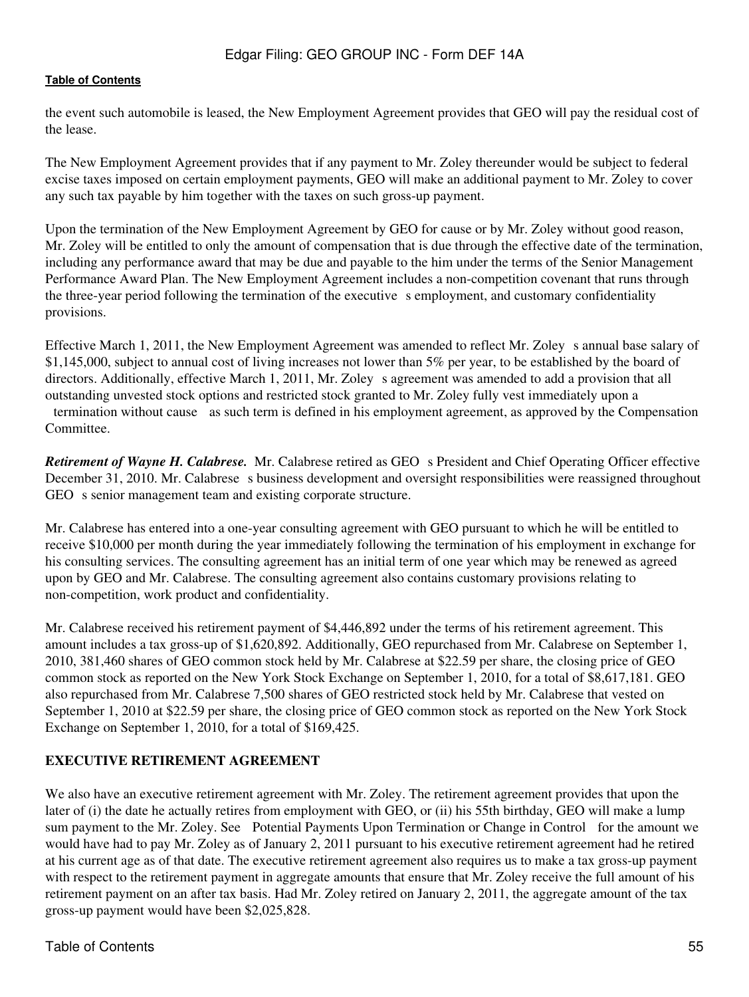the event such automobile is leased, the New Employment Agreement provides that GEO will pay the residual cost of the lease.

The New Employment Agreement provides that if any payment to Mr. Zoley thereunder would be subject to federal excise taxes imposed on certain employment payments, GEO will make an additional payment to Mr. Zoley to cover any such tax payable by him together with the taxes on such gross-up payment.

Upon the termination of the New Employment Agreement by GEO for cause or by Mr. Zoley without good reason, Mr. Zoley will be entitled to only the amount of compensation that is due through the effective date of the termination, including any performance award that may be due and payable to the him under the terms of the Senior Management Performance Award Plan. The New Employment Agreement includes a non-competition covenant that runs through the three-year period following the termination of the executive s employment, and customary confidentiality provisions.

Effective March 1, 2011, the New Employment Agreement was amended to reflect Mr. Zoleys annual base salary of \$1,145,000, subject to annual cost of living increases not lower than 5% per year, to be established by the board of directors. Additionally, effective March 1, 2011, Mr. Zoley s agreement was amended to add a provision that all outstanding unvested stock options and restricted stock granted to Mr. Zoley fully vest immediately upon a termination without cause as such term is defined in his employment agreement, as approved by the Compensation Committee.

*Retirement of Wayne H. Calabrese.* Mr. Calabrese retired as GEO s President and Chief Operating Officer effective December 31, 2010. Mr. Calabrese s business development and oversight responsibilities were reassigned throughout GEO s senior management team and existing corporate structure.

Mr. Calabrese has entered into a one-year consulting agreement with GEO pursuant to which he will be entitled to receive \$10,000 per month during the year immediately following the termination of his employment in exchange for his consulting services. The consulting agreement has an initial term of one year which may be renewed as agreed upon by GEO and Mr. Calabrese. The consulting agreement also contains customary provisions relating to non-competition, work product and confidentiality.

Mr. Calabrese received his retirement payment of \$4,446,892 under the terms of his retirement agreement. This amount includes a tax gross-up of \$1,620,892. Additionally, GEO repurchased from Mr. Calabrese on September 1, 2010, 381,460 shares of GEO common stock held by Mr. Calabrese at \$22.59 per share, the closing price of GEO common stock as reported on the New York Stock Exchange on September 1, 2010, for a total of \$8,617,181. GEO also repurchased from Mr. Calabrese 7,500 shares of GEO restricted stock held by Mr. Calabrese that vested on September 1, 2010 at \$22.59 per share, the closing price of GEO common stock as reported on the New York Stock Exchange on September 1, 2010, for a total of \$169,425.

## **EXECUTIVE RETIREMENT AGREEMENT**

We also have an executive retirement agreement with Mr. Zoley. The retirement agreement provides that upon the later of (i) the date he actually retires from employment with GEO, or (ii) his 55th birthday, GEO will make a lump sum payment to the Mr. Zoley. See Potential Payments Upon Termination or Change in Control for the amount we would have had to pay Mr. Zoley as of January 2, 2011 pursuant to his executive retirement agreement had he retired at his current age as of that date. The executive retirement agreement also requires us to make a tax gross-up payment with respect to the retirement payment in aggregate amounts that ensure that Mr. Zoley receive the full amount of his retirement payment on an after tax basis. Had Mr. Zoley retired on January 2, 2011, the aggregate amount of the tax gross-up payment would have been \$2,025,828.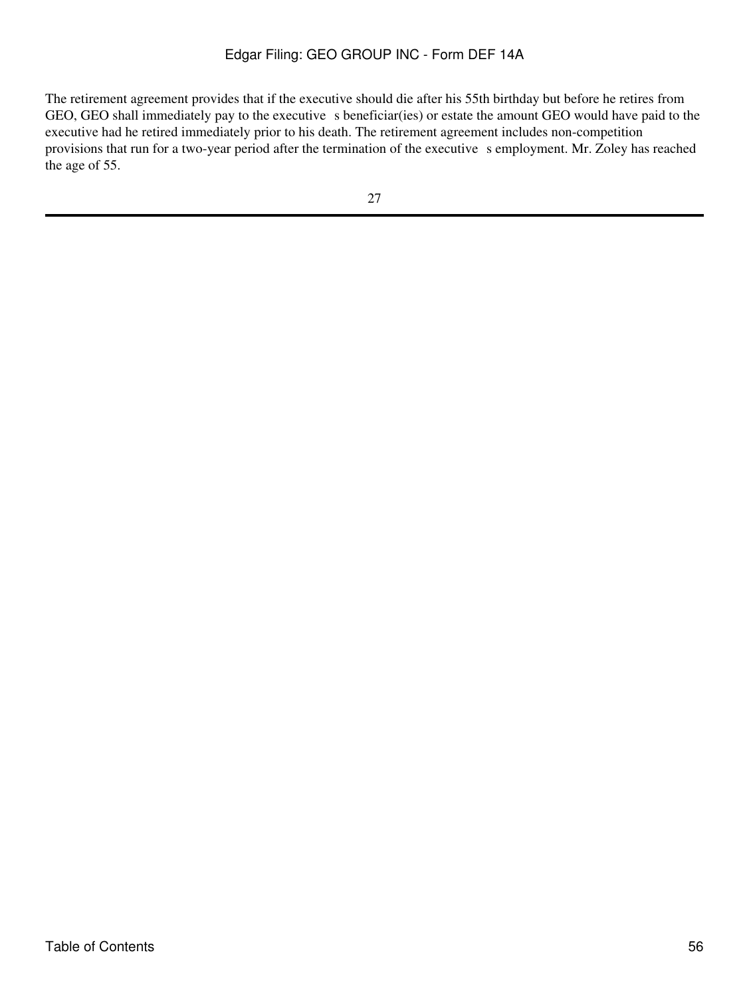The retirement agreement provides that if the executive should die after his 55th birthday but before he retires from GEO, GEO shall immediately pay to the executive s beneficiar(ies) or estate the amount GEO would have paid to the executive had he retired immediately prior to his death. The retirement agreement includes non-competition provisions that run for a two-year period after the termination of the executive s employment. Mr. Zoley has reached the age of 55.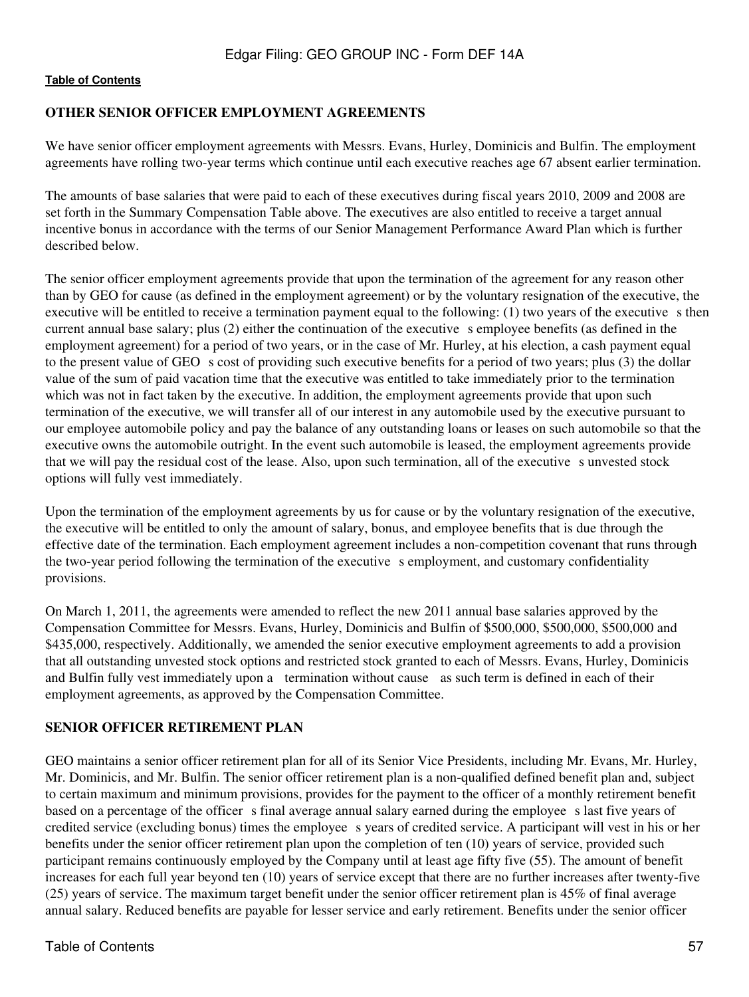## **OTHER SENIOR OFFICER EMPLOYMENT AGREEMENTS**

We have senior officer employment agreements with Messrs. Evans, Hurley, Dominicis and Bulfin. The employment agreements have rolling two-year terms which continue until each executive reaches age 67 absent earlier termination.

The amounts of base salaries that were paid to each of these executives during fiscal years 2010, 2009 and 2008 are set forth in the Summary Compensation Table above. The executives are also entitled to receive a target annual incentive bonus in accordance with the terms of our Senior Management Performance Award Plan which is further described below.

The senior officer employment agreements provide that upon the termination of the agreement for any reason other than by GEO for cause (as defined in the employment agreement) or by the voluntary resignation of the executive, the executive will be entitled to receive a termination payment equal to the following:  $(1)$  two years of the executive s then current annual base salary; plus (2) either the continuation of the executives employee benefits (as defined in the employment agreement) for a period of two years, or in the case of Mr. Hurley, at his election, a cash payment equal to the present value of GEO s cost of providing such executive benefits for a period of two years; plus (3) the dollar value of the sum of paid vacation time that the executive was entitled to take immediately prior to the termination which was not in fact taken by the executive. In addition, the employment agreements provide that upon such termination of the executive, we will transfer all of our interest in any automobile used by the executive pursuant to our employee automobile policy and pay the balance of any outstanding loans or leases on such automobile so that the executive owns the automobile outright. In the event such automobile is leased, the employment agreements provide that we will pay the residual cost of the lease. Also, upon such termination, all of the executive sunvested stock options will fully vest immediately.

Upon the termination of the employment agreements by us for cause or by the voluntary resignation of the executive, the executive will be entitled to only the amount of salary, bonus, and employee benefits that is due through the effective date of the termination. Each employment agreement includes a non-competition covenant that runs through the two-year period following the termination of the executive s employment, and customary confidentiality provisions.

On March 1, 2011, the agreements were amended to reflect the new 2011 annual base salaries approved by the Compensation Committee for Messrs. Evans, Hurley, Dominicis and Bulfin of \$500,000, \$500,000, \$500,000 and \$435,000, respectively. Additionally, we amended the senior executive employment agreements to add a provision that all outstanding unvested stock options and restricted stock granted to each of Messrs. Evans, Hurley, Dominicis and Bulfin fully vest immediately upon a termination without cause as such term is defined in each of their employment agreements, as approved by the Compensation Committee.

## **SENIOR OFFICER RETIREMENT PLAN**

GEO maintains a senior officer retirement plan for all of its Senior Vice Presidents, including Mr. Evans, Mr. Hurley, Mr. Dominicis, and Mr. Bulfin. The senior officer retirement plan is a non-qualified defined benefit plan and, subject to certain maximum and minimum provisions, provides for the payment to the officer of a monthly retirement benefit based on a percentage of the officer s final average annual salary earned during the employee s last five years of credited service (excluding bonus) times the employee s years of credited service. A participant will vest in his or her benefits under the senior officer retirement plan upon the completion of ten (10) years of service, provided such participant remains continuously employed by the Company until at least age fifty five (55). The amount of benefit increases for each full year beyond ten (10) years of service except that there are no further increases after twenty-five (25) years of service. The maximum target benefit under the senior officer retirement plan is 45% of final average annual salary. Reduced benefits are payable for lesser service and early retirement. Benefits under the senior officer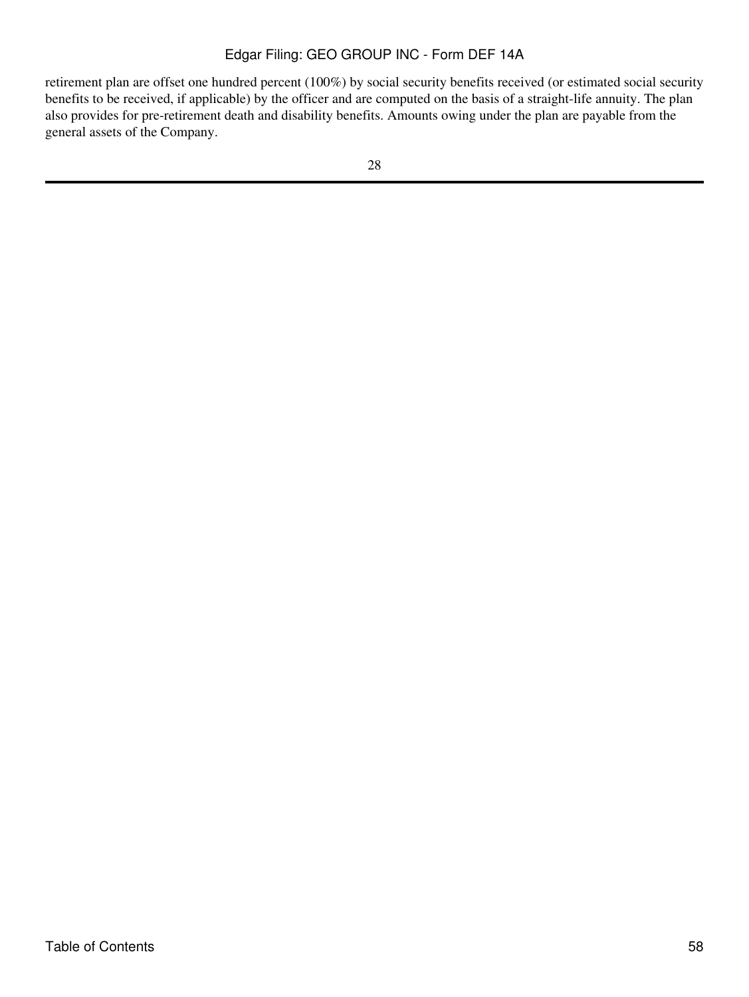retirement plan are offset one hundred percent (100%) by social security benefits received (or estimated social security benefits to be received, if applicable) by the officer and are computed on the basis of a straight-life annuity. The plan also provides for pre-retirement death and disability benefits. Amounts owing under the plan are payable from the general assets of the Company.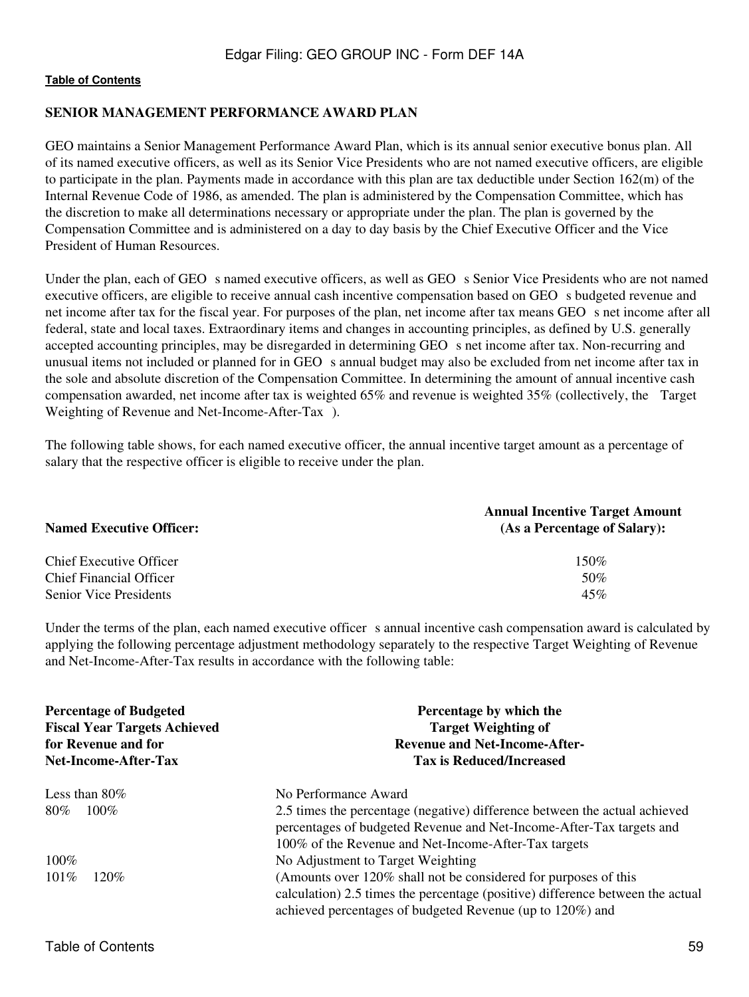#### **SENIOR MANAGEMENT PERFORMANCE AWARD PLAN**

GEO maintains a Senior Management Performance Award Plan, which is its annual senior executive bonus plan. All of its named executive officers, as well as its Senior Vice Presidents who are not named executive officers, are eligible to participate in the plan. Payments made in accordance with this plan are tax deductible under Section 162(m) of the Internal Revenue Code of 1986, as amended. The plan is administered by the Compensation Committee, which has the discretion to make all determinations necessary or appropriate under the plan. The plan is governed by the Compensation Committee and is administered on a day to day basis by the Chief Executive Officer and the Vice President of Human Resources.

Under the plan, each of GEO s named executive officers, as well as GEO s Senior Vice Presidents who are not named executive officers, are eligible to receive annual cash incentive compensation based on GEO s budgeted revenue and net income after tax for the fiscal year. For purposes of the plan, net income after tax means GEO s net income after all federal, state and local taxes. Extraordinary items and changes in accounting principles, as defined by U.S. generally accepted accounting principles, may be disregarded in determining GEO s net income after tax. Non-recurring and unusual items not included or planned for in GEO s annual budget may also be excluded from net income after tax in the sole and absolute discretion of the Compensation Committee. In determining the amount of annual incentive cash compensation awarded, net income after tax is weighted 65% and revenue is weighted 35% (collectively, the Target Weighting of Revenue and Net-Income-After-Tax).

The following table shows, for each named executive officer, the annual incentive target amount as a percentage of salary that the respective officer is eligible to receive under the plan.

| <b>Named Executive Officer:</b> | <b>Annual Incentive Target Amount</b><br>(As a Percentage of Salary): |
|---------------------------------|-----------------------------------------------------------------------|
| Chief Executive Officer         | $150\%$                                                               |
| <b>Chief Financial Officer</b>  | 50%                                                                   |
| <b>Senior Vice Presidents</b>   | 45%                                                                   |

Under the terms of the plan, each named executive officer s annual incentive cash compensation award is calculated by applying the following percentage adjustment methodology separately to the respective Target Weighting of Revenue and Net-Income-After-Tax results in accordance with the following table:

| <b>Percentage of Budgeted</b><br><b>Fiscal Year Targets Achieved</b><br>for Revenue and for<br><b>Net-Income-After-Tax</b> | Percentage by which the<br><b>Target Weighting of</b><br><b>Revenue and Net-Income-After-</b><br><b>Tax is Reduced/Increased</b>                                                                               |  |  |
|----------------------------------------------------------------------------------------------------------------------------|----------------------------------------------------------------------------------------------------------------------------------------------------------------------------------------------------------------|--|--|
| Less than $80\%$                                                                                                           | No Performance Award                                                                                                                                                                                           |  |  |
| $100\%$<br>80%                                                                                                             | 2.5 times the percentage (negative) difference between the actual achieved<br>percentages of budgeted Revenue and Net-Income-After-Tax targets and<br>100% of the Revenue and Net-Income-After-Tax targets     |  |  |
| $100\%$                                                                                                                    | No Adjustment to Target Weighting                                                                                                                                                                              |  |  |
| $101\%$<br>$120\%$                                                                                                         | (Amounts over 120% shall not be considered for purposes of this<br>calculation) 2.5 times the percentage (positive) difference between the actual<br>achieved percentages of budgeted Revenue (up to 120%) and |  |  |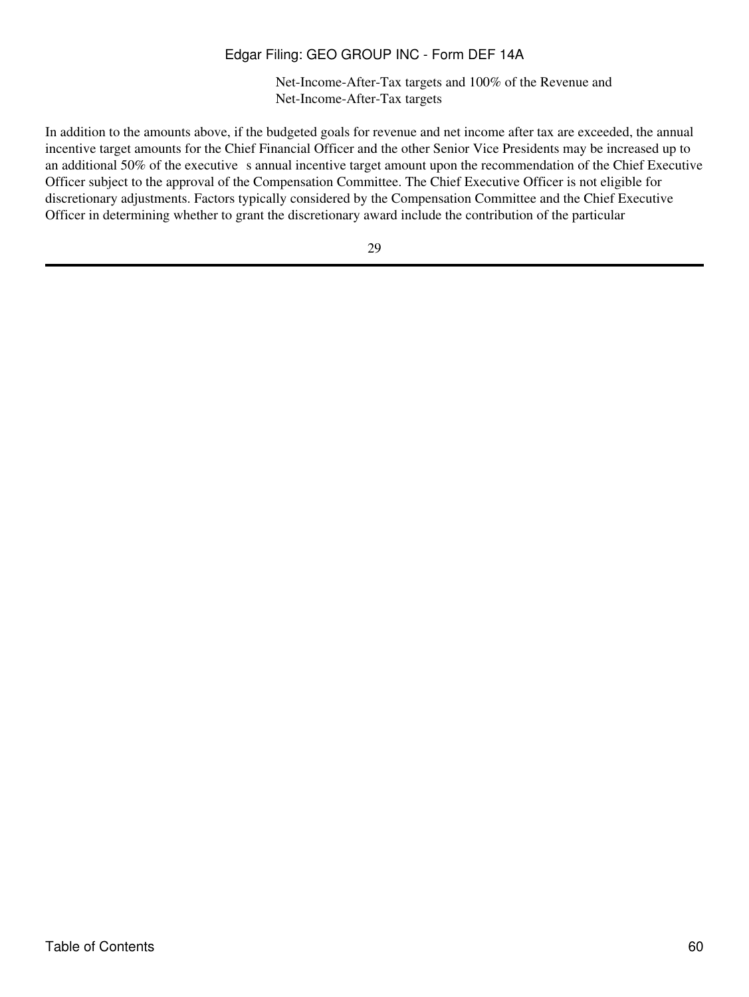Net-Income-After-Tax targets and 100% of the Revenue and Net-Income-After-Tax targets

In addition to the amounts above, if the budgeted goals for revenue and net income after tax are exceeded, the annual incentive target amounts for the Chief Financial Officer and the other Senior Vice Presidents may be increased up to an additional 50% of the executive s annual incentive target amount upon the recommendation of the Chief Executive Officer subject to the approval of the Compensation Committee. The Chief Executive Officer is not eligible for discretionary adjustments. Factors typically considered by the Compensation Committee and the Chief Executive Officer in determining whether to grant the discretionary award include the contribution of the particular

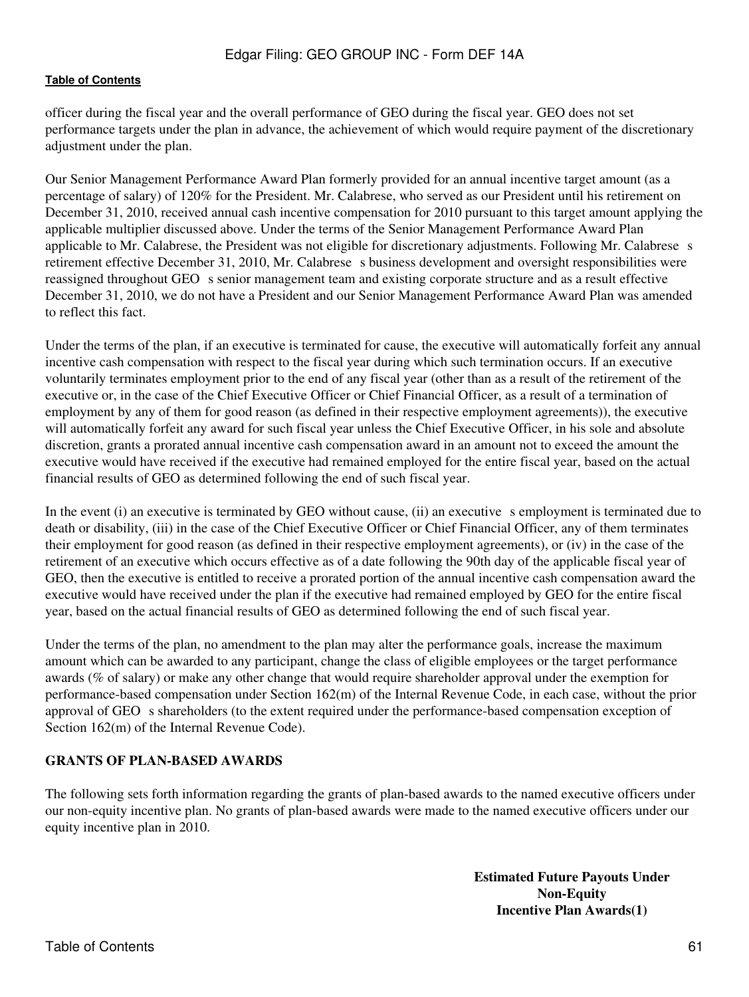officer during the fiscal year and the overall performance of GEO during the fiscal year. GEO does not set performance targets under the plan in advance, the achievement of which would require payment of the discretionary adjustment under the plan.

Our Senior Management Performance Award Plan formerly provided for an annual incentive target amount (as a percentage of salary) of 120% for the President. Mr. Calabrese, who served as our President until his retirement on December 31, 2010, received annual cash incentive compensation for 2010 pursuant to this target amount applying the applicable multiplier discussed above. Under the terms of the Senior Management Performance Award Plan applicable to Mr. Calabrese, the President was not eligible for discretionary adjustments. Following Mr. Calabrese s retirement effective December 31, 2010, Mr. Calabrese s business development and oversight responsibilities were reassigned throughout GEO s senior management team and existing corporate structure and as a result effective December 31, 2010, we do not have a President and our Senior Management Performance Award Plan was amended to reflect this fact.

Under the terms of the plan, if an executive is terminated for cause, the executive will automatically forfeit any annual incentive cash compensation with respect to the fiscal year during which such termination occurs. If an executive voluntarily terminates employment prior to the end of any fiscal year (other than as a result of the retirement of the executive or, in the case of the Chief Executive Officer or Chief Financial Officer, as a result of a termination of employment by any of them for good reason (as defined in their respective employment agreements)), the executive will automatically forfeit any award for such fiscal year unless the Chief Executive Officer, in his sole and absolute discretion, grants a prorated annual incentive cash compensation award in an amount not to exceed the amount the executive would have received if the executive had remained employed for the entire fiscal year, based on the actual financial results of GEO as determined following the end of such fiscal year.

In the event (i) an executive is terminated by GEO without cause, (ii) an executive s employment is terminated due to death or disability, (iii) in the case of the Chief Executive Officer or Chief Financial Officer, any of them terminates their employment for good reason (as defined in their respective employment agreements), or (iv) in the case of the retirement of an executive which occurs effective as of a date following the 90th day of the applicable fiscal year of GEO, then the executive is entitled to receive a prorated portion of the annual incentive cash compensation award the executive would have received under the plan if the executive had remained employed by GEO for the entire fiscal year, based on the actual financial results of GEO as determined following the end of such fiscal year.

Under the terms of the plan, no amendment to the plan may alter the performance goals, increase the maximum amount which can be awarded to any participant, change the class of eligible employees or the target performance awards (% of salary) or make any other change that would require shareholder approval under the exemption for performance-based compensation under Section 162(m) of the Internal Revenue Code, in each case, without the prior approval of GEO s shareholders (to the extent required under the performance-based compensation exception of Section 162(m) of the Internal Revenue Code).

## **GRANTS OF PLAN-BASED AWARDS**

The following sets forth information regarding the grants of plan-based awards to the named executive officers under our non-equity incentive plan. No grants of plan-based awards were made to the named executive officers under our equity incentive plan in 2010.

> **Estimated Future Payouts Under Non-Equity Incentive Plan Awards(1)**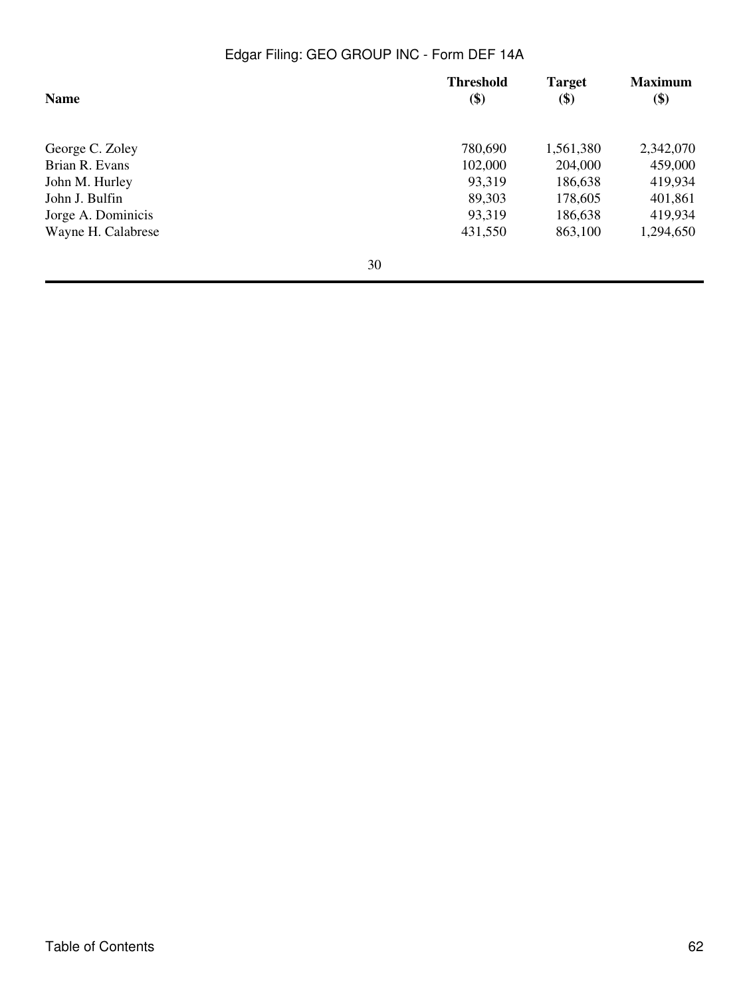| <b>Name</b>        |    | <b>Threshold</b><br>\$) | <b>Target</b><br>\$) | <b>Maximum</b><br>\$) |
|--------------------|----|-------------------------|----------------------|-----------------------|
| George C. Zoley    |    | 780,690                 | 1,561,380            | 2,342,070             |
| Brian R. Evans     |    | 102,000                 | 204,000              | 459,000               |
| John M. Hurley     |    | 93,319                  | 186,638              | 419,934               |
| John J. Bulfin     |    | 89,303                  | 178,605              | 401,861               |
| Jorge A. Dominicis |    | 93,319                  | 186,638              | 419,934               |
| Wayne H. Calabrese |    | 431,550                 | 863,100              | 1,294,650             |
|                    | 30 |                         |                      |                       |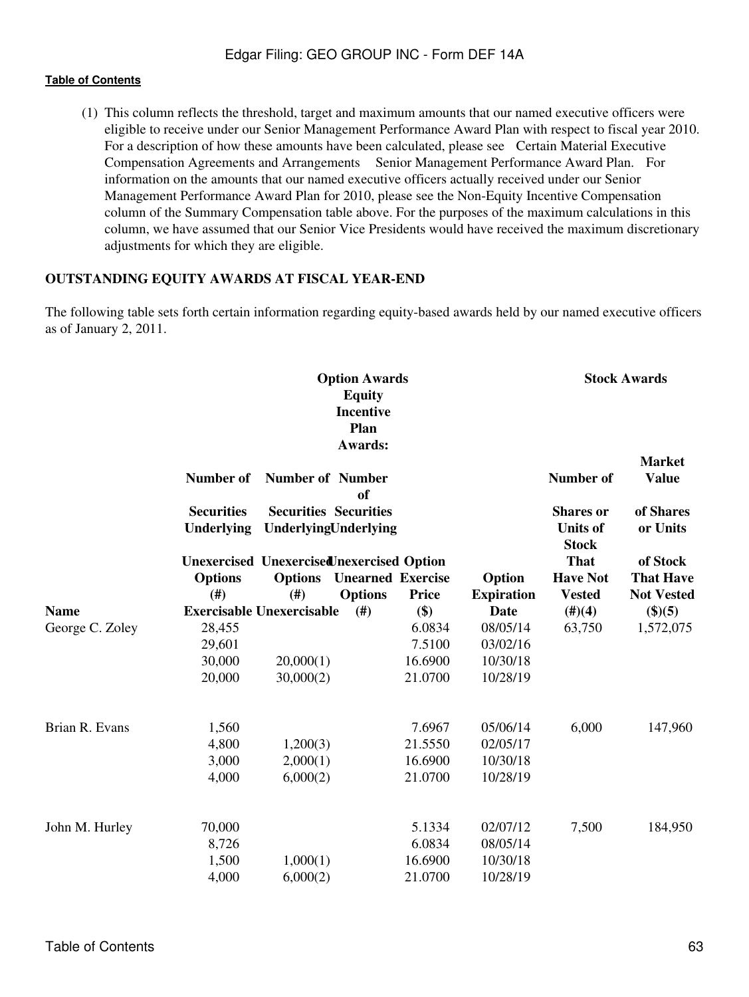(1) This column reflects the threshold, target and maximum amounts that our named executive officers were eligible to receive under our Senior Management Performance Award Plan with respect to fiscal year 2010. For a description of how these amounts have been calculated, please see Certain Material Executive Compensation Agreements and Arrangements Senior Management Performance Award Plan. For information on the amounts that our named executive officers actually received under our Senior Management Performance Award Plan for 2010, please see the Non-Equity Incentive Compensation column of the Summary Compensation table above. For the purposes of the maximum calculations in this column, we have assumed that our Senior Vice Presidents would have received the maximum discretionary adjustments for which they are eligible.

#### **OUTSTANDING EQUITY AWARDS AT FISCAL YEAR-END**

The following table sets forth certain information regarding equity-based awards held by our named executive officers as of January 2, 2011.

|                                | <b>Option Awards</b><br><b>Equity</b><br><b>Incentive</b><br>Plan<br>Awards: |                                                      |                          |              |                   |                                                     | <b>Stock Awards</b>           |
|--------------------------------|------------------------------------------------------------------------------|------------------------------------------------------|--------------------------|--------------|-------------------|-----------------------------------------------------|-------------------------------|
|                                | Number of                                                                    | <b>Number of Number</b>                              | of                       |              |                   | <b>Number of</b>                                    | <b>Market</b><br><b>Value</b> |
|                                | <b>Securities</b><br>Underlying                                              | <b>Securities Securities</b><br>UnderlyingUnderlying |                          |              |                   | <b>Shares</b> or<br><b>Units of</b><br><b>Stock</b> | of Shares<br>or Units         |
|                                | <b>Unexercised Unexercised nexercised Option</b>                             |                                                      |                          |              |                   | <b>That</b>                                         | of Stock                      |
|                                | <b>Options</b>                                                               | <b>Options</b>                                       | <b>Unearned Exercise</b> |              | Option            | <b>Have Not</b>                                     | <b>That Have</b>              |
|                                | (#)                                                                          | (#)                                                  | <b>Options</b>           | <b>Price</b> | <b>Expiration</b> | <b>Vested</b>                                       | <b>Not Vested</b>             |
| <b>Name</b><br>George C. Zoley |                                                                              | <b>Exercisable Unexercisable</b>                     | (#)                      | \$)          | <b>Date</b>       | $(\#)(4)$                                           | \$)(5)                        |
|                                | 28,455                                                                       |                                                      |                          | 6.0834       | 08/05/14          | 63,750                                              | 1,572,075                     |
|                                | 29,601                                                                       |                                                      |                          | 7.5100       | 03/02/16          |                                                     |                               |
|                                | 30,000                                                                       | 20,000(1)                                            |                          | 16.6900      | 10/30/18          |                                                     |                               |
|                                | 20,000                                                                       | 30,000(2)                                            |                          | 21.0700      | 10/28/19          |                                                     |                               |
| Brian R. Evans                 | 1,560                                                                        |                                                      |                          | 7.6967       | 05/06/14          | 6,000                                               | 147,960                       |
|                                | 4,800                                                                        | 1,200(3)                                             |                          | 21.5550      | 02/05/17          |                                                     |                               |
|                                | 3,000                                                                        | 2,000(1)                                             |                          | 16.6900      | 10/30/18          |                                                     |                               |
|                                | 4,000                                                                        | 6,000(2)                                             |                          | 21.0700      | 10/28/19          |                                                     |                               |
| John M. Hurley                 | 70,000                                                                       |                                                      |                          | 5.1334       | 02/07/12          | 7,500                                               | 184,950                       |
|                                | 8,726                                                                        |                                                      |                          | 6.0834       | 08/05/14          |                                                     |                               |
|                                | 1,500                                                                        | 1,000(1)                                             |                          | 16.6900      | 10/30/18          |                                                     |                               |
|                                | 4,000                                                                        | 6,000(2)                                             |                          | 21.0700      | 10/28/19          |                                                     |                               |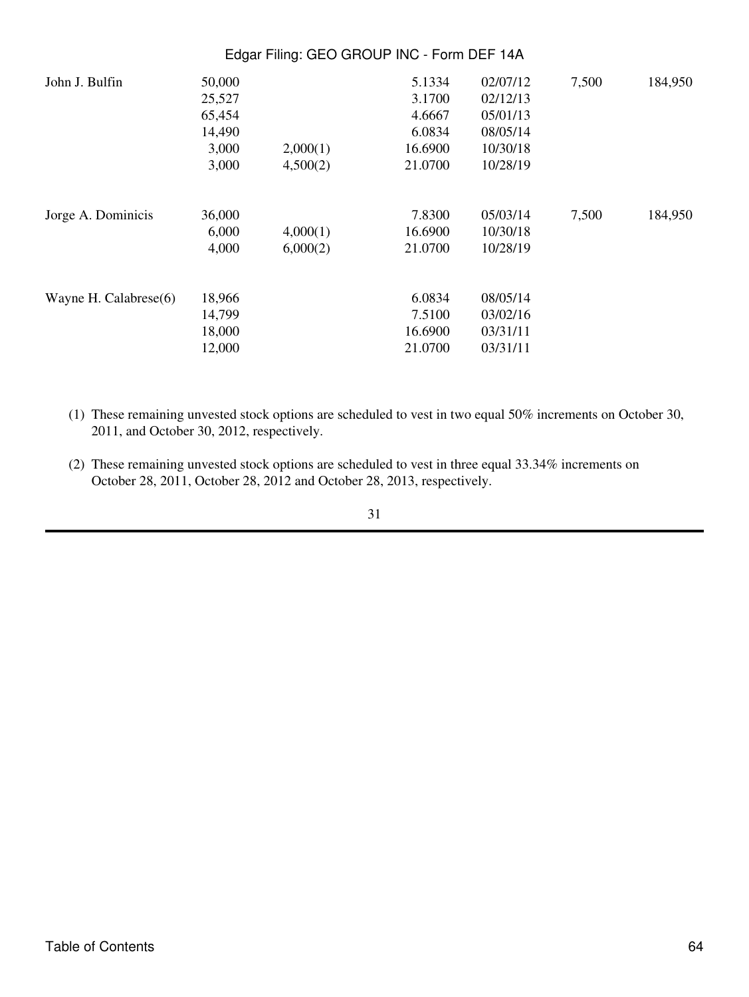| 50,000 |          | 5.1334  | 02/07/12 | 7,500                                      | 184,950 |
|--------|----------|---------|----------|--------------------------------------------|---------|
| 25,527 |          | 3.1700  | 02/12/13 |                                            |         |
| 65,454 |          | 4.6667  | 05/01/13 |                                            |         |
| 14,490 |          | 6.0834  | 08/05/14 |                                            |         |
| 3,000  | 2,000(1) | 16.6900 | 10/30/18 |                                            |         |
| 3,000  | 4,500(2) | 21.0700 | 10/28/19 |                                            |         |
| 36,000 |          | 7.8300  | 05/03/14 | 7,500                                      | 184,950 |
| 6,000  | 4,000(1) | 16.6900 | 10/30/18 |                                            |         |
| 4,000  | 6,000(2) | 21.0700 | 10/28/19 |                                            |         |
| 18,966 |          | 6.0834  | 08/05/14 |                                            |         |
| 14,799 |          | 7.5100  | 03/02/16 |                                            |         |
| 18,000 |          | 16.6900 | 03/31/11 |                                            |         |
| 12,000 |          | 21.0700 | 03/31/11 |                                            |         |
|        |          |         |          | Edgar Filing: GEO GROUP INC - Form DEF 14A |         |

- (1) These remaining unvested stock options are scheduled to vest in two equal 50% increments on October 30, 2011, and October 30, 2012, respectively.
- (2) These remaining unvested stock options are scheduled to vest in three equal 33.34% increments on October 28, 2011, October 28, 2012 and October 28, 2013, respectively.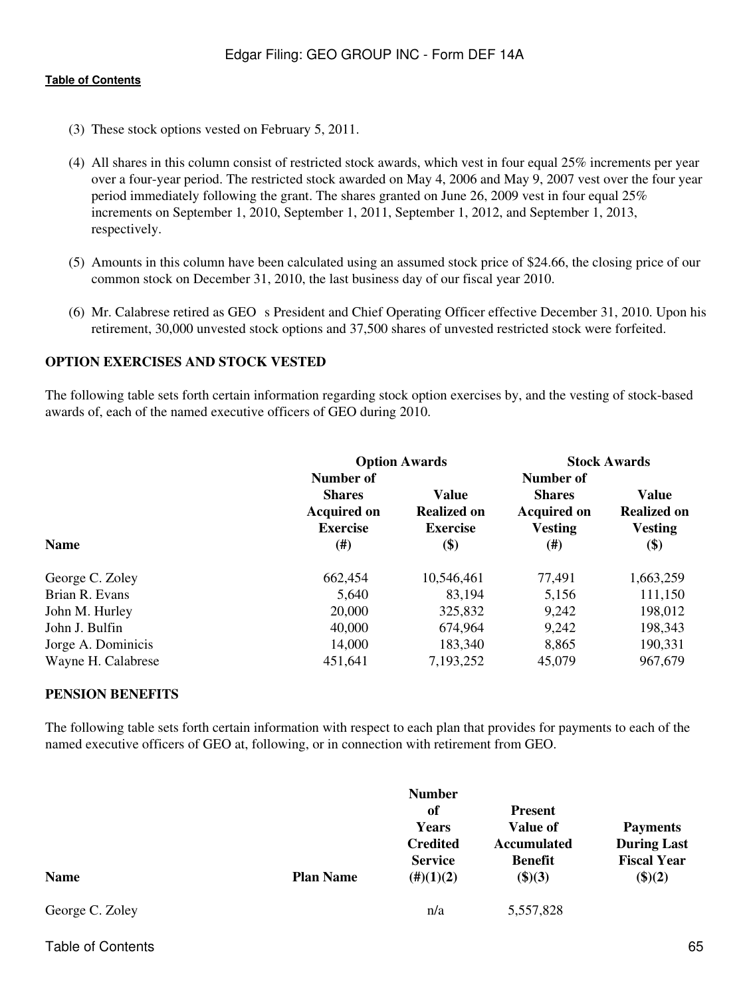- (3) These stock options vested on February 5, 2011.
- (4) All shares in this column consist of restricted stock awards, which vest in four equal 25% increments per year over a four-year period. The restricted stock awarded on May 4, 2006 and May 9, 2007 vest over the four year period immediately following the grant. The shares granted on June 26, 2009 vest in four equal 25% increments on September 1, 2010, September 1, 2011, September 1, 2012, and September 1, 2013, respectively.
- (5) Amounts in this column have been calculated using an assumed stock price of \$24.66, the closing price of our common stock on December 31, 2010, the last business day of our fiscal year 2010.
- (6) Mr. Calabrese retired as GEO s President and Chief Operating Officer effective December 31, 2010. Upon his retirement, 30,000 unvested stock options and 37,500 shares of unvested restricted stock were forfeited.

## **OPTION EXERCISES AND STOCK VESTED**

The following table sets forth certain information regarding stock option exercises by, and the vesting of stock-based awards of, each of the named executive officers of GEO during 2010.

|                    | <b>Option Awards</b>                                                | <b>Stock Awards</b>                                   |                                                                    |                                               |
|--------------------|---------------------------------------------------------------------|-------------------------------------------------------|--------------------------------------------------------------------|-----------------------------------------------|
|                    | Number of<br><b>Shares</b><br><b>Acquired on</b><br><b>Exercise</b> | <b>Value</b><br><b>Realized on</b><br><b>Exercise</b> | Number of<br><b>Shares</b><br><b>Acquired on</b><br><b>Vesting</b> | Value<br><b>Realized on</b><br><b>Vesting</b> |
| <b>Name</b>        | $(\#)$                                                              | \$)                                                   | $^{(#)}$                                                           | \$)                                           |
| George C. Zoley    | 662,454                                                             | 10,546,461                                            | 77,491                                                             | 1,663,259                                     |
| Brian R. Evans     | 5,640                                                               | 83,194                                                | 5,156                                                              | 111,150                                       |
| John M. Hurley     | 20,000                                                              | 325,832                                               | 9,242                                                              | 198,012                                       |
| John J. Bulfin     | 40,000                                                              | 674,964                                               | 9,242                                                              | 198,343                                       |
| Jorge A. Dominicis | 14,000                                                              | 183,340                                               | 8,865                                                              | 190,331                                       |
| Wayne H. Calabrese | 451,641                                                             | 7,193,252                                             | 45,079                                                             | 967,679                                       |

#### **PENSION BENEFITS**

The following table sets forth certain information with respect to each plan that provides for payments to each of the named executive officers of GEO at, following, or in connection with retirement from GEO.

| <b>Name</b>     | <b>Plan Name</b> | <b>Number</b><br>-of<br>Years<br><b>Credited</b><br><b>Service</b><br>$(\#)(1)(2)$ | <b>Present</b><br><b>Value of</b><br><b>Accumulated</b><br><b>Benefit</b><br>(\$)(3) | <b>Payments</b><br><b>During Last</b><br><b>Fiscal Year</b><br>\$)(2) |
|-----------------|------------------|------------------------------------------------------------------------------------|--------------------------------------------------------------------------------------|-----------------------------------------------------------------------|
| George C. Zoley |                  | n/a                                                                                | 5,557,828                                                                            |                                                                       |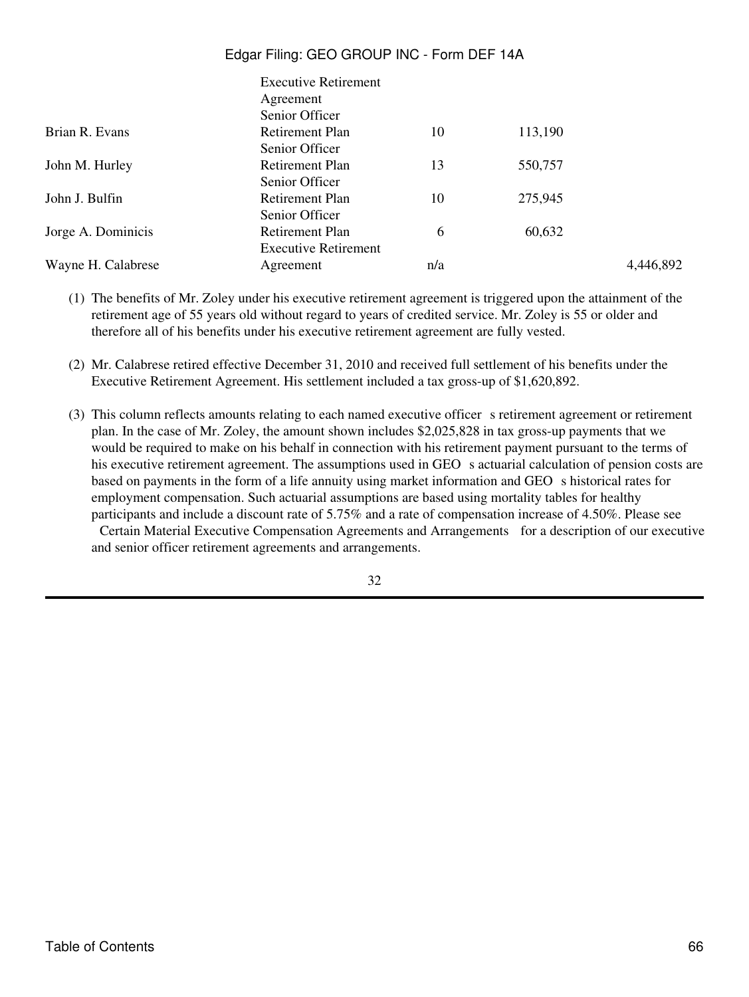|                    | <b>Executive Retirement</b> |     |         |           |
|--------------------|-----------------------------|-----|---------|-----------|
|                    | Agreement                   |     |         |           |
|                    | Senior Officer              |     |         |           |
| Brian R. Evans     | Retirement Plan             | 10  | 113,190 |           |
|                    | Senior Officer              |     |         |           |
| John M. Hurley     | Retirement Plan             | 13  | 550,757 |           |
|                    | Senior Officer              |     |         |           |
| John J. Bulfin     | Retirement Plan             | 10  | 275,945 |           |
|                    | Senior Officer              |     |         |           |
| Jorge A. Dominicis | <b>Retirement Plan</b>      | 6   | 60,632  |           |
|                    | <b>Executive Retirement</b> |     |         |           |
| Wayne H. Calabrese | Agreement                   | n/a |         | 4,446,892 |

- (1) The benefits of Mr. Zoley under his executive retirement agreement is triggered upon the attainment of the retirement age of 55 years old without regard to years of credited service. Mr. Zoley is 55 or older and therefore all of his benefits under his executive retirement agreement are fully vested.
- (2) Mr. Calabrese retired effective December 31, 2010 and received full settlement of his benefits under the Executive Retirement Agreement. His settlement included a tax gross-up of \$1,620,892.
- (3) This column reflects amounts relating to each named executive officer s retirement agreement or retirement plan. In the case of Mr. Zoley, the amount shown includes \$2,025,828 in tax gross-up payments that we would be required to make on his behalf in connection with his retirement payment pursuant to the terms of his executive retirement agreement. The assumptions used in GEO s actuarial calculation of pension costs are based on payments in the form of a life annuity using market information and GEO s historical rates for employment compensation. Such actuarial assumptions are based using mortality tables for healthy participants and include a discount rate of 5.75% and a rate of compensation increase of 4.50%. Please see

Certain Material Executive Compensation Agreements and Arrangements for a description of our executive and senior officer retirement agreements and arrangements.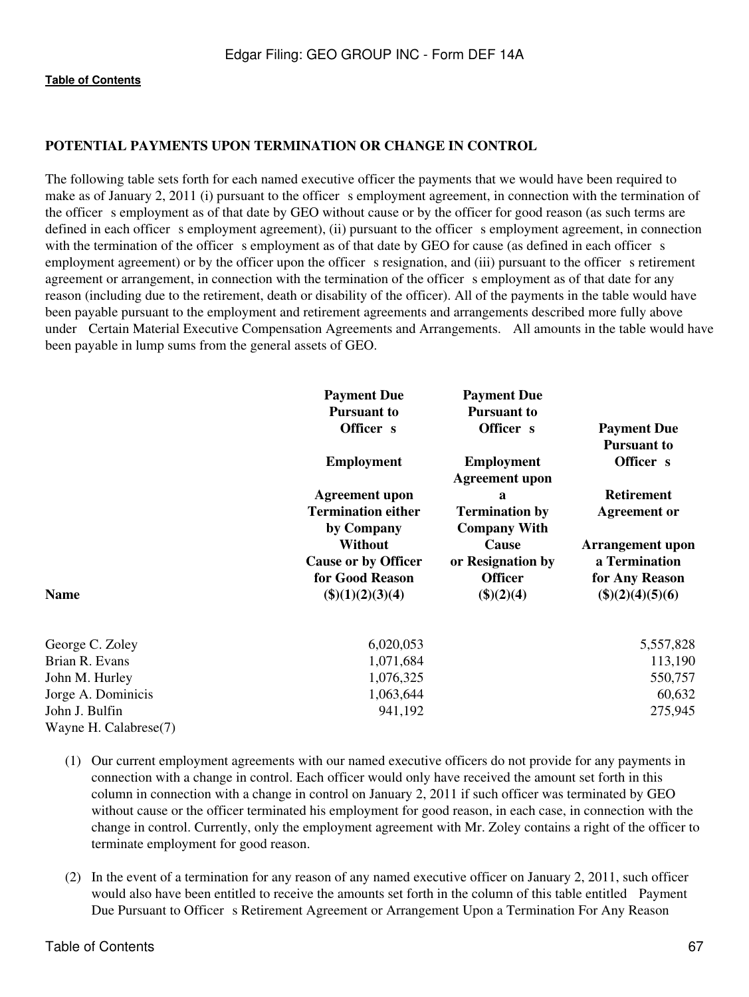## **POTENTIAL PAYMENTS UPON TERMINATION OR CHANGE IN CONTROL**

The following table sets forth for each named executive officer the payments that we would have been required to make as of January 2, 2011 (i) pursuant to the officer s employment agreement, in connection with the termination of the officer s employment as of that date by GEO without cause or by the officer for good reason (as such terms are defined in each officer s employment agreement), (ii) pursuant to the officer s employment agreement, in connection with the termination of the officer s employment as of that date by GEO for cause (as defined in each officer s employment agreement) or by the officer upon the officer s resignation, and (iii) pursuant to the officer s retirement agreement or arrangement, in connection with the termination of the officer s employment as of that date for any reason (including due to the retirement, death or disability of the officer). All of the payments in the table would have been payable pursuant to the employment and retirement agreements and arrangements described more fully above under Certain Material Executive Compensation Agreements and Arrangements. All amounts in the table would have been payable in lump sums from the general assets of GEO.

|                                         | <b>Payment Due</b><br><b>Pursuant to</b><br>Officer s<br><b>Employment</b>                                       | <b>Payment Due</b><br><b>Pursuant to</b><br>Officer s<br><b>Employment</b>                               | <b>Payment Due</b><br><b>Pursuant to</b><br>Officer s                                |  |
|-----------------------------------------|------------------------------------------------------------------------------------------------------------------|----------------------------------------------------------------------------------------------------------|--------------------------------------------------------------------------------------|--|
|                                         | <b>Agreement upon</b><br><b>Termination either</b><br>by Company<br><b>Without</b><br><b>Cause or by Officer</b> | <b>Agreement</b> upon<br>a<br><b>Termination by</b><br><b>Company With</b><br>Cause<br>or Resignation by | <b>Retirement</b><br><b>Agreement or</b><br><b>Arrangement upon</b><br>a Termination |  |
| <b>Name</b>                             | for Good Reason<br>\$)(1)(2)(3)(4)                                                                               | <b>Officer</b><br>\$)(2)(4)                                                                              | for Any Reason<br>\$)(2)(4)(5)(6)                                                    |  |
| George C. Zoley                         | 6,020,053                                                                                                        |                                                                                                          | 5,557,828                                                                            |  |
| Brian R. Evans                          | 1,071,684                                                                                                        |                                                                                                          | 113,190                                                                              |  |
| John M. Hurley                          | 1,076,325                                                                                                        |                                                                                                          | 550,757                                                                              |  |
| Jorge A. Dominicis                      | 1,063,644                                                                                                        |                                                                                                          | 60,632                                                                               |  |
| John J. Bulfin<br>Wayne H. Calabrese(7) | 941,192                                                                                                          |                                                                                                          | 275,945                                                                              |  |

- (1) Our current employment agreements with our named executive officers do not provide for any payments in connection with a change in control. Each officer would only have received the amount set forth in this column in connection with a change in control on January 2, 2011 if such officer was terminated by GEO without cause or the officer terminated his employment for good reason, in each case, in connection with the change in control. Currently, only the employment agreement with Mr. Zoley contains a right of the officer to terminate employment for good reason.
- (2) In the event of a termination for any reason of any named executive officer on January 2, 2011, such officer would also have been entitled to receive the amounts set forth in the column of this table entitled Payment Due Pursuant to Officer s Retirement Agreement or Arrangement Upon a Termination For Any Reason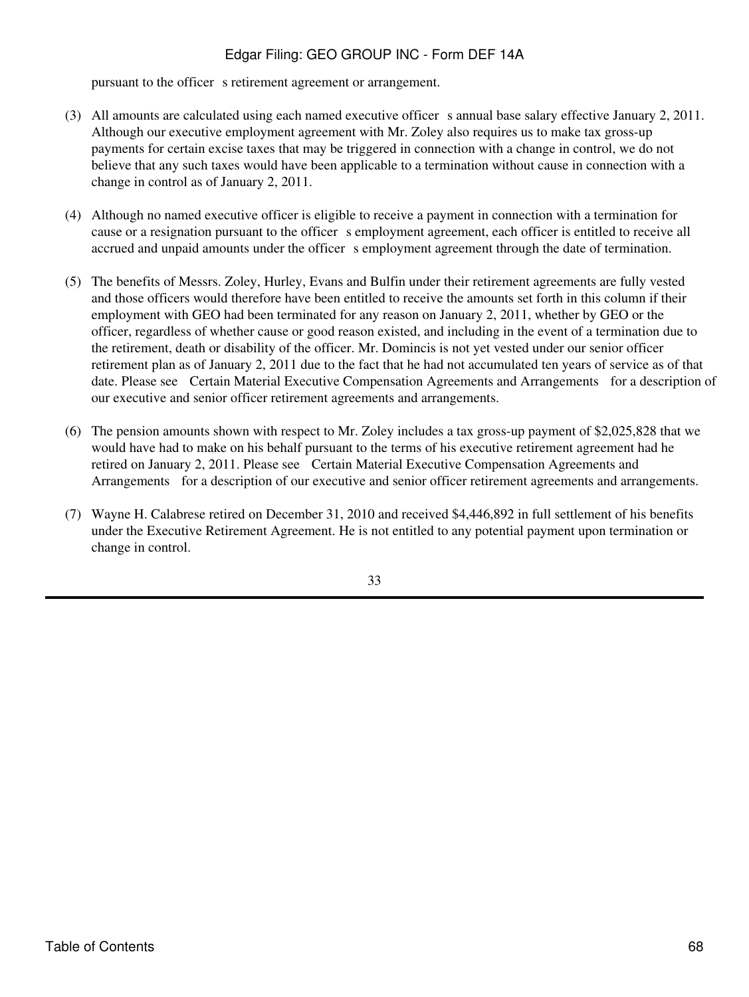pursuant to the officer s retirement agreement or arrangement.

- (3) All amounts are calculated using each named executive officer s annual base salary effective January 2, 2011. Although our executive employment agreement with Mr. Zoley also requires us to make tax gross-up payments for certain excise taxes that may be triggered in connection with a change in control, we do not believe that any such taxes would have been applicable to a termination without cause in connection with a change in control as of January 2, 2011.
- (4) Although no named executive officer is eligible to receive a payment in connection with a termination for cause or a resignation pursuant to the officer s employment agreement, each officer is entitled to receive all accrued and unpaid amounts under the officer s employment agreement through the date of termination.
- (5) The benefits of Messrs. Zoley, Hurley, Evans and Bulfin under their retirement agreements are fully vested and those officers would therefore have been entitled to receive the amounts set forth in this column if their employment with GEO had been terminated for any reason on January 2, 2011, whether by GEO or the officer, regardless of whether cause or good reason existed, and including in the event of a termination due to the retirement, death or disability of the officer. Mr. Domincis is not yet vested under our senior officer retirement plan as of January 2, 2011 due to the fact that he had not accumulated ten years of service as of that date. Please see Certain Material Executive Compensation Agreements and Arrangements for a description of our executive and senior officer retirement agreements and arrangements.
- (6) The pension amounts shown with respect to Mr. Zoley includes a tax gross-up payment of \$2,025,828 that we would have had to make on his behalf pursuant to the terms of his executive retirement agreement had he retired on January 2, 2011. Please see Certain Material Executive Compensation Agreements and Arrangements for a description of our executive and senior officer retirement agreements and arrangements.
- (7) Wayne H. Calabrese retired on December 31, 2010 and received \$4,446,892 in full settlement of his benefits under the Executive Retirement Agreement. He is not entitled to any potential payment upon termination or change in control.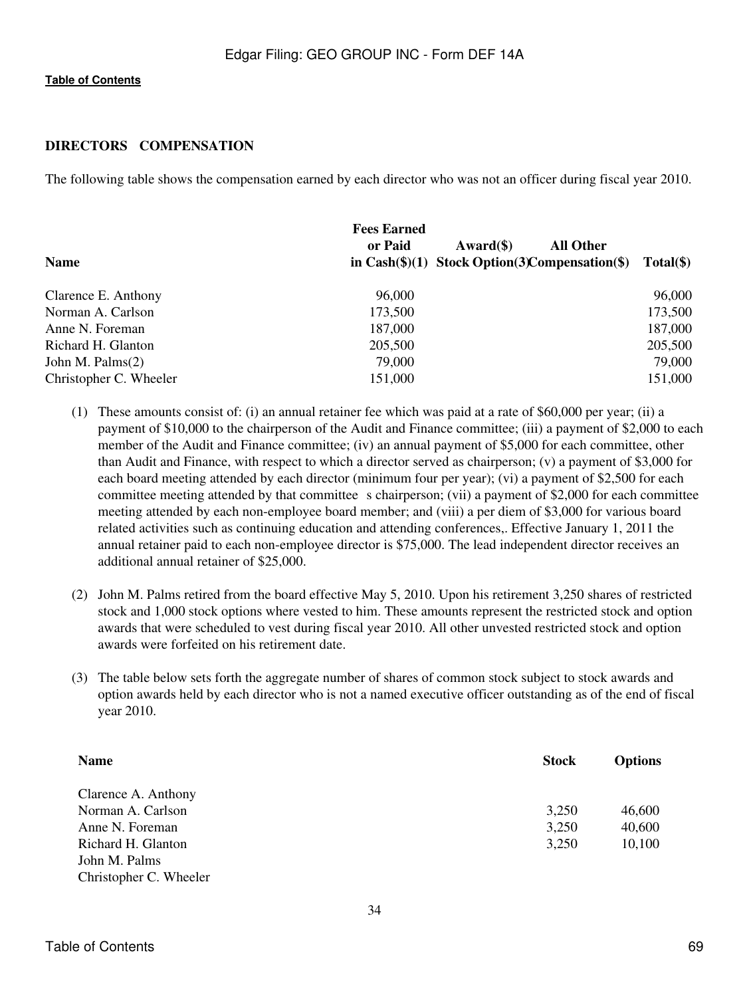## **DIRECTORS COMPENSATION**

The following table shows the compensation earned by each director who was not an officer during fiscal year 2010.

| <b>Name</b>            | <b>Fees Earned</b><br>or Paid | All Other<br>$\text{Award}(\$)$<br>in $Cash(\$)(1)$ Stock Option(3) Compensation(\$) | $Total(\$)$ |
|------------------------|-------------------------------|--------------------------------------------------------------------------------------|-------------|
| Clarence E. Anthony    | 96,000                        |                                                                                      | 96,000      |
| Norman A. Carlson      | 173,500                       |                                                                                      | 173,500     |
| Anne N. Foreman        | 187,000                       |                                                                                      | 187,000     |
| Richard H. Glanton     | 205,500                       |                                                                                      | 205,500     |
| John M. Palms $(2)$    | 79,000                        |                                                                                      | 79,000      |
| Christopher C. Wheeler | 151,000                       |                                                                                      | 151,000     |

- (1) These amounts consist of: (i) an annual retainer fee which was paid at a rate of \$60,000 per year; (ii) a payment of \$10,000 to the chairperson of the Audit and Finance committee; (iii) a payment of \$2,000 to each member of the Audit and Finance committee; (iv) an annual payment of \$5,000 for each committee, other than Audit and Finance, with respect to which a director served as chairperson; (v) a payment of \$3,000 for each board meeting attended by each director (minimum four per year); (vi) a payment of \$2,500 for each committee meeting attended by that committee s chairperson; (vii) a payment of \$2,000 for each committee meeting attended by each non-employee board member; and (viii) a per diem of \$3,000 for various board related activities such as continuing education and attending conferences,. Effective January 1, 2011 the annual retainer paid to each non-employee director is \$75,000. The lead independent director receives an additional annual retainer of \$25,000.
- (2) John M. Palms retired from the board effective May 5, 2010. Upon his retirement 3,250 shares of restricted stock and 1,000 stock options where vested to him. These amounts represent the restricted stock and option awards that were scheduled to vest during fiscal year 2010. All other unvested restricted stock and option awards were forfeited on his retirement date.
- (3) The table below sets forth the aggregate number of shares of common stock subject to stock awards and option awards held by each director who is not a named executive officer outstanding as of the end of fiscal year 2010.

| <b>Name</b>            | <b>Stock</b> | <b>Options</b> |
|------------------------|--------------|----------------|
| Clarence A. Anthony    |              |                |
| Norman A. Carlson      | 3,250        | 46,600         |
| Anne N. Foreman        | 3,250        | 40,600         |
| Richard H. Glanton     | 3,250        | 10,100         |
| John M. Palms          |              |                |
| Christopher C. Wheeler |              |                |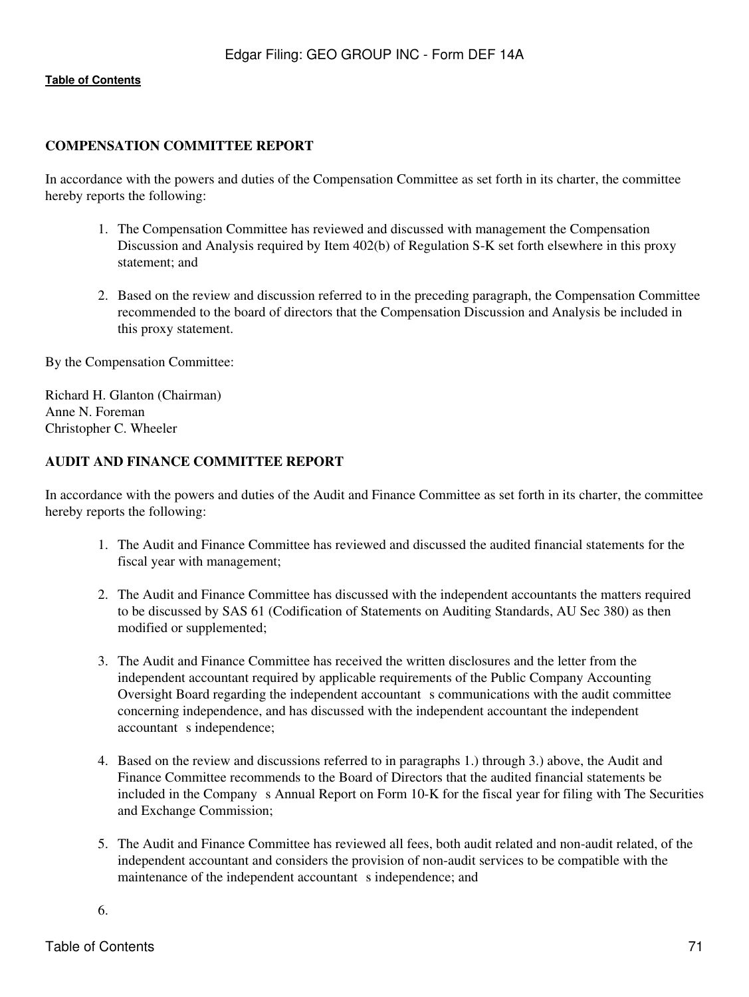## **COMPENSATION COMMITTEE REPORT**

In accordance with the powers and duties of the Compensation Committee as set forth in its charter, the committee hereby reports the following:

- 1. The Compensation Committee has reviewed and discussed with management the Compensation Discussion and Analysis required by Item 402(b) of Regulation S-K set forth elsewhere in this proxy statement; and
- 2. Based on the review and discussion referred to in the preceding paragraph, the Compensation Committee recommended to the board of directors that the Compensation Discussion and Analysis be included in this proxy statement.

By the Compensation Committee:

Richard H. Glanton (Chairman) Anne N. Foreman Christopher C. Wheeler

## **AUDIT AND FINANCE COMMITTEE REPORT**

In accordance with the powers and duties of the Audit and Finance Committee as set forth in its charter, the committee hereby reports the following:

- 1. The Audit and Finance Committee has reviewed and discussed the audited financial statements for the fiscal year with management;
- 2. The Audit and Finance Committee has discussed with the independent accountants the matters required to be discussed by SAS 61 (Codification of Statements on Auditing Standards, AU Sec 380) as then modified or supplemented;
- 3. The Audit and Finance Committee has received the written disclosures and the letter from the independent accountant required by applicable requirements of the Public Company Accounting Oversight Board regarding the independent accountant s communications with the audit committee concerning independence, and has discussed with the independent accountant the independent accountant s independence;
- 4. Based on the review and discussions referred to in paragraphs 1.) through 3.) above, the Audit and Finance Committee recommends to the Board of Directors that the audited financial statements be included in the Company s Annual Report on Form 10-K for the fiscal year for filing with The Securities and Exchange Commission;
- 5. The Audit and Finance Committee has reviewed all fees, both audit related and non-audit related, of the independent accountant and considers the provision of non-audit services to be compatible with the maintenance of the independent accountant s independence; and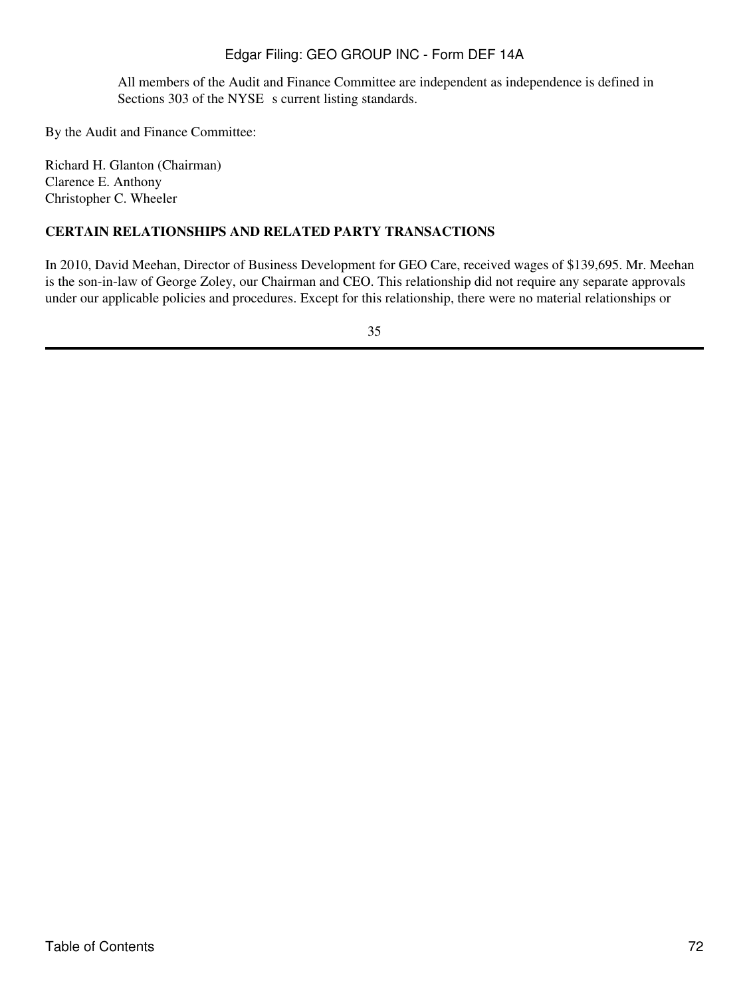All members of the Audit and Finance Committee are independent as independence is defined in Sections 303 of the NYSE s current listing standards.

By the Audit and Finance Committee:

Richard H. Glanton (Chairman) Clarence E. Anthony Christopher C. Wheeler

## **CERTAIN RELATIONSHIPS AND RELATED PARTY TRANSACTIONS**

In 2010, David Meehan, Director of Business Development for GEO Care, received wages of \$139,695. Mr. Meehan is the son-in-law of George Zoley, our Chairman and CEO. This relationship did not require any separate approvals under our applicable policies and procedures. Except for this relationship, there were no material relationships or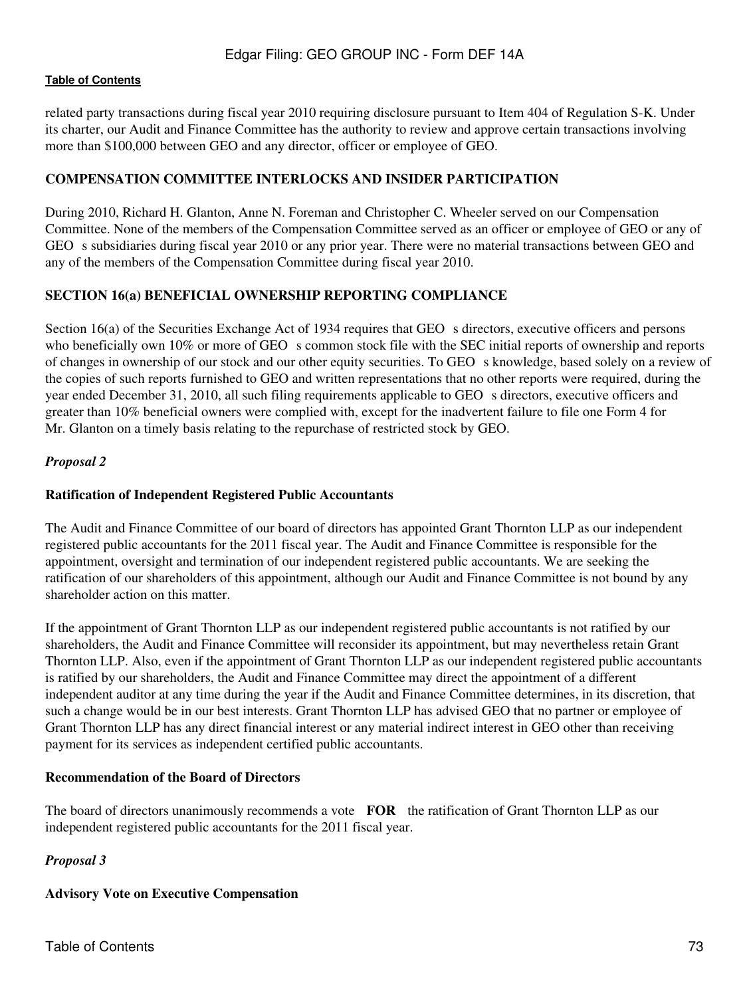related party transactions during fiscal year 2010 requiring disclosure pursuant to Item 404 of Regulation S-K. Under its charter, our Audit and Finance Committee has the authority to review and approve certain transactions involving more than \$100,000 between GEO and any director, officer or employee of GEO.

## **COMPENSATION COMMITTEE INTERLOCKS AND INSIDER PARTICIPATION**

During 2010, Richard H. Glanton, Anne N. Foreman and Christopher C. Wheeler served on our Compensation Committee. None of the members of the Compensation Committee served as an officer or employee of GEO or any of GEO s subsidiaries during fiscal year 2010 or any prior year. There were no material transactions between GEO and any of the members of the Compensation Committee during fiscal year 2010.

## **SECTION 16(a) BENEFICIAL OWNERSHIP REPORTING COMPLIANCE**

Section 16(a) of the Securities Exchange Act of 1934 requires that GEO s directors, executive officers and persons who beneficially own 10% or more of GEO s common stock file with the SEC initial reports of ownership and reports of changes in ownership of our stock and our other equity securities. To GEO s knowledge, based solely on a review of the copies of such reports furnished to GEO and written representations that no other reports were required, during the year ended December 31, 2010, all such filing requirements applicable to GEO s directors, executive officers and greater than 10% beneficial owners were complied with, except for the inadvertent failure to file one Form 4 for Mr. Glanton on a timely basis relating to the repurchase of restricted stock by GEO.

### *Proposal 2*

### **Ratification of Independent Registered Public Accountants**

The Audit and Finance Committee of our board of directors has appointed Grant Thornton LLP as our independent registered public accountants for the 2011 fiscal year. The Audit and Finance Committee is responsible for the appointment, oversight and termination of our independent registered public accountants. We are seeking the ratification of our shareholders of this appointment, although our Audit and Finance Committee is not bound by any shareholder action on this matter.

If the appointment of Grant Thornton LLP as our independent registered public accountants is not ratified by our shareholders, the Audit and Finance Committee will reconsider its appointment, but may nevertheless retain Grant Thornton LLP. Also, even if the appointment of Grant Thornton LLP as our independent registered public accountants is ratified by our shareholders, the Audit and Finance Committee may direct the appointment of a different independent auditor at any time during the year if the Audit and Finance Committee determines, in its discretion, that such a change would be in our best interests. Grant Thornton LLP has advised GEO that no partner or employee of Grant Thornton LLP has any direct financial interest or any material indirect interest in GEO other than receiving payment for its services as independent certified public accountants.

### **Recommendation of the Board of Directors**

The board of directors unanimously recommends a vote **FOR** the ratification of Grant Thornton LLP as our independent registered public accountants for the 2011 fiscal year.

## *Proposal 3*

## **Advisory Vote on Executive Compensation**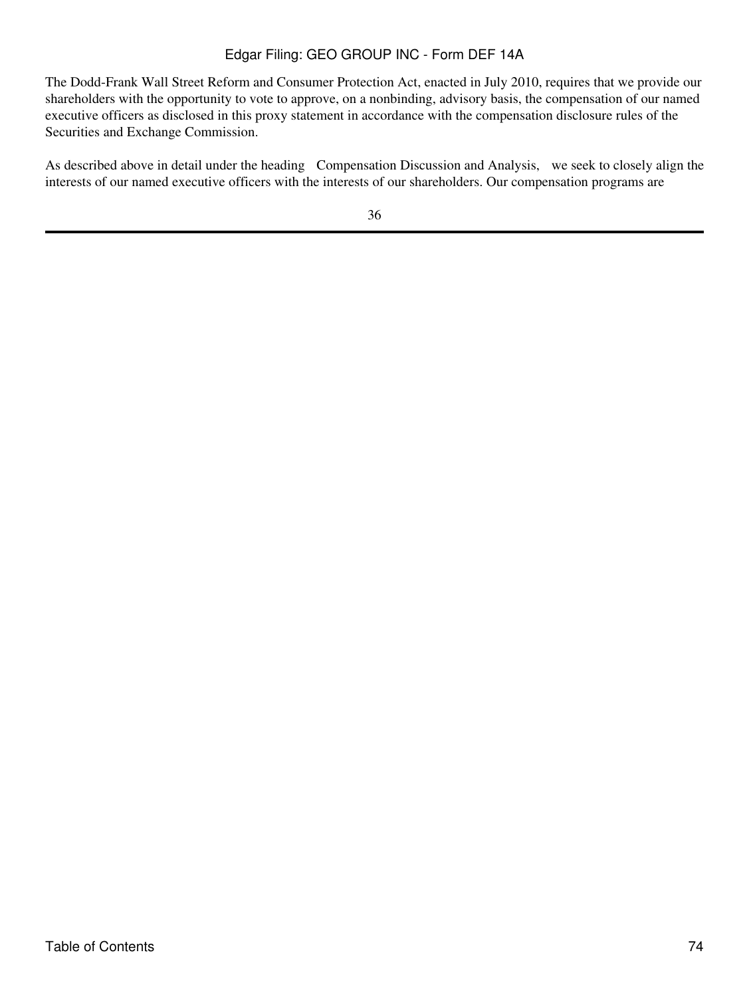# Edgar Filing: GEO GROUP INC - Form DEF 14A

The Dodd-Frank Wall Street Reform and Consumer Protection Act, enacted in July 2010, requires that we provide our shareholders with the opportunity to vote to approve, on a nonbinding, advisory basis, the compensation of our named executive officers as disclosed in this proxy statement in accordance with the compensation disclosure rules of the Securities and Exchange Commission.

As described above in detail under the heading Compensation Discussion and Analysis, we seek to closely align the interests of our named executive officers with the interests of our shareholders. Our compensation programs are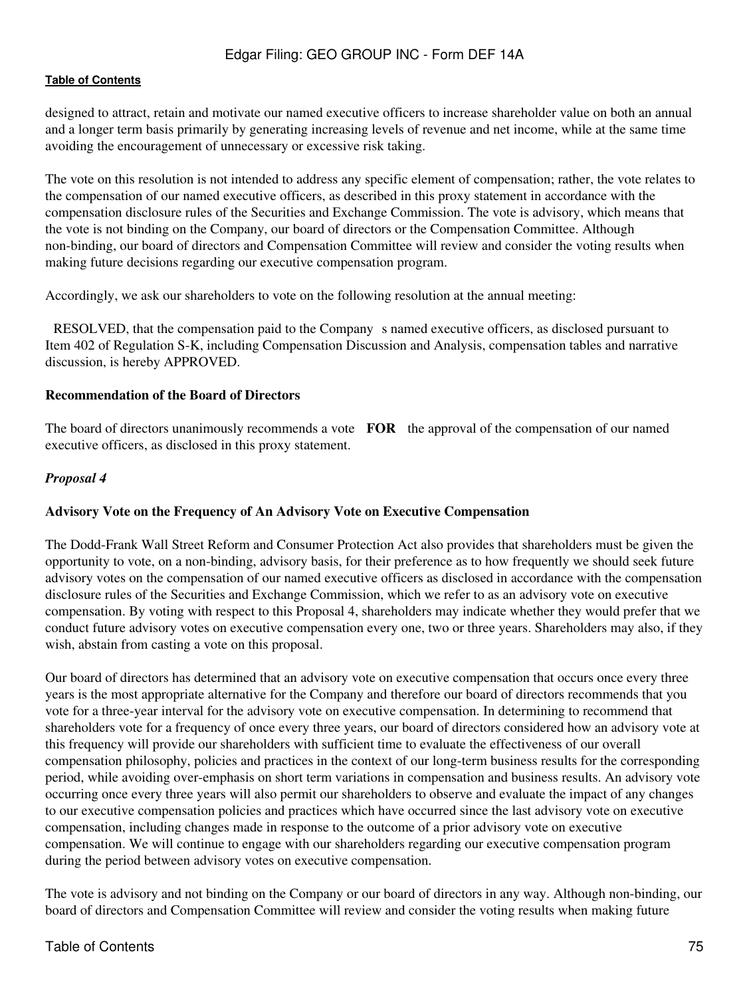designed to attract, retain and motivate our named executive officers to increase shareholder value on both an annual and a longer term basis primarily by generating increasing levels of revenue and net income, while at the same time avoiding the encouragement of unnecessary or excessive risk taking.

The vote on this resolution is not intended to address any specific element of compensation; rather, the vote relates to the compensation of our named executive officers, as described in this proxy statement in accordance with the compensation disclosure rules of the Securities and Exchange Commission. The vote is advisory, which means that the vote is not binding on the Company, our board of directors or the Compensation Committee. Although non-binding, our board of directors and Compensation Committee will review and consider the voting results when making future decisions regarding our executive compensation program.

Accordingly, we ask our shareholders to vote on the following resolution at the annual meeting:

RESOLVED, that the compensation paid to the Companys named executive officers, as disclosed pursuant to Item 402 of Regulation S-K, including Compensation Discussion and Analysis, compensation tables and narrative discussion, is hereby APPROVED.

#### **Recommendation of the Board of Directors**

The board of directors unanimously recommends a vote **FOR** the approval of the compensation of our named executive officers, as disclosed in this proxy statement.

### *Proposal 4*

### **Advisory Vote on the Frequency of An Advisory Vote on Executive Compensation**

The Dodd-Frank Wall Street Reform and Consumer Protection Act also provides that shareholders must be given the opportunity to vote, on a non-binding, advisory basis, for their preference as to how frequently we should seek future advisory votes on the compensation of our named executive officers as disclosed in accordance with the compensation disclosure rules of the Securities and Exchange Commission, which we refer to as an advisory vote on executive compensation. By voting with respect to this Proposal 4, shareholders may indicate whether they would prefer that we conduct future advisory votes on executive compensation every one, two or three years. Shareholders may also, if they wish, abstain from casting a vote on this proposal.

Our board of directors has determined that an advisory vote on executive compensation that occurs once every three years is the most appropriate alternative for the Company and therefore our board of directors recommends that you vote for a three-year interval for the advisory vote on executive compensation. In determining to recommend that shareholders vote for a frequency of once every three years, our board of directors considered how an advisory vote at this frequency will provide our shareholders with sufficient time to evaluate the effectiveness of our overall compensation philosophy, policies and practices in the context of our long-term business results for the corresponding period, while avoiding over-emphasis on short term variations in compensation and business results. An advisory vote occurring once every three years will also permit our shareholders to observe and evaluate the impact of any changes to our executive compensation policies and practices which have occurred since the last advisory vote on executive compensation, including changes made in response to the outcome of a prior advisory vote on executive compensation. We will continue to engage with our shareholders regarding our executive compensation program during the period between advisory votes on executive compensation.

The vote is advisory and not binding on the Company or our board of directors in any way. Although non-binding, our board of directors and Compensation Committee will review and consider the voting results when making future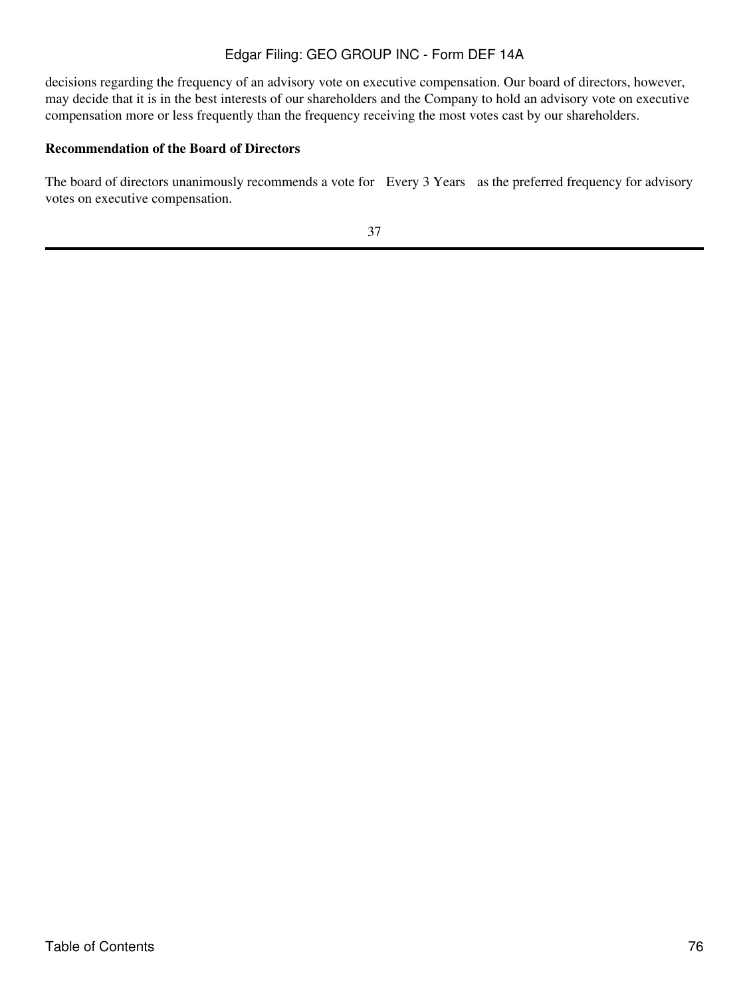# Edgar Filing: GEO GROUP INC - Form DEF 14A

decisions regarding the frequency of an advisory vote on executive compensation. Our board of directors, however, may decide that it is in the best interests of our shareholders and the Company to hold an advisory vote on executive compensation more or less frequently than the frequency receiving the most votes cast by our shareholders.

## **Recommendation of the Board of Directors**

The board of directors unanimously recommends a vote for Every 3 Years as the preferred frequency for advisory votes on executive compensation.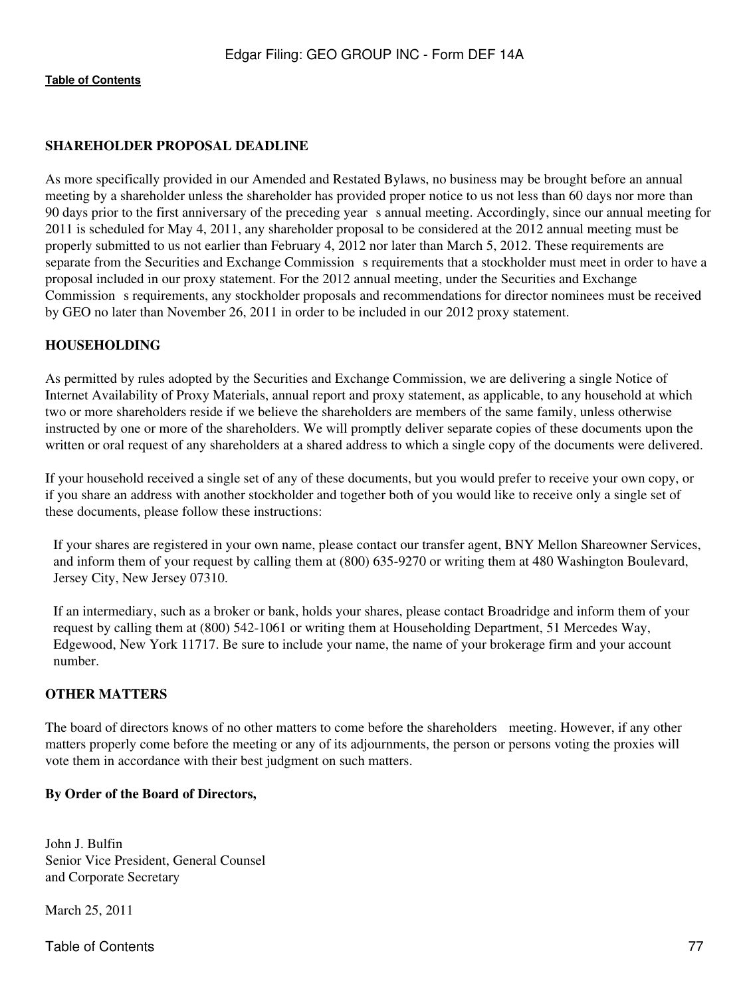## **SHAREHOLDER PROPOSAL DEADLINE**

As more specifically provided in our Amended and Restated Bylaws, no business may be brought before an annual meeting by a shareholder unless the shareholder has provided proper notice to us not less than 60 days nor more than 90 days prior to the first anniversary of the preceding years annual meeting. Accordingly, since our annual meeting for 2011 is scheduled for May 4, 2011, any shareholder proposal to be considered at the 2012 annual meeting must be properly submitted to us not earlier than February 4, 2012 nor later than March 5, 2012. These requirements are separate from the Securities and Exchange Commission s requirements that a stockholder must meet in order to have a proposal included in our proxy statement. For the 2012 annual meeting, under the Securities and Exchange Commission s requirements, any stockholder proposals and recommendations for director nominees must be received by GEO no later than November 26, 2011 in order to be included in our 2012 proxy statement.

### **HOUSEHOLDING**

As permitted by rules adopted by the Securities and Exchange Commission, we are delivering a single Notice of Internet Availability of Proxy Materials, annual report and proxy statement, as applicable, to any household at which two or more shareholders reside if we believe the shareholders are members of the same family, unless otherwise instructed by one or more of the shareholders. We will promptly deliver separate copies of these documents upon the written or oral request of any shareholders at a shared address to which a single copy of the documents were delivered.

If your household received a single set of any of these documents, but you would prefer to receive your own copy, or if you share an address with another stockholder and together both of you would like to receive only a single set of these documents, please follow these instructions:

 If your shares are registered in your own name, please contact our transfer agent, BNY Mellon Shareowner Services, and inform them of your request by calling them at (800) 635-9270 or writing them at 480 Washington Boulevard, Jersey City, New Jersey 07310.

 If an intermediary, such as a broker or bank, holds your shares, please contact Broadridge and inform them of your request by calling them at (800) 542-1061 or writing them at Householding Department, 51 Mercedes Way, Edgewood, New York 11717. Be sure to include your name, the name of your brokerage firm and your account number.

#### **OTHER MATTERS**

The board of directors knows of no other matters to come before the shareholders meeting. However, if any other matters properly come before the meeting or any of its adjournments, the person or persons voting the proxies will vote them in accordance with their best judgment on such matters.

#### **By Order of the Board of Directors,**

John J. Bulfin Senior Vice President, General Counsel and Corporate Secretary

March 25, 2011

Table of Contents 77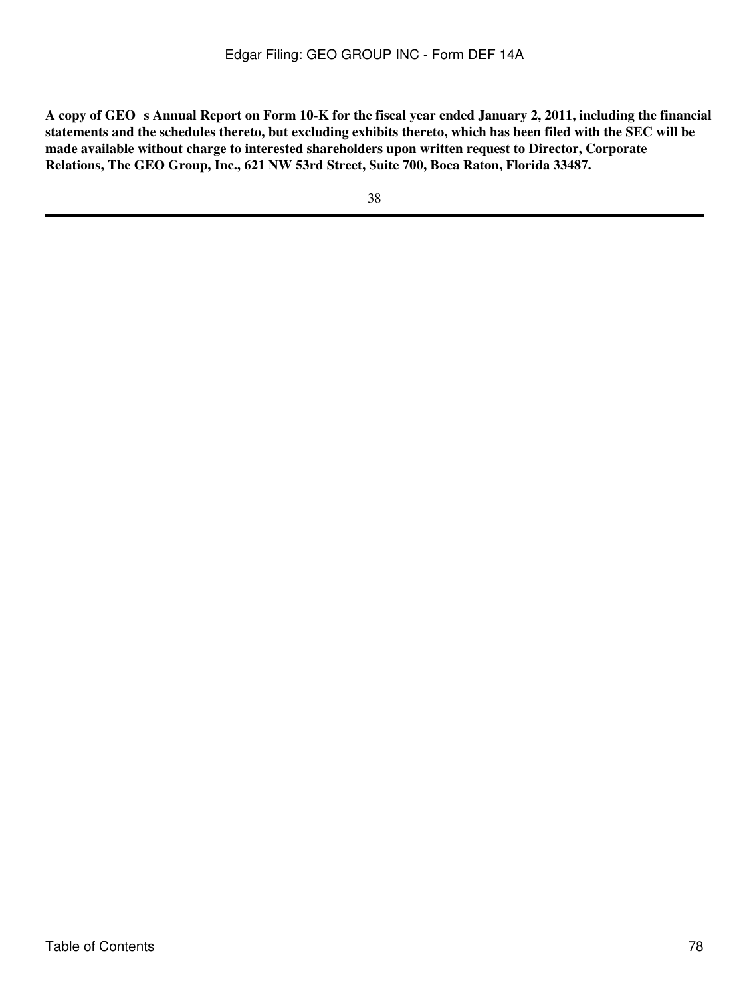A copy of GEO s Annual Report on Form 10-K for the fiscal year ended January 2, 2011, including the financial **statements and the schedules thereto, but excluding exhibits thereto, which has been filed with the SEC will be made available without charge to interested shareholders upon written request to Director, Corporate Relations, The GEO Group, Inc., 621 NW 53rd Street, Suite 700, Boca Raton, Florida 33487.**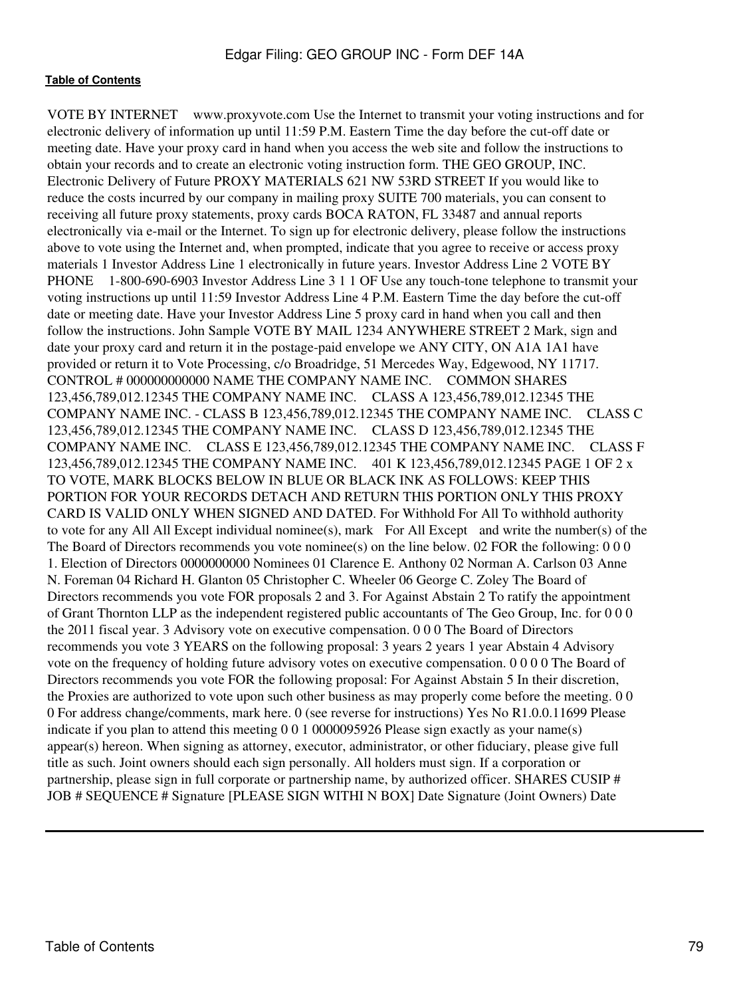VOTE BY INTERNET www.proxyvote.com Use the Internet to transmit your voting instructions and for electronic delivery of information up until 11:59 P.M. Eastern Time the day before the cut-off date or meeting date. Have your proxy card in hand when you access the web site and follow the instructions to obtain your records and to create an electronic voting instruction form. THE GEO GROUP, INC. Electronic Delivery of Future PROXY MATERIALS 621 NW 53RD STREET If you would like to reduce the costs incurred by our company in mailing proxy SUITE 700 materials, you can consent to receiving all future proxy statements, proxy cards BOCA RATON, FL 33487 and annual reports electronically via e-mail or the Internet. To sign up for electronic delivery, please follow the instructions above to vote using the Internet and, when prompted, indicate that you agree to receive or access proxy materials 1 Investor Address Line 1 electronically in future years. Investor Address Line 2 VOTE BY PHONE 1-800-690-6903 Investor Address Line 3 1 1 OF Use any touch-tone telephone to transmit your voting instructions up until 11:59 Investor Address Line 4 P.M. Eastern Time the day before the cut-off date or meeting date. Have your Investor Address Line 5 proxy card in hand when you call and then follow the instructions. John Sample VOTE BY MAIL 1234 ANYWHERE STREET 2 Mark, sign and date your proxy card and return it in the postage-paid envelope we ANY CITY, ON A1A 1A1 have provided or return it to Vote Processing, c/o Broadridge, 51 Mercedes Way, Edgewood, NY 11717. CONTROL # 000000000000 NAME THE COMPANY NAME INC. COMMON SHARES 123,456,789,012.12345 THE COMPANY NAME INC. CLASS A 123,456,789,012.12345 THE COMPANY NAME INC. - CLASS B 123,456,789,012.12345 THE COMPANY NAME INC. CLASS C 123,456,789,012.12345 THE COMPANY NAME INC. CLASS D 123,456,789,012.12345 THE COMPANY NAME INC. CLASS E 123,456,789,012.12345 THE COMPANY NAME INC. CLASS F 123,456,789,012.12345 THE COMPANY NAME INC. 401 K 123,456,789,012.12345 PAGE 1 OF 2 x TO VOTE, MARK BLOCKS BELOW IN BLUE OR BLACK INK AS FOLLOWS: KEEP THIS PORTION FOR YOUR RECORDS DETACH AND RETURN THIS PORTION ONLY THIS PROXY CARD IS VALID ONLY WHEN SIGNED AND DATED. For Withhold For All To withhold authority to vote for any All All Except individual nominee(s), mark For All Except and write the number(s) of the The Board of Directors recommends you vote nominee(s) on the line below. 02 FOR the following: 0 0 0 1. Election of Directors 0000000000 Nominees 01 Clarence E. Anthony 02 Norman A. Carlson 03 Anne N. Foreman 04 Richard H. Glanton 05 Christopher C. Wheeler 06 George C. Zoley The Board of Directors recommends you vote FOR proposals 2 and 3. For Against Abstain 2 To ratify the appointment of Grant Thornton LLP as the independent registered public accountants of The Geo Group, Inc. for 0 0 0 the 2011 fiscal year. 3 Advisory vote on executive compensation. 0 0 0 The Board of Directors recommends you vote 3 YEARS on the following proposal: 3 years 2 years 1 year Abstain 4 Advisory vote on the frequency of holding future advisory votes on executive compensation. 0 0 0 0 The Board of Directors recommends you vote FOR the following proposal: For Against Abstain 5 In their discretion, the Proxies are authorized to vote upon such other business as may properly come before the meeting. 0 0 0 For address change/comments, mark here. 0 (see reverse for instructions) Yes No R1.0.0.11699 Please indicate if you plan to attend this meeting 0 0 1 0000095926 Please sign exactly as your name(s) appear(s) hereon. When signing as attorney, executor, administrator, or other fiduciary, please give full title as such. Joint owners should each sign personally. All holders must sign. If a corporation or partnership, please sign in full corporate or partnership name, by authorized officer. SHARES CUSIP # JOB # SEQUENCE # Signature [PLEASE SIGN WITHI N BOX] Date Signature (Joint Owners) Date